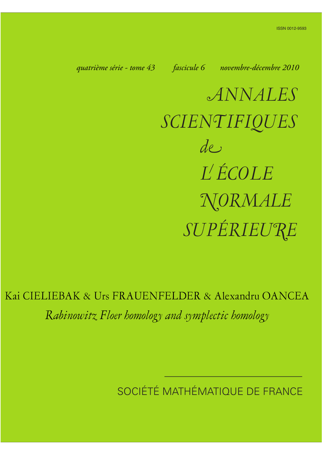*quatrième série - tome 43 fascicule 6 novembre-décembre 2010*

*ANNALES SCIENTIFIQUES SUPÉRIEURE de L ÉCOLE NORMALE*

Kai CIELIEBAK & Urs FRAUENFELDER & Alexandru OANCEA *Rabinowitz Floer homology and symplectic homology*

SOCIÉTÉ MATHÉMATIQUE DE FRANCE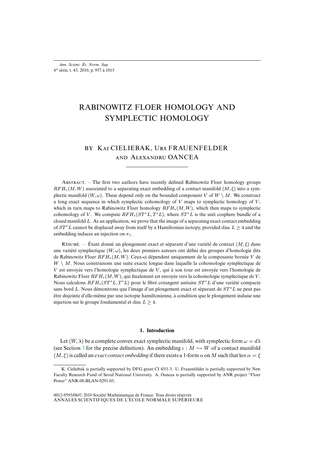# RABINOWITZ FLOER HOMOLOGY AND SYMPLECTIC HOMOLOGY

## BY KAI CIELIEBAK, URS FRAUENFELDER AND ALEXANDRU OANCEA

ABSTRACT. – The first two authors have recently defined Rabinowitz Floer homology groups  $RFH_*(M, W)$  associated to a separating exact embedding of a contact manifold  $(M, \xi)$  into a symplectic manifold  $(W, \omega)$ . These depend only on the bounded component V of  $W \setminus M$ . We construct a long exact sequence in which symplectic cohomology of  $V$  maps to symplectic homology of  $V$ , which in turn maps to Rabinowitz Floer homology  $RFH_*(M,W)$ , which then maps to symplectic cohomology of V. We compute  $RFH_*(ST^*L, T^*L)$ , where  $ST^*L$  is the unit cosphere bundle of a closed manifold  $L$ . As an application, we prove that the image of a separating exact contact embedding of  $ST^*L$  cannot be displaced away from itself by a Hamiltonian isotopy, provided dim  $L \geq 4$  and the embedding induces an injection on  $\pi_1$ .

RÉSUMÉ. – Étant donné un plongement exact et séparant d'une variété de contact  $(M, \xi)$  dans une variété symplectique  $(W, \omega)$ , les deux premiers auteurs ont défini des groupes d'homologie dits de Rabinowitz Floer RFH∗(M,W). Ceux-ci dépendent uniquement de la composante bornée V de  $W \setminus M$ . Nous construisons une suite exacte longue dans laquelle la cohomologie symplectique de  $V$  est envoyée vers l'homologie symplectique de  $V$ , qui à son tour est envoyée vers l'homologie de Rabinowitz Floer  $RFH_*(M,W)$ , qui finalement est envoyée vers la cohomologie symplectique de V. Nous calculons  $RFH_*(ST^*L, T^*L)$  pour le fibré cotangent unitaire  $ST^*L$  d'une variété compacte sans bord L. Nous démontrons que l'image d'un plongement exact et séparant de  $ST^*L$  ne peut pas être disjointe d'elle-même par une isotopie hamiltonienne, à condition que le plongement induise une injection sur le groupe fondamental et dim  $L \geq 4$ .

## **1. Introduction**

Let  $(W, \lambda)$  be a complete convex exact symplectic manifold, with symplectic form  $\omega = d\lambda$ (see Section [3](#page-26-0) for the precise definition). An embedding  $\iota : M \hookrightarrow W$  of a contact manifold  $(M, \xi)$  is called an *exact contact embedding* if there exists a 1-form  $\alpha$  on M such that ker  $\alpha = \xi$ 

K. Cieliebak is partially supported by DFG grant CI 45/1-3. U. Frauenfelder is partially supported by New Faculty Research Fund of Seoul National University. A. Oancea is partially supported by ANR project "Floer Power" ANR-08-BLAN-0291-03.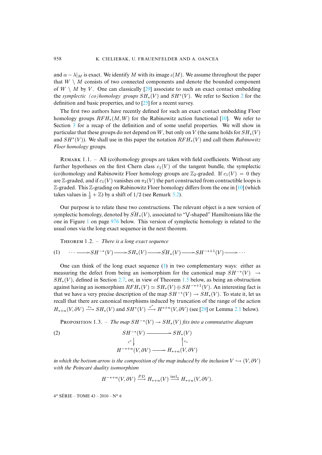and  $\alpha - \lambda |_{M}$  is exact. We identify M with its image  $\iota(M)$ . We assume throughout the paper that  $W \setminus M$  consists of two connected components and denote the bounded component of  $W \setminus M$  by V. One can classically [\[29\]](#page-59-0) associate to such an exact contact embedding the *symplectic (co)homology groups* SH∗(V ) and SH∗(V ). We refer to Section [2](#page-10-0) for the definition and basic properties, and to [\[25\]](#page-58-0) for a recent survey.

The first two authors have recently defined for such an exact contact embedding Floer homology groups  $RFH_*(M, W)$  for the Rabinowitz action functional [\[10\]](#page-58-1). We refer to Section [3](#page-26-0) for a recap of the definition and of some useful properties. We will show in particular that these groups do not depend on W, but only on V (the same holds for  $SH_*(V)$ ) and SH∗(V )). We shall use in this paper the notation RFH∗(V ) and call them *Rabinowitz Floer homology* groups.

REMARK 1.1. – All (co)homology groups are taken with field coefficients. Without any further hypotheses on the first Chern class  $c_1(V)$  of the tangent bundle, the symplectic (co)homology and Rabinowitz Floer homology groups are  $\mathbb{Z}_2$ -graded. If  $c_1(V) = 0$  they are Z-graded, and if  $c_1(V)$  vanishes on  $\pi_2(V)$  the part constructed from contractible loops is  $\mathbb Z$ -graded. This  $\mathbb Z$ -grading on Rabinowitz Floer homology differs from the one in [\[10\]](#page-58-1) (which takes values in  $\frac{1}{2} + \mathbb{Z}$ ) by a shift of 1/2 (see Remark [3.2\)](#page-28-0).

Our purpose is to relate these two constructions. The relevant object is a new version of symplectic homology, denoted by  $\tilde{SH}_*(V)$ , associated to " $\sqrt{\ }$ -shaped" Hamiltonians like the one in Figure [1](#page-20-0) on page [976](#page-20-0) below. This version of symplectic homology is related to the usual ones via the long exact sequence in the next theorem.

<span id="page-2-2"></span><span id="page-2-0"></span>THEOREM 1.2. – *There is a long exact sequence* 

$$
(1) \qquad \cdots \longrightarrow SH^{-*}(V) \longrightarrow SH_*(V) \longrightarrow \check{SH}_*(V) \longrightarrow SH^{-*+1}(V) \longrightarrow \cdots
$$

One can think of the long exact sequence  $(1)$  in two complementary ways: either as measuring the defect from being an isomorphism for the canonical map  $SH^{-*}(V) \rightarrow$  $SH<sub>*</sub>(V)$ , defined in Section [2.7,](#page-19-0) or, in view of Theorem [1.5](#page-3-0) below, as being an obstruction against having an isomorphism  $RFH_*(V) \simeq SH_*(V) \oplus SH^{-*+1}(V)$ . An interesting fact is that we have a very precise description of the map  $SH^{-*}(V) \to SH_*(V)$ . To state it, let us recall that there are canonical morphisms induced by truncation of the range of the action  $H_{*+n}(V, \partial V) \xrightarrow{c_*} SH_*(V)$  and  $SH^*(V) \xrightarrow{c^*} H^{*+n}(V, \partial V)$  (see [\[29\]](#page-59-0) or Lemma [2.1](#page-13-0) below).

<span id="page-2-1"></span>PROPOSITION 1.3. – *The map*  $SH^{-*}(V) \to SH_*(V)$  *fits into a commutative diagram* 

(2) 
$$
SH^{-*}(V) \longrightarrow SH_{*}(V)
$$

$$
c^{*} \downarrow \qquad \qquad \uparrow c_{*}
$$

$$
H^{-*+n}(V, \partial V) \longrightarrow H_{*+n}(V, \partial V)
$$

*in which the bottom arrow is the composition of the map induced by the inclusion*  $V \hookrightarrow (V, \partial V)$ *with the Poincaré duality isomorphism*

<span id="page-2-3"></span>
$$
H^{-*+n}(V,\partial V) \xrightarrow{PD} H_{*+n}(V) \xrightarrow{\text{incl}_*} H_{*+n}(V,\partial V).
$$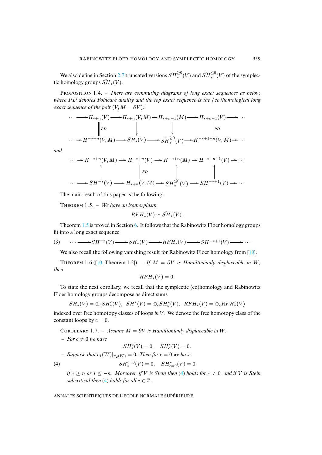We also define in Section [2.7](#page-19-0) truncated versions  $\widetilde{SH}^{\geq 0}_*(V)$  and  $\widetilde{SH}^{\leq 0}_*(V)$  of the symplectic homology groups  $\widetilde{SH}_*(V)$ .

<span id="page-3-5"></span>PROPOSITION 1.4. – *There are commuting diagrams of long exact sequences as below*, *where* PD *denotes Poincaré duality and the top exact sequence is the (co)homological long exact sequence of the pair*  $(V, M = \partial V)$ *:* 

$$
\cdots \longrightarrow H_{*+n}(V) \longrightarrow H_{*+n}(V,M) \longrightarrow H_{*+n-1}(M) \longrightarrow H_{*+n-1}(V) \longrightarrow \cdots
$$
  
\n
$$
\parallel PD \qquad \qquad \downarrow \qquad \qquad \parallel PD
$$
  
\n
$$
\cdots \longrightarrow H^{-*+n}(V,M) \longrightarrow SH_{*}(V) \longrightarrow S\check{H}_{*}^{\geq 0}(V) \longrightarrow H^{-*+1+n}(V,M) \longrightarrow \cdots
$$

*and*

$$
\cdots \to H^{-*+n}(V, M) \to H^{-*+n}(V) \to H^{-*+n}(M) \to H^{-*+n+1}(V) \to \cdots
$$
  
\n
$$
\downarrow \qquad \qquad \downarrow \qquad \qquad \downarrow \qquad \qquad \downarrow \qquad \qquad \downarrow
$$
  
\n
$$
\cdots \longrightarrow SH^{-*}(V) \longrightarrow H_{*+n}(V, M) \to \widetilde{SH}^{\leq 0}_{*}(V) \to SH^{-*+1}(V) \to \cdots
$$

<span id="page-3-0"></span>The main result of this paper is the following.

THEOREM 1.5. – We have an isomorphism

$$
RFH_*(V) \simeq \check{SH}_*(V).
$$

Theorem [1.5](#page-3-0) is proved in Section [6.](#page-50-0) It follows that the Rabinowitz Floer homology groups fit into a long exact sequence

<span id="page-3-2"></span>(3) 
$$
\cdots \longrightarrow SH^{-*}(V) \longrightarrow SH_*(V) \longrightarrow RFH_*(V) \longrightarrow SH^{-*+1}(V) \longrightarrow \cdots
$$

We also recall the following vanishing result for Rabinowitz Floer homology from [\[10\]](#page-58-1).

<span id="page-3-4"></span>THEOREM 1.6 ([\[10,](#page-58-1) Theorem 1.2]). – *If*  $M = \partial V$  *is Hamiltonianly displaceable in* W, *then*

$$
RFH_*(V)=0.
$$

To state the next corollary, we recall that the symplectic (co)homology and Rabinowitz Floer homology groups decompose as direct sums

$$
SH_*(V) = \bigoplus_c SH_*^c(V), \quad SH^*(V) = \bigoplus_c SH_c^*(V), \quad RFH_*(V) = \bigoplus_c RFH_*^c(V)
$$

indexed over free homotopy classes of loops *in* V. We denote the free homotopy class of the constant loops by  $c = 0$ .

<span id="page-3-3"></span>COROLLARY 1.7. – Assume  $M = \partial V$  is Hamiltonianly displaceable in W.

 $-$  *For*  $c \neq 0$  *we have* 

<span id="page-3-1"></span>
$$
SH^c_*(V) = 0, \quad SH^*_c(V) = 0.
$$

*– Suppose that*  $c_1(W)|_{\pi_2(W)} = 0$ *. Then for*  $c = 0$  *we have* 

(4) 
$$
SH_*^{c=0}(V) = 0, \quad SH_{c=0}^*(V) = 0
$$

*if*  $* \ge n$  *or*  $* \le -n$ *. Moreover, if V is Stein then* [\(4\)](#page-3-1) *holds for*  $* \ne 0$ *, and if V is Stein subcritical then* [\(4\)](#page-3-1) *holds for all*  $* \in \mathbb{Z}$ *.*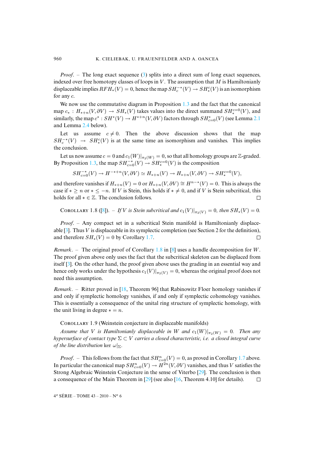*Proof.* – The long exact sequence [\(3\)](#page-3-2) splits into a direct sum of long exact sequences, indexed over free homotopy classes of loops in  $V$ . The assumption that  $M$  is Hamiltonianly displaceable implies  $RFH_*(V) = 0$ , hence the map  $SH_c^{-*}(V) \to SH_*^c(V)$  is an isomorphism for any c.

We now use the commutative diagram in Proposition [1.3](#page-2-1) and the fact that the canonical map  $c_*$ :  $H_{*+n}(V, \partial V) \to SH_*(V)$  takes values into the direct summand  $SH_*^{c=0}(V)$ , and similarly, the map  $c^* : SH^*(V) \to H^{*+n}(V, \partial V)$  factors through  $SH^*_{c=0}(V)$  (see Lemma [2.1](#page-13-0)) and Lemma [2.4](#page-17-0) below).

Let us assume  $c \neq 0$ . Then the above discussion shows that the map  $SH_c^{-*}(V) \rightarrow SH_*^c(V)$  is at the same time an isomorphism and vanishes. This implies the conclusion.

Let us now assume  $c = 0$  and  $c_1(W)|_{\pi_2(W)} = 0$ , so that all homology groups are Z-graded. By Proposition [1.3,](#page-2-1) the map  $SH^{-*}_{c=0}(V) \to SH^{c=0}_*(V)$  is the composition

$$
SH_{c=0}^{-*}(V) \to H^{-*+n}(V, \partial V) \simeq H_{*+n}(V) \to H_{*+n}(V, \partial V) \to SH_*^{c=0}(V),
$$

and therefore vanishes if  $H_{*+n}(V) = 0$  or  $H_{*+n}(V, \partial V) \cong H^{n-*}(V) = 0$ . This is always the case if  $* \ge n$  or  $* \le -n$ . If *V* is Stein, this holds if  $* \ne 0$ , and if *V* is Stein subcritical, this holds for all  $* \in \mathbb{Z}$ . The conclusion follows. holds for all  $* \in \mathbb{Z}$ . The conclusion follows.

<span id="page-4-0"></span>COROLLARY 1.8 ([\[8\]](#page-58-2)). – *If* V is Stein subcritical and  $c_1(V)|_{\pi_2(V)} = 0$ , then  $SH_*(V) = 0$ .

*Proof*. – Any compact set in a subcritical Stein manifold is Hamiltonianly displaceable  $[3]$ . Thus V is displaceable in its symplectic completion (see Section 2 for the definition), and therefore  $SH_*(V) = 0$  by Corollary [1.7.](#page-3-3)  $\Box$ 

*Remark*. – The original proof of Corollary [1.8](#page-4-0) in [\[8\]](#page-58-2) uses a handle decomposition for W. The proof given above only uses the fact that the subcritical skeleton can be displaced from itself [\[3\]](#page-57-0). On the other hand, the proof given above uses the grading in an essential way and hence only works under the hypothesis  $c_1(V)|_{\pi_2(V)} = 0$ , whereas the original proof does not need this assumption.

*Remark*. – Ritter proved in [\[18,](#page-58-3) Theorem 96] that Rabinowitz Floer homology vanishes if and only if symplectic homology vanishes, if and only if symplectic cohomology vanishes. This is essentially a consequence of the unital ring structure of symplectic homology, with the unit living in degree  $* = n$ .

COROLLARY 1.9 (Weinstein conjecture in displaceable manifolds)

*Assume that V is Hamiltonianly displaceable in W and*  $c_1(W)|_{\pi_2(W)} = 0$ . Then any *hypersurface of contact type* Σ ⊂ V *carries a closed characteristic, i.e. a closed integral curve of the line distribution* ker  $\omega|_{\Sigma}$ .

*Proof.* – This follows from the fact that  $SH_{c=0}^{n}(V) = 0$ , as proved in Corollary [1.7](#page-3-3) above. In particular the canonical map  $SH^n_{c=0}(V) \to H^{2n}(V, \partial V)$  vanishes, and thus V satisfies the Strong Algebraic Weinstein Conjecture in the sense of Viterbo [\[29\]](#page-59-0). The conclusion is then a consequence of the Main Theorem in [\[29\]](#page-59-0) (see also [\[16,](#page-58-4) Theorem 4.10] for details).  $\Box$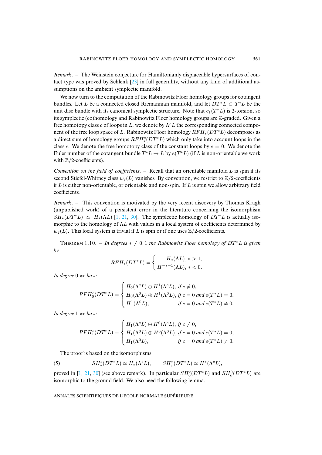*Remark*. – The Weinstein conjecture for Hamiltonianly displaceable hypersurfaces of contact type was proved by Schlenk [\[23\]](#page-58-5) in full generality, without any kind of additional assumptions on the ambient symplectic manifold.

We now turn to the computation of the Rabinowitz Floer homology groups for cotangent bundles. Let L be a connected closed Riemannian manifold, and let  $DT^*L \subset T^*L$  be the unit disc bundle with its canonical symplectic structure. Note that  $c_1(T^*L)$  is 2-torsion, so its symplectic (co)homology and Rabinowitz Floer homology groups are  $\mathbb{Z}$ -graded. Given a free homotopy class c of loops in L, we denote by  $\Lambda^{c}L$  the corresponding connected component of the free loop space of L. Rabinowitz Floer homology  $RFH_*(DT^*L)$  decomposes as a direct sum of homology groups  $RFH^c_*(DT^*L)$  which only take into account loops in the class c. We denote the free homotopy class of the constant loops by  $c = 0$ . We denote the Euler number of the cotangent bundle  $T^*L \to L$  by  $e(T^*L)$  (if L is non-orientable we work with  $\mathbb{Z}/2$ -coefficients).

*Convention on the field of coefficients*. – Recall that an orientable manifold L is spin if its second Stiefel-Whitney class  $w_2(L)$  vanishes. By convention, we restrict to  $\mathbb{Z}/2$ -coefficients if  $L$  is either non-orientable, or orientable and non-spin. If  $L$  is spin we allow arbitrary field coefficients.

*Remark*. – This convention is motivated by the very recent discovery by Thomas Kragh (unpublished work) of a persistent error in the literature concerning the isomorphism  $SH_*(DT^*L) \simeq H_*(\Lambda L)$  [\[1,](#page-57-1) [21,](#page-58-6) [30\]](#page-59-1). The symplectic homology of  $DT^*L$  is actually isomorphic to the homology of  $\Lambda L$  with values in a local system of coefficients determined by  $w_2(L)$ . This local system is trivial if L is spin or if one uses  $\mathbb{Z}/2$ -coefficients.

<span id="page-5-0"></span>THEOREM 1.10. – *In degrees*  $* \neq 0, 1$  *the Rabinowitz Floer homology of DT*<sup>\*</sup>*L is given by*

$$
RFH_*(DT^*L) = \begin{cases} H_*(\Lambda L), * > 1, \\ H^{-*+1}(\Lambda L), * < 0. \end{cases}
$$

*In degree* 0 *we have*

$$
RFH_0^c(DT^*L) = \begin{cases} H_0(\Lambda^c L) \oplus H^1(\Lambda^c L), \text{ if } c \neq 0, \\ H_0(\Lambda^0 L) \oplus H^1(\Lambda^0 L), \text{ if } c = 0 \text{ and } e(T^*L) = 0, \\ H^1(\Lambda^0 L), \text{ if } c = 0 \text{ and } e(T^*L) \neq 0. \end{cases}
$$

*In degree* 1 *we have*

$$
RFH_1^c(DT^*L) = \begin{cases} H_1(\Lambda^c L) \oplus H^0(\Lambda^c L), \text{ if } c \neq 0, \\ H_1(\Lambda^0 L) \oplus H^0(\Lambda^0 L), \text{ if } c = 0 \text{ and } e(T^*L) = 0, \\ H_1(\Lambda^0 L), \text{ if } c = 0 \text{ and } e(T^*L) \neq 0. \end{cases}
$$

<span id="page-5-1"></span>The proof is based on the isomorphisms

(5) 
$$
SH_*^c(DT^*L) \simeq H_*(\Lambda^c L), \qquad SH_c^*(DT^*L) \simeq H^*(\Lambda^c L),
$$

<span id="page-5-2"></span>proved in [\[1,](#page-57-1) [21,](#page-58-6) [30\]](#page-59-1) (see above remark). In particular  $SH_0^c(DT^*L)$  and  $SH_c^0(DT^*L)$  are isomorphic to the ground field. We also need the following lemma.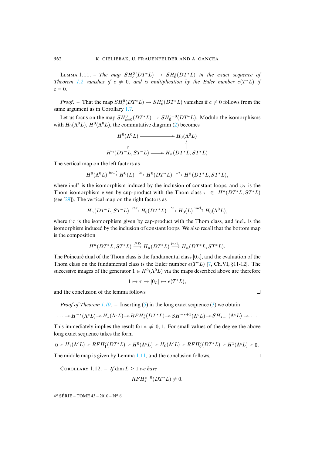$\text{LEMMA 1.11.}$  – *The map*  $SH_c^0(DT^*L) \rightarrow SH_0^c(DT^*L)$  *in the exact sequence of Theorem* [1.2](#page-2-2) *vanishes* if  $c \neq 0$ *, and is multiplication by the Euler number*  $e(T^*L)$  *if*  $c = 0.$ 

*Proof.* – That the map  $SH_c^0(DT^*L) \to SH_0^c(DT^*L)$  vanishes if  $c \neq 0$  follows from the same argument as in Corollary [1.7.](#page-3-3)

Let us focus on the map  $SH_{c=0}^{0}(DT^{*}L) \rightarrow SH_{0}^{c=0}(DT^{*}L)$ . Modulo the isomorphisms with  $H_0(\Lambda^0 L)$ ,  $H^0(\Lambda^0 L)$ , the commutative diagram [\(2\)](#page-2-3) becomes

$$
H^{0}(\Lambda^{0}L) \longrightarrow H_{0}(\Lambda^{0}L)
$$
  
\n
$$
\downarrow \qquad \qquad \uparrow
$$
  
\n
$$
H^{n}(DT^{*}L, ST^{*}L) \longrightarrow H_{n}(DT^{*}L, ST^{*}L)
$$

The vertical map on the left factors as

$$
H^0(\Lambda^0 L) \xrightarrow{\text{incl}^*} H^0(L) \xrightarrow{\simeq} H^0(DT^*L) \xrightarrow{\cup \tau} H^n(DT^*L, ST^*L),
$$

where incl<sup>∗</sup> is the isomorphism induced by the inclusion of constant loops, and  $\cup\tau$  is the Thom isomorphism given by cup-product with the Thom class  $\tau \in H^n(DT^*L, ST^*L)$ (see [\[29\]](#page-59-0)). The vertical map on the right factors as

$$
H_n(DT^*L, ST^*L) \xrightarrow{\cap \tau} H_0(DT^*L) \xrightarrow{\simeq} H_0(L) \xrightarrow{\text{incl}_*} H_0(\Lambda^0L),
$$

where  $\cap \tau$  is the isomorphism given by cap-product with the Thom class, and incl<sub>∗</sub> is the isomorphism induced by the inclusion of constant loops. We also recall that the bottom map is the composition

$$
H^n(DT^*L, ST^*L) \xrightarrow{PD} H_n(DT^*L) \xrightarrow{\text{incl}_*} H_n(DT^*L, ST^*L).
$$

The Poincaré dual of the Thom class is the fundamental class  $[0_L]$ , and the evaluation of the Thom class on the fundamental class is the Euler number  $e(T^*L)$  [\[7,](#page-58-7) Ch.VI, §11-12]. The successive images of the generator  $1 \in H^0(\Lambda^0 L)$  via the maps described above are therefore

$$
1 \mapsto \tau \mapsto [0_L] \mapsto e(T^*L),
$$

and the conclusion of the lemma follows.

*Proof of Theorem [1.10](#page-5-0).* – Inserting [\(5\)](#page-5-1) in the long exact sequence [\(3\)](#page-3-2) we obtain

$$
\cdots \rightarrow H^{-*}(\Lambda^c L) \rightarrow H_*(\Lambda^c L) \rightarrow RFH_*^c(DT^*L) \rightarrow SH^{-*+1}(\Lambda^c L) \rightarrow SH_{*-1}(\Lambda^c L) \rightarrow \cdots
$$

This immediately implies the result for  $* \neq 0,1$ . For small values of the degree the above long exact sequence takes the form

$$
0 \to H_1(\Lambda^c L) \to RFH_1^c(DT^*L) \to H^0(\Lambda^c L) \to H_0(\Lambda^c L) \to RFH_0^c(DT^*L) \to H^1(\Lambda^c L) \to 0.
$$

The middle map is given by Lemma [1.11,](#page-5-2) and the conclusion follows.

<span id="page-6-0"></span>COROLLARY 1.12. – If  $\dim L > 1$  *we have* 

$$
RFH_*^{c=0}(DT^*L) \neq 0.
$$

 $4^e$  SÉRIE – TOME  $43 - 2010 - N^o$  6

$$
\qquad \qquad \Box
$$

 $\Box$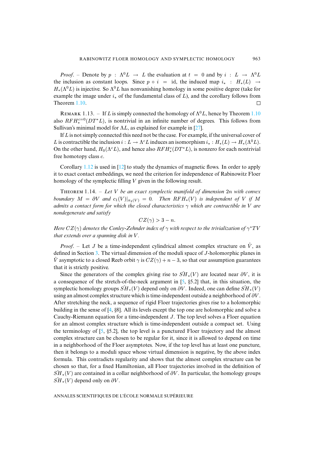*Proof.* – Denote by  $p : \Lambda^0 L \to L$  the evaluation at  $t = 0$  and by  $i : L \to \Lambda^0 L$ the inclusion as constant loops. Since  $p \circ i = id$ , the induced map  $i_* : H_*(L) \rightarrow$  $H_*(\Lambda^0 L)$  is injective. So  $\Lambda^0 L$  has nonvanishing homology in some positive degree (take for example the image under  $i_{\ast}$  of the fundamental class of L), and the corollary follows from Theorem [1.10.](#page-5-0)  $\Box$ 

REMARK 1.13. – If L is simply connected the homology of  $\Lambda^{0}L$ , hence by Theorem [1.10](#page-5-0) also  $RFH_*^{c=0}(DT^*L)$ , is nontrivial in an infinite number of degrees. This follows from Sullivan's minimal model for  $\Lambda L$ , as explained for example in [\[27\]](#page-59-2).

If  $L$  is not simply connected this need not be the case. For example, if the universal cover of L is contractible the inclusion  $i : L \to \Lambda^c L$  induces an isomorphism  $i_* : H_*(L) \to H_*(\Lambda^0 L)$ . On the other hand,  $H_0(\Lambda^c L)$ , and hence also  $RFH^c_*(DT^*L)$ , is nonzero for each nontrivial free homotopy class c.

Corollary [1.12](#page-6-0) is used in [\[12\]](#page-58-8) to study the dynamics of magnetic flows. In order to apply it to exact contact embeddings, we need the criterion for independence of Rabinowitz Floer homology of the symplectic filling V given in the following result.

<span id="page-7-0"></span>Tʜʀ 1.14. – *Let* V *be an exact symplectic manifold of dimension* 2n *with convex boundary*  $M = \partial V$  *and*  $c_1(V)|_{\pi_2(V)} = 0$ *. Then*  $RFH_*(V)$  *is independent of* V *if* M *admits a contact form for which the closed characteristics* γ *which are contractible in* V *are nondegenerate and satisfy*

 $CZ(\gamma) > 3 - n$ .

*Here*  $CZ(\gamma)$  *denotes the Conley-Zehnder index of*  $\gamma$  *with respect to the trivialization of*  $\gamma^*TV$ *that extends over a spanning disk in* V *.*

*Proof.* – Let J be a time-independent cylindrical almost complex structure on  $\hat{V}$ , as defined in Section [3.](#page-26-0) The virtual dimension of the moduli space of J-holomorphic planes in V asymptotic to a closed Reeb orbit  $\gamma$  is  $CZ(\gamma) + n - 3$ , so that our assumption guarantees that it is strictly positive.

Since the generators of the complex giving rise to  $\widetilde{SH}_*(V)$  are located near  $\partial V$ , it is a consequence of the stretch-of-the-neck argument in  $[5, §5.2]$  $[5, §5.2]$  that, in this situation, the symplectic homology groups  $\widetilde{SH}_*(V)$  depend only on  $\partial V$ . Indeed, one can define  $\widetilde{SH}_*(V)$ using an almost complex structure which is time-independent outside a neighborhood of  $\partial V$ . After stretching the neck, a sequence of rigid Floer trajectories gives rise to a holomorphic building in the sense of [\[4,](#page-58-10) §8]. All its levels except the top one are holomorphic and solve a Cauchy-Riemann equation for a time-independent J. The top level solves a Floer equation for an almost complex structure which is time-independent outside a compact set. Using the terminology of  $[5, §5.2]$  $[5, §5.2]$ , the top level is a punctured Floer trajectory and the almost complex structure can be chosen to be regular for it, since it is allowed to depend on time in a neighborhood of the Floer asymptotes. Now, if the top level has at least one puncture, then it belongs to a moduli space whose virtual dimension is negative, by the above index formula. This contradicts regularity and shows that the almost complex structure can be chosen so that, for a fixed Hamiltonian, all Floer trajectories involved in the definition of  $SH_*(V)$  are contained in a collar neighborhood of  $\partial V$ . In particular, the homology groups  $\widetilde{SH}_*(V)$  depend only on  $\partial V$ .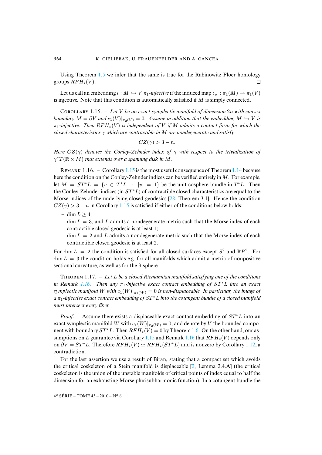Using Theorem [1.5](#page-3-0) we infer that the same is true for the Rabinowitz Floer homology groups  $RFH_*(V)$ .  $\Box$ 

Let us call an embedding  $\iota : M \hookrightarrow V \pi_1$ *-injective* if the induced map  $\iota_{\#} : \pi_1(M) \to \pi_1(V)$ is injective. Note that this condition is automatically satisfied if  $M$  is simply connected.

<span id="page-8-0"></span>Cʀʟʟʀʏ 1.15. – *Let* V *be an exact symplectic manifold of dimension* 2n *with convex boundary*  $M = \partial V$  *and*  $c_1(V)|_{\pi_2(V)} = 0$ . Assume in addition that the embedding  $M \hookrightarrow V$  is π1*-injective. Then* RFH∗(V ) *is independent of* V *if* M *admits a contact form for which the closed characteristics* γ *which are contractible in* M *are nondegenerate and satisfy*

$$
CZ(\gamma) > 3 - n.
$$

*Here* CZ(γ) *denotes the Conley-Zehnder index of* γ *with respect to the trivialization of*  $\gamma^*T(\mathbb{R} \times M)$  *that extends over a spanning disk in M.* 

<span id="page-8-1"></span>REMARK 1.16. – Corollary [1.15](#page-8-0) is the most useful consequence of Theorem [1.14](#page-7-0) because here the condition on the Conley-Zehnder indices can be verified entirely in M. For example, let  $M = ST^*L = \{v \in T^*L : |v| = 1\}$  be the unit cosphere bundle in  $T^*L$ . Then the Conley-Zehnder indices (in  $ST^*L$ ) of contractible closed characteristics are equal to the Morse indices of the underlying closed geodesics [\[28,](#page-59-3) Theorem 3.1]. Hence the condition  $CZ(\gamma) > 3 - n$  in Corollary [1.15](#page-8-0) is satisfied if either of the conditions below holds:

- $-$  dim  $L \geq 4$ ;
- $-$  dim  $L = 3$ , and L admits a nondegenerate metric such that the Morse index of each contractible closed geodesic is at least 1;
- $-$  dim  $L = 2$  and L admits a nondegenerate metric such that the Morse index of each contractible closed geodesic is at least 2.

For dim  $L = 2$  the condition is satisfied for all closed surfaces except  $S^2$  and  $\mathbb{R}P^2$ . For  $\dim L = 3$  the condition holds e.g. for all manifolds which admit a metric of nonpositive sectional curvature, as well as for the 3-sphere.

<span id="page-8-2"></span>THEOREM 1.17. – Let L be a closed Riemannian manifold satisfying one of the conditions *in Remark [1.16.](#page-8-1) Then any*  $\pi_1$ -*injective exact contact embedding of*  $ST^*L$  *into an exact symplectic manifold* W *with*  $c_1(W)|_{\pi_2(W)} = 0$  *is non-displaceable. In particular, the image of a* π1*-injective exact contact embedding of* ST <sup>∗</sup>L *into the cotangent bundle of a closed manifold must intersect every fiber.*

*Proof.* – Assume there exists a displaceable exact contact embedding of  $ST^*L$  into an exact symplectic manifold W with  $c_1(W)|_{\pi_2(W)} = 0$ , and denote by V the bounded component with boundary  $ST^*L$ . Then  $RFH_*(V) = 0$  by Theorem [1.6.](#page-3-4) On the other hand, our as-sumptions on L guarantee via Corollary [1.15](#page-8-0) and Remark [1.16](#page-8-1) that  $RFH_*(V)$  depends only on  $\partial V = ST^*L$ . Therefore  $RFH_*(V) \simeq RFH_*(ST^*L)$  and is nonzero by Corollary [1.12,](#page-6-0) a contradiction.

For the last assertion we use a result of Biran, stating that a compact set which avoids the critical coskeleton of a Stein manifold is displaceable [\[2,](#page-57-2) Lemma 2.4.A] (the critical coskeleton is the union of the unstable manifolds of critical points of index equal to half the dimension for an exhausting Morse plurisubharmonic function). In a cotangent bundle the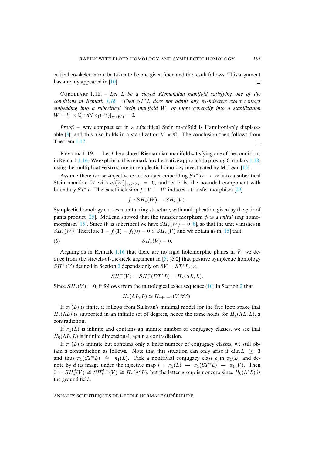critical co-skeleton can be taken to be one given fiber, and the result follows. This argument has already appeared in [\[10\]](#page-58-1).  $\Box$ 

<span id="page-9-0"></span>Cʀʟʟʀʏ 1.18. – *Let* L *be a closed Riemannian manifold satisfying one of the conditions in Remark [1.16.](#page-8-1)* Then  $ST^*L$  does not admit any  $\pi_1$ -injective exact contact *embedding into a subcritical Stein manifold* W*, or more generally into a stabilization*  $W = V \times \mathbb{C}$ *, with*  $c_1(W)|_{\pi_2(W)} = 0$ .

*Proof*. – Any compact set in a subcritical Stein manifold is Hamiltonianly displace-able [\[3\]](#page-57-0), and this also holds in a stabilization  $V \times \mathbb{C}$ . The conclusion then follows from Theorem 1.17. Theorem [1.17.](#page-8-2)

REMARK 1.19. – Let L be a closed Riemannian manifold satisfying one of the conditions in Remark [1.16.](#page-8-1) We explain in this remark an alternative approach to proving Corollary [1.18,](#page-9-0) using the multiplicative structure in symplectic homology investigated by McLean [\[15\]](#page-58-11).

Assume there is a  $\pi_1$ -injective exact contact embedding  $ST^*L \hookrightarrow W$  into a subcritical Stein manifold W with  $c_1(W)|_{\pi_2(W)} = 0$ , and let V be the bounded component with boundary  $ST^*L$ . The exact inclusion  $f: V \hookrightarrow W$  induces a transfer morphism [\[29\]](#page-59-0)

$$
f_! : SH_*(W) \to SH_*(V).
$$

Symplectic homology carries a unital ring structure, with multiplication given by the pair of pants product  $[25]$ . McLean showed that the transfer morphism  $f_1$  is a *unital* ring homo-morphism [\[15\]](#page-58-11). Since W is subcritical we have  $SH_*(W)=0$  [\[8\]](#page-58-2), so that the unit vanishes in  $SH_*(W)$ . Therefore  $1 = f_!(1) = f_!(0) = 0 \in SH_*(V)$  and we obtain as in [\[15\]](#page-58-11) that

$$
(6) \t\t SH_*(V) = 0.
$$

Arguing as in Remark [1.16](#page-8-1) that there are no rigid holomorphic planes in  $\hat{V}$ , we deduce from the stretch-of-the-neck argument in  $[5, §5.2]$  $[5, §5.2]$  that positive symplectic homology  $SH_*^+(V)$  defined in Section [2](#page-10-0) depends only on  $\partial V = ST^*L$ , i.e.

$$
SH_*^+(V) = SH_*^+(DT^*L) = H_*(\Lambda L, L).
$$

Since  $SH_*(V) = 0$ , it follows from the tautological exact sequence [\(10\)](#page-13-1) in Section [2](#page-10-0) that

$$
H_*(\Lambda L, L) \simeq H_{*+n-1}(V, \partial V).
$$

If  $\pi_1(L)$  is finite, it follows from Sullivan's minimal model for the free loop space that  $H_*(\Lambda L)$  is supported in an infinite set of degrees, hence the same holds for  $H_*(\Lambda L, L)$ , a contradiction.

If  $\pi_1(L)$  is infinite and contains an infinite number of conjugacy classes, we see that  $H_0(\Lambda L, L)$  is infinite dimensional, again a contradiction.

If  $\pi_1(L)$  is infinite but contains only a finite number of conjugacy classes, we still obtain a contradiction as follows. Note that this situation can only arise if dim  $L \geq 3$ and thus  $\pi_1(ST^*L) \cong \pi_1(L)$ . Pick a nontrivial conjugacy class c in  $\pi_1(L)$  and denote by d its image under the injective map  $i : \pi_1(L) \to \pi_1(ST^*L) \to \pi_1(V)$ . Then  $0 = SH_*^d(V) \cong SH_*^{d,+}(V) \cong H_*(\Lambda^c L)$ , but the latter group is nonzero since  $H_0(\Lambda^c L)$  is the ground field.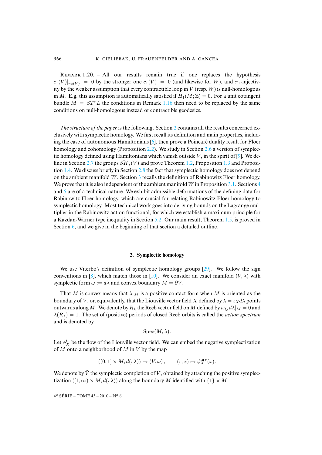REMARK  $1.20. - All$  our results remain true if one replaces the hypothesis  $c_1(V)|_{\pi_2(V)} = 0$  by the stronger one  $c_1(V) = 0$  (and likewise for W), and  $\pi_1$ -injectivity by the weaker assumption that every contractible loop in  $V$  (resp.  $W$ ) is null-homologous in M. E.g. this assumption is automatically satisfied if  $H_1(M;\mathbb{Z})=0$ . For a unit cotangent bundle  $M = ST^*L$  the conditions in Remark [1.16](#page-8-1) then need to be replaced by the same conditions on null-homologous instead of contractible geodesics.

*The structure of the paper* is the following. Section [2](#page-10-0) contains all the results concerned exclusively with symplectic homology. We first recall its definition and main properties, including the case of autonomous Hamiltonians [\[6\]](#page-58-12), then prove a Poincaré duality result for Floer homology and cohomology (Proposition [2.2\)](#page-15-0). We study in Section [2.6](#page-17-1) a version of symplec-tic homology defined using Hamiltonians which vanish outside V, in the spirit of [\[9\]](#page-58-13). We de-fine in Section [2.7](#page-19-0) the groups  $\widetilde{SH}_*(V)$  and prove Theorem [1.2,](#page-2-2) Proposition [1.3](#page-2-1) and Proposition [1.4.](#page-3-5) We discuss briefly in Section [2.8](#page-25-0) the fact that symplectic homology does not depend on the ambient manifold W. Section [3](#page-26-0) recalls the definition of Rabinowitz Floer homology. We prove that it is also independent of the ambient manifold W in Proposition [3.1.](#page-27-0) Sections [4](#page-29-0) and [5](#page-41-0) are of a technical nature. We exhibit admissible deformations of the defining data for Rabinowitz Floer homology, which are crucial for relating Rabinowitz Floer homology to symplectic homology. Most technical work goes into deriving bounds on the Lagrange multiplier in the Rabinowitz action functional, for which we establish a maximum principle for a Kazdan-Warner type inequality in Section [5.2.](#page-42-0) Our main result, Theorem [1.5,](#page-3-0) is proved in Section [6,](#page-50-0) and we give in the beginning of that section a detailed outline.

#### **2. Symplectic homology**

<span id="page-10-0"></span>We use Viterbo's definition of symplectic homology groups [\[29\]](#page-59-0). We follow the sign conventions in [\[8\]](#page-58-2), which match those in [\[10\]](#page-58-1). We consider an exact manifold  $(V, \lambda)$  with symplectic form  $\omega := d\lambda$  and convex boundary  $M = \partial V$ .

That M is convex means that  $\lambda|_M$  is a positive contact form when M is oriented as the boundary of V, or, equivalently, that the Liouville vector field X defined by  $\lambda = \iota_X d\lambda$  points outwards along M. We denote by  $R_{\lambda}$  the Reeb vector field on M defined by  $\iota_{R_{\lambda}} d\lambda|_{M} = 0$  and  $\lambda(R_{\lambda})=1$ . The set of (positive) periods of closed Reeb orbits is called the *action spectrum* and is denoted by

$$
Spec(M, \lambda)
$$
.

Let  $\phi_X^t$  be the flow of the Liouville vector field. We can embed the negative symplectization of  $M$  onto a neighborhood of  $M$  in  $V$  by the map

$$
((0,1] \times M, d(r\lambda)) \to (V, \omega), \qquad (r,x) \mapsto \phi_X^{\ln r}(x).
$$

We denote by  $\hat{V}$  the symplectic completion of V, obtained by attaching the positive symplectization ([1, ∞) × M,  $d(r\lambda)$ ) along the boundary M identified with {1} × M.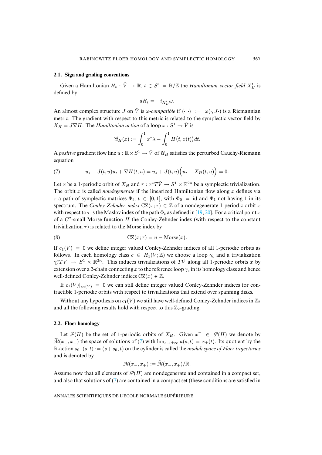#### <span id="page-11-2"></span>**2.1. Sign and grading conventions**

Given a Hamiltonian  $H_t: \hat{V} \to \mathbb{R}, t \in S^1 = \mathbb{R}/\mathbb{Z}$  the *Hamiltonian vector field*  $X_H^t$  is defined by

$$
dH_t = -i_{X_H^t} \omega.
$$

An almost complex structure J on  $\hat{V}$  is  $\omega$ -compatible if  $\langle \cdot, \cdot \rangle := \omega(\cdot, J \cdot)$  is a Riemannian metric. The gradient with respect to this metric is related to the symplectic vector field by  $X_H = J \nabla H$ . The *Hamiltonian action* of a loop  $x : S^1 \to \hat{V}$  is

$$
\mathcal{C}_H(x) := \int_0^1 x^*\lambda - \int_0^1 H\big(t, x(t)\big) dt.
$$

A *positive* gradient flow line  $u : \mathbb{R} \times S^1 \to \hat{V}$  of  $\mathcal{U}_H$  satisfies the perturbed Cauchy-Riemann equation

<span id="page-11-0"></span>(7) 
$$
u_s + J(t, u)u_t + \nabla H(t, u) = u_s + J(t, u)\Big(u_t - X_H(t, u)\Big) = 0.
$$

Let x be a 1-periodic orbit of  $X_H$  and  $\tau : x^*T\hat{V} \to S^1 \times \mathbb{R}^{2n}$  be a symplectic trivialization. The orbit  $x$  is called *nondegenerate* if the linearized Hamiltonian flow along  $x$  defines via  $\tau$  a path of symplectic matrices  $\Phi_t$ ,  $t \in [0, 1]$ , with  $\Phi_0 = id$  and  $\Phi_1$  not having 1 in its spectrum. The *Conley-Zehnder index*  $CZ(x; \tau) \in \mathbb{Z}$  of a nondegenerate 1-periodic orbit x with respect to  $\tau$  is the Maslov index of the path  $\Phi_t$  as defined in [\[19,](#page-58-14) [20\]](#page-58-15). For a critical point x of a  $C<sup>2</sup>$ -small Morse function H the Conley-Zehnder index (with respect to the constant trivialization  $\tau$ ) is related to the Morse index by

<span id="page-11-1"></span>(8) 
$$
CZ(x; \tau) = n - \text{Morse}(x).
$$

If  $c_1(V) = 0$  we define integer valued Conley-Zehnder indices of all 1-periodic orbits as follows. In each homology class  $c \in H_1(V;\mathbb{Z})$  we choose a loop  $\gamma_c$  and a trivialization  $\gamma_c^* T V \to S^1 \times \mathbb{R}^{2n}$ . This induces trivializations of  $T\hat{V}$  along all 1-periodic orbits x by extension over a 2-chain connecting x to the reference loop  $\gamma_c$  in its homology class and hence well-defined Conley-Zehnder indices  $CZ(x) \in \mathbb{Z}$ .

If  $c_1(V)|_{\pi_2(V)} = 0$  we can still define integer valued Conley-Zehnder indices for contractible 1-periodic orbits with respect to trivializations that extend over spanning disks.

Without any hypothesis on  $c_1(V)$  we still have well-defined Conley-Zehnder indices in  $\mathbb{Z}_2$ and all the following results hold with respect to this  $\mathbb{Z}_2$ -grading.

#### **2.2. Floer homology**

Let  $\mathcal{P}(H)$  be the set of 1-periodic orbits of  $X_H$ . Given  $x^{\pm} \in \mathcal{P}(H)$  we denote by  $\mathcal{M}(x_-, x_+)$  the space of solutions of [\(7\)](#page-11-0) with  $\lim_{s\to\pm\infty} u(s,t) = x_{\pm}(t)$ . Its quotient by the  $\mathbb{R}\text{-action }s_0 \cdot (s, t) := (s + s_0, t)$  on the cylinder is called the *moduli space of Floer trajectories* and is denoted by

$$
\mathcal{M}(x_-, x_+) := \widehat{\mathcal{M}}(x_-, x_+)/\mathbb{R}.
$$

Assume now that all elements of  $\mathcal{P}(H)$  are nondegenerate and contained in a compact set, and also that solutions of [\(7\)](#page-11-0) are contained in a compact set (these conditions are satisfied in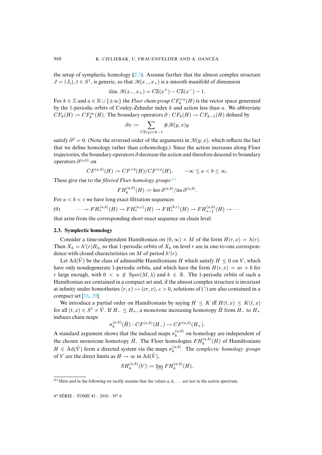the setup of symplectic homology  $\S2.3$ ). Assume further that the almost complex structure  $J = (J_t)$ ,  $t \in S^1$ , is generic, so that  $\mathcal{M}(x_-, x_+)$  is a smooth manifold of dimension

$$
\dim \mathcal{M}(x_-, x_+) = \mathrm{CZ}(x^+) - \mathrm{CZ}(x^-) - 1.
$$

For  $k \in \mathbb{Z}$  and  $a \in \mathbb{R} \cup \{\pm \infty\}$  the *Floer chain group*  $CF_k^{< a}(H)$  is the vector space generated by the 1-periodic orbits of Conley-Zehnder index  $k$  and action less than  $a$ . We abbreviate  $CF_k(H) := CF_k^{\infty}(H)$ . The boundary operators  $\partial : CF_k(H) \to CF_{k-1}(H)$  defined by

$$
\partial x:=\sum_{\mathrm{CZ}(y)=k-1}\#\mathcal{M}(y,x)y
$$

satisfy  $\partial^2 = 0$ . (Note the reversed order of the arguments in  $\mathcal{M}(y, x)$ , which reflects the fact that we define homology rather than cohomology.) Since the action increases along Floer trajectories, the boundary operators ∂ decrease the action and therefore descend to boundary operators  $\partial^{(a,b)}$  on

$$
CF^{(a,b)}(H) := CF^{< b}(H)/CF^{< a}(H), \qquad -\infty \le a < b \le \infty.
$$

These give rise to the *filtered Floer homology groups*[\(1\)](#page-12-1)

$$
FH_k^{(a,b)}(H) := \ker \partial^{(a,b)}/\mathrm{im}\,\partial^{(a,b)}.
$$

For  $a < b < c$  we have long exact filtration sequences

<span id="page-12-2"></span>(9) 
$$
\cdots \to FH^{(a,b)}_*(H) \to FH^{(a,c)}_*(H) \to FH^{(b,c)}_*(H) \to FH^{(a,b)}_{*-1}(H) \to \cdots
$$

that arise from the corresponding short exact sequence on chain level.

#### <span id="page-12-0"></span>**2.3. Symplectic homology**

Consider a time-independent Hamiltonian on  $(0, \infty) \times M$  of the form  $H(r, x) = h(r)$ . Then  $X_h = h'(r)R_\lambda$ , so that 1-periodic orbits of  $X_h$  on level r are in one-to-one correspondence with closed characteristics on M of period  $h'(r)$ .

Let  $\text{Ad}(\hat{V})$  be the class of admissible Hamiltonians H which satisfy  $H \leq 0$  on V, which have only nondegenerate 1-periodic orbits, and which have the form  $H(r, x) = ar + b$  for r large enough, with  $0 < a \notin Spec(M, \lambda)$  and  $b \in \mathbb{R}$ . The 1-periodic orbits of such a Hamiltonian are contained in a compact set and, if the almost complex structure is invariant at infinity under homotheties  $(r, x) \mapsto (cr, x)$ ,  $c > 0$ , solutions of [\(7\)](#page-11-0) are also contained in a compact set [\[16,](#page-58-4) [29\]](#page-59-0).

We introduce a partial order on Hamiltonians by saying  $H \leq K$  iff  $H(t, x) \leq K(t, x)$ for all  $(t, x) \in S^1 \times \hat{V}$ . If  $H_- \leq H_+$ , a monotone increasing homotopy  $\hat{H}$  from  $H_-$  to  $H_+$ induces chain maps

$$
\sigma_k^{(a,b)}(\hat{H}) : CF^{(a,b)}(H_-) \to CF^{(a,b)}(H_+).
$$

A standard argument shows that the induced maps  $\sigma_k^{(a,b)}$  on homology are independent of the chosen monotone homotopy  $\hat{H}$ . The Floer homologies  $FH_k^{(a,b)}(H)$  of Hamiltonians  $H \in \text{Ad}(\hat{V})$  form a directed system via the maps  $\sigma_k^{(a,b)}$ . The *symplectic homology groups* of V are the direct limits as  $H \to \infty$  in Ad( $\hat{V}$ ),

$$
SH_k^{(a,b)}(V) := \varinjlim FH_k^{(a,b)}(H).
$$

<span id="page-12-1"></span><sup>(1)</sup> Here and in the following we tacitly assume that the values  $a, b, \ldots$  are not in the action spectrum.

 $4^e$  SÉRIE – TOME  $43 - 2010 - N^o$  6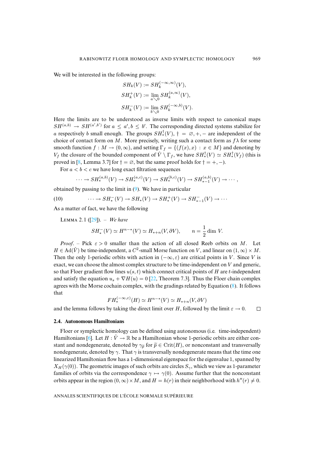We will be interested in the following groups:

$$
SH_k(V) := SH_k^{(-\infty,\infty)}(V),
$$
  
\n
$$
SH_k^+(V) := \lim_{a \searrow 0} SH_k^{(a,\infty)}(V),
$$
  
\n
$$
SH_k^-(V) := \lim_{b \searrow 0} SH_k^{(-\infty,b)}(V).
$$

Here the limits are to be understood as inverse limits with respect to canonical maps  $SH^{(a,b)} \to SH^{(a',b')}$  for  $a \le a', b \le b'$ . The corresponding directed systems stabilize for a respectively b small enough. The groups  $SH^{\dagger}_*(V)$ ,  $\dagger = \emptyset$ ,  $+$ ,  $-$  are independent of the choice of contact form on M. More precisely, writing such a contact form as  $f\lambda$  for some smooth function  $f : M \to (0, \infty)$ , and setting  $\Gamma_f = \{ (f(x), x) : x \in M \}$  and denoting by  $V_f$  the closure of the bounded component of  $\hat{V} \setminus \Gamma_f$ , we have  $SH^{\dagger}_*(V) \simeq SH^{\dagger}_*(V_f)$  (this is proved in [\[8,](#page-58-2) Lemma 3.7] for  $\dagger = \emptyset$ , but the same proof holds for  $\dagger = +, -$ ).

For  $a < b < c$  we have long exact filtration sequences

<span id="page-13-1"></span>
$$
\cdots \to SH^{(a,b)}_*(V) \to SH^{(a,c)}_*(V) \to SH^{(b,c)}_*(V) \to SH^{(a,b)}_{*-1}(V) \to \cdots,
$$

obtained by passing to the limit in  $(9)$ . We have in particular

(10) 
$$
\cdots \to SH_*^-(V) \to SH_*(V) \to SH_*^+(V) \to SH_{*-1}^-(V) \to \cdots
$$

<span id="page-13-0"></span>As a matter of fact, we have the following

LEMMA 2.1 ([\[29\]](#page-59-0)). – We have

$$
SH_*^-(V) \simeq H^{n-*}(V) \simeq H_{*+n}(V, \partial V), \qquad n = \frac{1}{2} \dim V.
$$

*Proof.* – Pick  $\varepsilon > 0$  smaller than the action of all closed Reeb orbits on M. Let  $H \in \text{Ad}(\hat{V})$  be time-independent, a  $C^2$ -small Morse function on V, and linear on  $(1,\infty) \times M$ . Then the only 1-periodic orbits with action in  $(-\infty, \varepsilon)$  are critical points in V. Since V is exact, we can choose the almost complex structure to be time-independent on  $V$  and generic, so that Floer gradient flow lines  $u(s, t)$  which connect critical points of H are t-independent and satisfy the equation  $u_s + \nabla H(u) = 0$  [\[22,](#page-58-16) Theorem 7.3]. Thus the Floer chain complex agrees with the Morse cochain complex, with the gradings related by Equation [\(8\)](#page-11-1). It follows that

$$
FH^{(-\infty,\varepsilon)}_*(H) \simeq H^{n-*}(V) \simeq H_{*+n}(V, \partial V)
$$

and the lemma follows by taking the direct limit over H, followed by the limit  $\varepsilon \to 0$ .  $\Box$ 

#### <span id="page-13-2"></span>**2.4. Autonomous Hamiltonians**

Floer or symplectic homology can be defined using autonomous (i.e. time-independent) Hamiltonians [\[6\]](#page-58-12). Let  $H : \hat{V} \to \mathbb{R}$  be a Hamiltonian whose 1-periodic orbits are either constant and nondegenerate, denoted by  $\gamma_{\tilde{p}}$  for  $\tilde{p} \in \text{Crit}(H)$ , or nonconstant and transversally nondegenerate, denoted by  $\gamma$ . That  $\gamma$  is transversally nondegenerate means that the time one linearized Hamiltonian flow has a 1-dimensional eigenspace for the eigenvalue 1, spanned by  $X_H(\gamma(0))$ . The geometric images of such orbits are circles  $S_\gamma$ , which we view as 1-parameter families of orbits via the correspondence  $\gamma \mapsto \gamma(0)$ . Assume further that the nonconstant orbits appear in the region  $(0, \infty) \times M$ , and  $H = h(r)$  in their neighborhood with  $h''(r) \neq 0$ .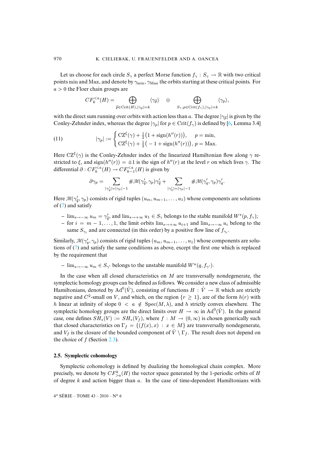Let us choose for each circle  $S_\gamma$  a perfect Morse function  $f_\gamma : S_\gamma \to \mathbb{R}$  with two critical points min and Max, and denote by  $\gamma_{\rm min}$ ,  $\gamma_{\rm Max}$  the orbits starting at these critical points. For  $a > 0$  the Floer chain groups are

<span id="page-14-0"></span>
$$
CF_k^{
$$

with the direct sum running over orbits with action less than a. The degree  $|\gamma_{\tilde{p}}|$  is given by the Conley-Zehnder index, whereas the degree  $|\gamma_p|$  for  $p \in \text{Crit}(f_\gamma)$  is defined by [\[6,](#page-58-12) Lemma 3.4]

(11) 
$$
|\gamma_p| := \begin{cases} \mathrm{CZ}^{\xi}(\gamma) + \frac{1}{2} \big( 1 + \mathrm{sign}(h''(r)) \big), & p = \mathrm{min}, \\ \mathrm{CZ}^{\xi}(\gamma) + \frac{1}{2} \big( -1 + \mathrm{sign}(h''(r)) \big), & p = \mathrm{Max}. \end{cases}
$$

Here  $CZ^{\xi}(\gamma)$  is the Conley-Zehnder index of the linearized Hamiltonian flow along  $\gamma$  restricted to  $\xi$ , and sign( $h''(r)$ ) =  $\pm 1$  is the sign of  $h''(r)$  at the level r on which lives  $\gamma$ . The differential  $\partial: CF_k^{ is given by$ 

$$
\partial \gamma_p = \sum_{|\gamma_q'|=|\gamma_p|-1} \#\mathcal{M}(\gamma_{\widetilde{q}}', \gamma_p) \gamma_{\widetilde{q}}'+\sum_{|\gamma_q'|=|\gamma_p|-1} \#\mathcal{M}(\gamma_q', \gamma_p) \gamma_q'.
$$

Here  $\mathcal{M}(\gamma_{\tilde{q}}^{\prime}, \gamma_p)$  consists of rigid tuples  $(u_m, u_{m-1}, \dots, u_1)$  whose components are solutions of [\(7\)](#page-11-0) and satisfy

- $-\lim_{s\to\infty} u_m = \gamma_{\tilde{q}}'$ , and  $\lim_{s\to\infty} u_1 \in S_\gamma$  belongs to the stable manifold  $W^s(p, f_\gamma)$ ;
- **–** for  $i = m 1, \ldots, 1$ , the limit orbits lim<sub>s→+∞</sub>  $u_{i+1}$  and lim<sub>s→-∞</sub>  $u_i$  belong to the same  $S_{\gamma_i}$  and are connected (in this order) by a positive flow line of  $f_{\gamma_i}$ .

Similarly,  $\mathcal{M}(\gamma'_q, \gamma_p)$  consists of rigid tuples  $(u_m, u_{m-1}, \ldots, u_1)$  whose components are solutions of [\(7\)](#page-11-0) and satisfy the same conditions as above, except the first one which is replaced by the requirement that

 $-$  lim<sub>s→−∞</sub>  $u_m \in S_{\gamma'}$  belongs to the unstable manifold  $W^u(q, f_{\gamma'})$ .

In the case when all closed characteristics on  $M$  are transversally nondegenerate, the symplectic homology groups can be defined as follows. We consider a new class of admissible Hamiltonians, denoted by  $\text{Ad}^0(\hat{V})$ , consisting of functions  $H : \hat{V} \to \mathbb{R}$  which are strictly negative and  $C^2$ -small on V, and which, on the region  $\{r \geq 1\}$ , are of the form  $h(r)$  with h linear at infinity of slope  $0 < a \notin Spec(M, \lambda)$ , and h strictly convex elsewhere. The symplectic homology groups are the direct limits over  $H \to \infty$  in Ad<sup>0</sup>( $\hat{V}$ ). In the general case, one defines  $SH_*(V) := SH_*(V_f)$ , where  $f : M \to (0,\infty)$  is chosen generically such that closed characteristics on  $\Gamma_f = \{(f(x), x) : x \in M\}$  are transversally nondegenerate, and  $V_f$  is the closure of the bounded component of  $\hat{V} \setminus \Gamma_f$ . The result does not depend on the choice of  $f$  (Section [2.3\)](#page-12-0).

#### **2.5. Symplectic cohomology**

Symplectic cohomology is defined by dualizing the homological chain complex. More precisely, we denote by  $CF_{> a}^k(H)$  the vector space generated by the 1-periodic orbits of H of degree  $k$  and action bigger than  $a$ . In the case of time-dependent Hamiltonians with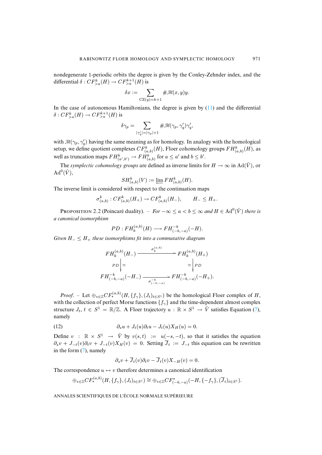nondegenerate 1-periodic orbits the degree is given by the Conley-Zehnder index, and the differential  $\delta: CF_{>a}^{k}(H) \to CF_{>a}^{k+1}(H)$  is

$$
\delta x := \sum_{\mathrm{CZ}(y)=k+1} \# \mathcal{M}(x,y) y.
$$

In the case of autonomous Hamiltonians, the degree is given by  $(11)$  and the differential  $\delta: CF_{>a}^{k}(H) \rightarrow CF_{>a}^{k+1}(H)$  is

$$
\delta \gamma_p = \sum_{|\gamma_q'|=|\gamma_p|+1} \#\mathcal{M}(\gamma_p,\gamma_q')\gamma_q',
$$

with  $\mathcal{M}(\gamma_p, \gamma_q')$  having the same meaning as for homology. In analogy with the homological setup, we define quotient complexes  $CF_{(a,b)}^k(H)$ , Floer cohomology groups  $FH_{(a,b)}^k(H)$ , as well as truncation maps  $FH_{(a',b')}^k \to FH_{(a,b)}^k$  for  $a \le a'$  and  $b \le b'$ .

The *symplectic cohomology groups* are defined as inverse limits for  $H \to \infty$  in Ad( $\hat{V}$ ), or  $\operatorname{Ad}^0(\hat{V}),$ 

$$
SH^{k}_{(a,b)}(V) := \varprojlim FH^{k}_{(a,b)}(H).
$$

 $SH_{(a,b)}^k(V) := \underleftarrow{\lim}_{m} FH_{(a,b)}^k(H).$ <br>The inverse limit is considered with respect to the continuation maps

$$
\sigma_{(a,b)}^k : CF_{(a,b)}^k(H_+) \to CF_{(a,b)}^k(H_-), \qquad H_- \leq H_+.
$$

<span id="page-15-0"></span>PROPOSITION 2.2 (Poincaré duality). – *For*  $-\infty < a < b < \infty$  and  $H \in \text{Ad}^0(\hat{V})$  there is *a canonical isomorphism*

$$
PD: FH_k^{(a,b)}(H) \longrightarrow FH_{(-b,-a)}^{-k}(-H).
$$

*Given* H<sup>−</sup> ≤ H<sup>+</sup> *these isomorphisms fit into a commutative diagram*

$$
FH_k^{(a,b)}(H_-) \xrightarrow{\sigma_k^{(a,b)}} FH_k^{(a,b)}(H_+)
$$
  
\n
$$
PD \Big| \simeq \Big| PD \to \Big| PD
$$
  
\n
$$
FH_{(-b,-a)}^{-k}(-H_-) \xrightarrow{\sigma_{(-b,-a)}^{-k}} FH_{(-b,-a)}^{-k}(-H_+).
$$

*Proof.* – Let  $\bigoplus_{*\in\mathbb{Z}} CF^{(a,b)}_*(H, \{f_\gamma\}, (J_t)_{t\in S^1})$  be the homological Floer complex of H, with the collection of perfect Morse functions  $\{f_\gamma\}$  and the time-dependent almost complex structure  $J_t$ ,  $t \in S^1 = \mathbb{R}/\mathbb{Z}$ . A Floer trajectory  $u : \mathbb{R} \times S^1 \to \hat{V}$  satisfies Equation [\(7\)](#page-11-0), namely

(12) 
$$
\partial_s u + J_t(u)\partial_t u - J_t(u)X_H(u) = 0.
$$

Define  $v : \mathbb{R} \times S^1 \to \hat{V}$  by  $v(s,t) := u(-s,-t)$ , so that it satisfies the equation  $\partial_s v + J_{-t}(v)\partial_t v + J_{-t}(v)X_H(v) = 0$ . Setting  $\overline{J}_t := J_{-t}$  this equation can be rewritten in the form [\(7\)](#page-11-0), namely

$$
\partial_s v + \overline{J}_t(v)\partial_t v - \overline{J}_t(v)X_{-H}(v) = 0.
$$

The correspondence  $u \leftrightarrow v$  therefore determines a canonical identification

$$
\oplus_{*\in\mathbb{Z}} CF_*^{(a,b)}(H,\lbrace f_{\gamma}\rbrace,(J_t)_{t\in S^1}) \cong \oplus_{*\in\mathbb{Z}} CF_{(-b,-a)}^*(-H,\lbrace -f_{\gamma}\rbrace,(\overline{J}_t)_{t\in S^1}).
$$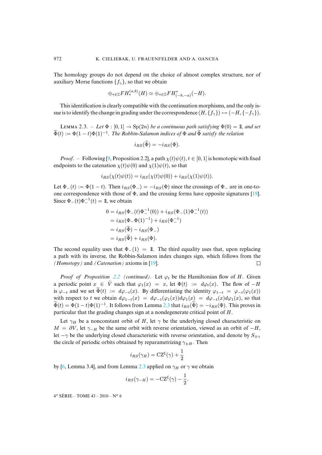The homology groups do not depend on the choice of almost complex structure, nor of auxiliary Morse functions  $\{f_{\gamma}\}\$ , so that we obtain

$$
\oplus_{*\in\mathbb{Z}}FH_*^{(a,b)}(H)\simeq \oplus_{*\in\mathbb{Z}}FH_{(-b,-a)}^*(-H).
$$

This identification is clearly compatible with the continuation morphisms, and the only issue is to identify the change in grading under the correspondence  $(H, \{f_\gamma\}) \mapsto (-H, \{-f_\gamma\})$ .

<span id="page-16-0"></span>LEMMA 2.3. – Let  $\Phi : [0, 1] \rightarrow Sp(2n)$  *be a continuous path satisfying*  $\Phi(0) = 1$ *, and set*  $\widetilde{\Phi}(t) := \Phi(1-t)\Phi(1)^{-1}$ . The Robbin-Salamon indices of  $\Phi$  and  $\widetilde{\Phi}$  satisfy the relation

$$
i_{RS}(\Phi) = -i_{RS}(\Phi).
$$

*Proof.* – Following [\[9,](#page-58-13) Proposition 2.2], a path  $\chi(t)\psi(t)$ ,  $t \in [0,1]$  is homotopic with fixed endpoints to the catenation  $\chi(t)\psi(0)$  and  $\chi(1)\psi(t)$ , so that

$$
i_{RS}(\chi(t)\psi(t)) = i_{RS}(\chi(t)\psi(0)) + i_{RS}(\chi(1)\psi(t)).
$$

Let  $\Phi_-(t) := \Phi(1-t)$ . Then  $i_{RS}(\Phi_-) = -i_{RS}(\Phi)$  since the crossings of  $\Phi_-$  are in one-toone correspondence with those of  $\Phi$ , and the crossing forms have opposite signatures [\[19\]](#page-58-14). Since  $\Phi_-(t)\Phi_-^{-1}(t) = 1$ , we obtain

$$
0 = i_{RS}(\Phi_{-}(t)\Phi_{-}^{-1}(0)) + i_{RS}(\Phi_{-}(1)\Phi_{-}^{-1}(t))
$$
  
=  $i_{RS}(\Phi_{-}\Phi(1)^{-1}) + i_{RS}(\Phi_{-}^{-1})$   
=  $i_{RS}(\tilde{\Phi}) - i_{RS}(\Phi_{-})$   
=  $i_{RS}(\tilde{\Phi}) + i_{RS}(\Phi)$ .

The second equality uses that  $\Phi_-(1) = 1$ . The third equality uses that, upon replacing a path with its inverse, the Robbin-Salamon index changes sign, which follows from the *(Homotopy)* and *(Catenation)* axioms in [\[19\]](#page-58-14).  $\Box$ 

*Proof of Proposition [2.2](#page-15-0) (continued).* Let  $\varphi_t$  be the Hamiltonian flow of H. Given a periodic point  $x \in \hat{V}$  such that  $\varphi_1(x) = x$ , let  $\Phi(t) := d\varphi_t(x)$ . The flow of  $-H$ is  $\varphi_{-t}$  and we set  $\widetilde{\Phi}(t) := d\varphi_{-t}(x)$ . By differentiating the identity  $\varphi_{1-t} = \varphi_{-t}(\varphi_1(x))$ with respect to t we obtain  $d\varphi_{1-t}(x) = d\varphi_{-t}(\varphi_1(x))d\varphi_1(x) = d\varphi_{-t}(x)d\varphi_1(x)$ , so that  $\tilde{\Phi}(t) = \Phi(1-t)\Phi(1)^{-1}$ . It follows from Lemma [2.3](#page-16-0) that  $i_{RS}(\Phi) = -i_{RS}(\Phi)$ . This proves in particular that the grading changes sign at a nondegenerate critical point of H.

Let  $\gamma_H$  be a nonconstant orbit of H, let  $\gamma$  be the underlying closed characteristic on  $M = \partial V$ , let  $\gamma_{-H}$  be the same orbit with reverse orientation, viewed as an orbit of  $-H$ , let  $-\gamma$  be the underlying closed characteristic with reverse orientation, and denote by  $S_{\pm\gamma}$ the circle of periodic orbits obtained by reparametrizing  $\gamma_{\pm H}$ . Then

$$
i_{RS}(\gamma_H) = \mathbf{CZ}^{\xi}(\gamma) + \frac{1}{2}
$$

by [\[6,](#page-58-12) Lemma 3.4], and from Lemma [2.3](#page-16-0) applied on  $\gamma_H$  or  $\gamma$  we obtain

$$
i_{RS}(\gamma_{-H}) = -\mathbf{CZ}^{\xi}(\gamma) - \frac{1}{2}.
$$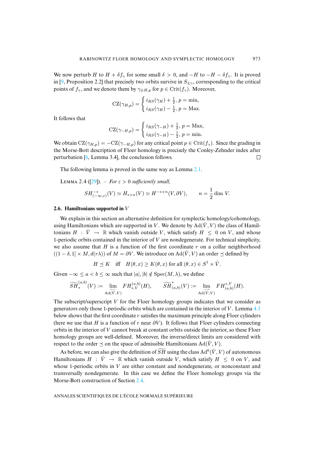We now perturb H to  $H + \delta f_{\gamma}$  for some small  $\delta > 0$ , and  $-H$  to  $-H - \delta f_{\gamma}$ . It is proved in [\[9,](#page-58-13) Proposition 2.2] that precisely two orbits survive in  $S_{\pm\gamma}$ , corresponding to the critical points of  $f_{\gamma}$ , and we denote them by  $\gamma_{\pm H,p}$  for  $p \in \text{Crit}(f_{\gamma})$ . Moreover,

$$
CZ(\gamma_{H,p}) = \begin{cases} i_{RS}(\gamma_H) + \frac{1}{2}, p = \min, \\ i_{RS}(\gamma_H) - \frac{1}{2}, p = \text{Max.} \end{cases}
$$

It follows that

$$
CZ(\gamma_{-H,p}) = \begin{cases} i_{RS}(\gamma_{-H}) + \frac{1}{2}, p = \text{Max}, \\ i_{RS}(\gamma_{-H}) - \frac{1}{2}, p = \text{min}. \end{cases}
$$

We obtain  $CZ(\gamma_{H,p}) = -CZ(\gamma_{-H,p})$  for any critical point  $p \in Crit(f_{\gamma})$ . Since the grading in the Morse-Bott description of Floer homology is precisely the Conley-Zehnder index after perturbation [\[6,](#page-58-12) Lemma 3.4], the conclusion follows.  $\Box$ 

<span id="page-17-0"></span>The following lemma is proved in the same way as Lemma [2.1.](#page-13-0)

LEMMA 2.4 ([\[29\]](#page-59-0)). – *For*  $\varepsilon > 0$  *sufficiently small,* 

$$
SH^{-*}_{(-\infty,\varepsilon)}(V) \simeq H_{*+n}(V) \simeq H^{-*+n}(V,\partial V), \qquad n = \frac{1}{2} \dim V.
$$

#### <span id="page-17-1"></span>**2.6. Hamiltonians supported in** V

We explain in this section an alternative definition for symplectic homology/cohomology, using Hamiltonians which are supported in V. We denote by  $\text{Ad}(\hat{V}, V)$  the class of Hamiltonians  $H : \hat{V} \to \mathbb{R}$  which vanish outside V, which satisfy  $H \leq 0$  on V, and whose 1-periodic orbits contained in the interior of  $V$  are nondegenerate. For technical simplicity, we also assume that  $H$  is a function of the first coordinate r on a collar neighborhood  $((1 - \delta, 1] \times M, d(r\lambda))$  of  $M = \partial V$ . We introduce on Ad( $\hat{V}$ , V) an order  $\prec$  defined by

$$
H \preceq K \quad \text{iff} \quad H(\theta, x) \ge K(\theta, x) \text{ for all } (\theta, x) \in S^1 \times \hat{V}.
$$

Given  $-\infty \le a < b \le \infty$  such that  $|a|, |b| \notin \text{Spec}(M, \lambda)$ , we define

$$
\widetilde{SH}^{(a,b)}_*(V):=\varinjlim_{\mathrm{Ad}(\hat{V},V)}FH^{(a,b)}_{*,V}(H),\qquad \widetilde{SH}^*_{(a,b)}(V):=\varinjlim_{\mathrm{Ad}(\hat{V},V)}FH^{*,V}_{(a,b)}(H).
$$

The subscript/superscript  $V$  for the Floer homology groups indicates that we consider as generators only those 1-periodic orbits which are contained in the interior of  $V$ . Lemma [4.1](#page-31-0) below shows that the first coordinate r satisfies the maximum principle along Floer cylinders (here we use that H is a function of r near  $\partial V$ ). It follows that Floer cylinders connecting orbits in the interior of V cannot break at constant orbits outside the interior, so these Floer homology groups are well-defined. Moreover, the inverse/direct limits are considered with respect to the order  $\preceq$  on the space of admissible Hamiltonians Ad( $\hat{V}$ ,  $V$ ).

<span id="page-17-2"></span>As before, we can also give the definition of  $SH$  using the class  $\text{Ad}^0(\hat{V},V)$  of autonomous Hamiltonians  $H : \hat{V} \to \mathbb{R}$  which vanish outside V, which satisfy  $H \leq 0$  on V, and whose 1-periodic orbits in  $V$  are either constant and nondegenerate, or nonconstant and transversally nondegenerate. In this case we define the Floer homology groups via the Morse-Bott construction of Section [2.4.](#page-13-2)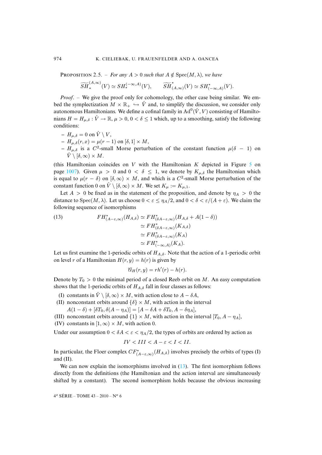**PROPOSITION** 2.5. – *For any*  $A > 0$  *such that*  $A \notin Spec(M, \lambda)$ *, we have* 

$$
\widetilde{SH}^{(A,\infty)}_*(V) \simeq SH_*^{(-\infty,A)}(V), \qquad \widetilde{SH}^*_{(A,\infty)}(V) \simeq SH^*_{(-\infty,A)}(V).
$$

*Proof*. – We give the proof only for cohomology, the other case being similar. We embed the symplectization  $M \times \mathbb{R}_+ \hookrightarrow \hat{V}$  and, to simplify the discussion, we consider only autonomous Hamiltonians. We define a cofinal family in  $\text{Ad}^0(\hat{V},V)$  consisting of Hamiltonians  $H = H_{\mu,\delta} : \hat{V} \to \mathbb{R}, \mu > 0, 0 < \delta \leq 1$  which, up to a smoothing, satisfy the following conditions:

- $H_{\mu,\delta} = 0$  on  $\hat{V} \setminus V$ ,
- $H_{\mu,\delta}(r, x) = \mu(r 1)$  on  $[\delta, 1] \times M$ ,
- $H<sub>μ,δ</sub>$  is a C<sup>2</sup>-small Morse perturbation of the constant function  $μ(δ − 1)$  on  $\hat{V} \setminus [\delta, \infty) \times M$ .

(this Hamiltonian coincides on  $V$  with the Hamiltonian  $K$  depicted in Figure [5](#page-51-0) on page [1007\)](#page-51-0). Given  $\mu > 0$  and  $0 < \delta \leq 1$ , we denote by  $K_{\mu,\delta}$  the Hamiltonian which is equal to  $\mu(r - \delta)$  on  $[\delta, \infty) \times M$ , and which is a C<sup>2</sup>-small Morse perturbation of the constant function 0 on  $\hat{V} \setminus [\delta, \infty) \times M$ . We set  $K_{\mu} := K_{\mu,1}$ .

Let  $A > 0$  be fixed as in the statement of the proposition, and denote by  $\eta_A > 0$  the distance to  $Spec(M, \lambda)$ . Let us choose  $0 < \varepsilon \le \eta_A/2$ , and  $0 < \delta < \varepsilon/(A + \varepsilon)$ . We claim the following sequence of isomorphisms

<span id="page-18-0"></span>(13) 
$$
FH_{(A-\varepsilon,\infty)}^*(H_{A,\delta}) \simeq FH_{(\delta A-\varepsilon,\infty)}^*(H_{A,\delta} + A(1 - \delta))
$$

$$
\simeq FH_{(\delta A-\varepsilon,\infty)}^*(K_{A,\delta})
$$

$$
\simeq FH_{(\delta A-\varepsilon,\infty)}^*(K_A)
$$

$$
\simeq FH_{(-\infty,A)}^*(K_A).
$$

Let us first examine the 1-periodic orbits of  $H_{A,\delta}$ . Note that the action of a 1-periodic orbit on level r of a Hamiltonian  $H(r, y) = h(r)$  is given by

$$
\mathscr{C}_H(r,y)=rh'(r)-h(r).
$$

Denote by  $T_0 > 0$  the minimal period of a closed Reeb orbit on M. An easy computation shows that the 1-periodic orbits of  $H_{A,\delta}$  fall in four classes as follows:

- (I) constants in  $\hat{V} \setminus [\delta, \infty) \times M$ , with action close to  $A \delta A$ ,
- (II) nonconstant orbits around  $\{\delta\} \times M$ , with action in the interval  $A(1 - \delta) + [\delta T_0, \delta(A - \eta_A)] = [A - \delta A + \delta T_0, A - \delta \eta_A],$
- (III) nonconstant orbits around  $\{1\} \times M$ , with action in the interval  $[T_0, A \eta_A]$ ,
- (IV) constants in  $[1,\infty) \times M$ , with action 0.

Under our assumption  $0 < \delta A < \varepsilon < \eta_A/2$ , the types of orbits are ordered by action as

$$
IV < III < A - \varepsilon < I < II.
$$

In particular, the Floer complex  $CF^*_{(A-\varepsilon,\infty)}(H_{A,\delta})$  involves precisely the orbits of types (I) and (II).

We can now explain the isomorphisms involved in  $(13)$ . The first isomorphism follows directly from the definitions (the Hamiltonian and the action interval are simultaneously shifted by a constant). The second isomorphism holds because the obvious increasing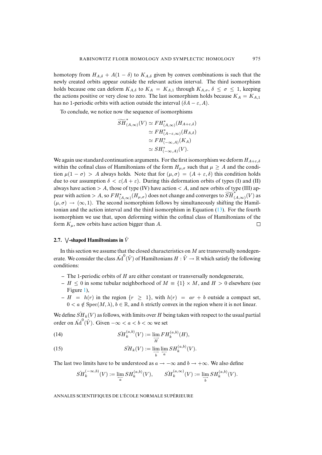homotopy from  $H_{A,\delta} + A(1 - \delta)$  to  $K_{A,\delta}$  given by convex combinations is such that the newly created orbits appear outside the relevant action interval. The third isomorphism holds because one can deform  $K_{A,\delta}$  to  $K_A = K_{A,1}$  through  $K_{A,\sigma}, \delta \leq \sigma \leq 1$ , keeping the actions positive or very close to zero. The last isomorphism holds because  $K_A = K_{A,1}$ has no 1-periodic orbits with action outside the interval  $(\delta A - \varepsilon, A)$ .

To conclude, we notice now the sequence of isomorphisms

$$
\widetilde{SH}_{(A,\infty)}^{*}(V) \simeq FH_{(A,\infty)}^{*}(H_{A+\varepsilon,\delta})
$$
\n
$$
\simeq FH_{(A-\varepsilon,\infty)}^{*}(H_{A,\delta})
$$
\n
$$
\simeq FH_{(-\infty,A)}^{*}(K_{A})
$$
\n
$$
\simeq SH_{(-\infty,A)}^{*}(V).
$$

We again use standard continuation arguments. For the first isomorphism we deform  $H_{A+\epsilon,\delta}$ within the cofinal class of Hamiltonians of the form  $H_{\mu,\sigma}$  such that  $\mu \geq A$  and the condition  $\mu(1 - \sigma) > A$  always holds. Note that for  $(\mu, \sigma) = (A + \varepsilon, \delta)$  this condition holds due to our assumption  $\delta < \varepsilon(A + \varepsilon)$ . During this deformation orbits of types (I) and (II) always have action  $> A$ , those of type (IV) have action  $< A$ , and new orbits of type (III) appear with action > A, so  $FH^*_{(A,\infty)}(H_{\mu,\sigma})$  does not change and converges to  $\widetilde{SH}^*_{(A,\infty)}(V)$  as  $(\mu, \sigma) \rightarrow (\infty, 1)$ . The second isomorphism follows by simultaneously shifting the Hamiltonian and the action interval and the third isomorphism in Equation [\(13\)](#page-18-0). For the fourth isomorphism we use that, upon deforming within the cofinal class of Hamiltonians of the form  $K_{\mu}$ , new orbits have action bigger than A.  $\Box$ 

#### <span id="page-19-0"></span>**2.7.**  $\sqrt{}$ -shaped Hamiltonians in  $\vec{V}$

In this section we assume that the closed characteristics on  $M$  are transversally nondegenerate. We consider the class  $\check{\rm Ad}^0(\hat{V})$  of Hamiltonians  $H:\hat{V}\to\mathbb{R}$  which satisfy the following conditions:

- **–** The 1-periodic orbits of H are either constant or transversally nondegenerate,
- **–**  $H$  ≤ 0 in some tubular neighborhood of  $M$  ≡ {1}  $\times$  *M*, and  $H$  > 0 elsewhere (see Figure [1\)](#page-20-0),
- $H = h(r)$  in the region  $\{r \geq 1\}$ , with  $h(r) = ar + b$  outside a compact set,  $0 < a \notin \text{Spec}(M, \lambda), b \in \mathbb{R}$ , and h strictly convex in the region where it is not linear.

We define  $\tilde{SH}_k(V)$  as follows, with limits over H being taken with respect to the usual partial order on  $\text{Ad}^0(\hat{V})$ . Given  $-\infty < a < b < \infty$  we set

(14) 
$$
\check{SH}_k^{(a,b)}(V) := \lim_{\substack{\longrightarrow \\ H}} FH_k^{(a,b)}(H),
$$

<span id="page-19-1"></span>(15) 
$$
\widetilde{SH}_k(V) := \lim_{\substack{\longrightarrow \\ b}} \lim_{\substack{\longleftarrow \\ a}} SH_k^{(a,b)}(V).
$$

The last two limits have to be understood as  $a \to -\infty$  and  $b \to +\infty$ . We also define

$$
\check{SH}_k^{(-\infty,b)}(V) := \varprojlim_a SH_k^{(a,b)}(V), \qquad \check{SH}_k^{(a,\infty)}(V) := \varinjlim_b SH_k^{(a,b)}(V).
$$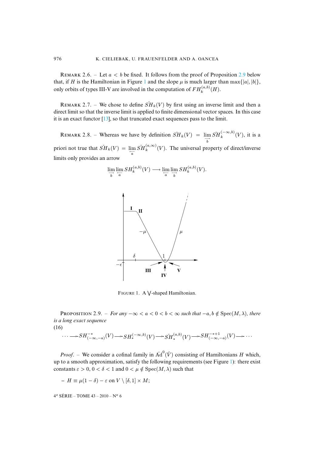REMARK 2.6. – Let  $a < b$  be fixed. It follows from the proof of Proposition [2.9](#page-20-1) below that, if H is the Hamiltonian in Figure [1](#page-20-0) and the slope  $\mu$  is much larger than  $\max\{|a|, |b|\}$ , only orbits of types III-V are involved in the computation of  $FH_k^{(a,b)}(H)$ .

<span id="page-20-3"></span>REMARK 2.7. – We chose to define  $\widetilde{SH}_k(V)$  by first using an inverse limit and then a direct limit so that the inverse limit is applied to finite dimensional vector spaces. In this case it is an exact functor  $[13]$ , so that truncated exact sequences pass to the limit.

REMARK 2.8. – Whereas we have by definition  $\widetilde{SH}_k(V) = \lim_{\longrightarrow} \widetilde{SH}_k^{(-\infty, b)}(V)$ , it is a b priori not true that  $\widetilde{SH}_k(V) = \lim_{\substack{\longleftarrow \\ a}}$  $\widetilde{SH}_{k}^{(a,\infty)}(V)$ . The universal property of direct/inverse limits only provides an arrow

$$
\lim_{\overrightarrow{b}} \lim_{\overrightarrow{a}} SH_k^{(a,b)}(V) \longrightarrow \lim_{\overrightarrow{a}} \lim_{\overrightarrow{b}} SH_k^{(a,b)}(V).
$$



<span id="page-20-0"></span>FIGURE 1. A V-shaped Hamiltonian.

<span id="page-20-1"></span>**PROPOSITION** 2.9. – *For any*  $-\infty < a < 0 < b < \infty$  such that  $-a, b \notin \text{Spec}(M, \lambda)$ , there *is a long exact sequence*

(16)

<span id="page-20-2"></span>
$$
\cdots \longrightarrow SH^{-*}_{(-\infty,-a)}(V) \longrightarrow SH^{(-\infty,b)}_{*}(V) \longrightarrow SH^{(a,b)}_{*}(V) \longrightarrow SH^{-*+1}_{(-\infty,-a)}(V) \longrightarrow \cdots
$$

*Proof.* – We consider a cofinal family in  $\text{Ad}^0(\hat{V})$  consisting of Hamiltonians H which, up to a smooth approximation, satisfy the following requirements (see Figure [1\)](#page-20-0): there exist constants  $\varepsilon > 0$ ,  $0 < \delta < 1$  and  $0 < \mu \notin \text{Spec}(M, \lambda)$  such that

$$
- H \equiv \mu(1-\delta) - \varepsilon \text{ on } V \setminus [\delta,1] \times M;
$$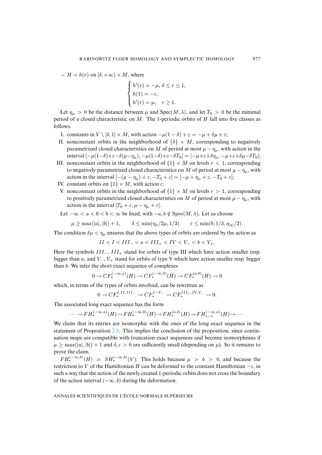$- H = h(r)$  on  $[\delta, +\infty) \times M$ , where

$$
\begin{cases}\nh'(r) = -\mu, \ \delta \le r \le 1, \\
h(1) = -\varepsilon, \\
h'(r) = \mu, \quad r \ge 1.\n\end{cases}
$$

Let  $\eta_{\mu} > 0$  be the distance between  $\mu$  and Spec(M,  $\lambda$ ), and let  $T_0 > 0$  be the minimal period of a closed characteristic on  $M$ . The 1-periodic orbits of  $H$  fall into five classes as follows.

- I. constants in  $V \setminus [\delta, 1] \times M$ , with action  $-\mu(1 \delta) + \varepsilon = -\mu + \delta \mu + \varepsilon$ ;
- II. nonconstant orbits in the neighborhood of  $\{\delta\} \times M$ , corresponding to negatively parametrized closed characteristics on M of period at most  $\mu - \eta_{\mu}$ , with action in the interval  $[-\mu(1-\delta)+\varepsilon-\delta(\mu-\eta_{\mu}), -\mu(1-\delta)+\varepsilon-\delta T_0]=[-\mu+\varepsilon+\delta\eta_{\mu}, -\mu+\varepsilon+\delta\mu-\delta T_0];$
- III. nonconstant orbits in the neighborhood of  $\{1\} \times M$  on levels  $r < 1$ , corresponding to negatively parametrized closed characteristics on M of period at most  $\mu - \eta_{\mu}$ , with action in the interval  $[-(\mu - \eta_{\mu}) + \varepsilon, -T_0 + \varepsilon] = [-\mu + \eta_{\mu} + \varepsilon, -T_0 + \varepsilon];$
- IV. constant orbits on  $\{1\} \times M$ , with action  $\varepsilon$ ;
- V. nonconstant orbits in the neighborhood of  $\{1\} \times M$  on levels  $r > 1$ , corresponding to positively parametrized closed characteristics on M of period at most  $\mu - \eta_{\mu}$ , with action in the interval  $[T_0 + \varepsilon, \mu - \eta_\mu + \varepsilon]$ .

Let  $-\infty < a < 0 < b < \infty$  be fixed, with  $-a, b \notin \text{Spec}(M, \lambda)$ . Let us choose

$$
\mu \geq \max(|a|,|b|)+1, \qquad \delta \leq \min(\eta_{\mu}/2\mu,1/3) \qquad \varepsilon \leq \min(b,1/3,\eta_{|a|}/2).
$$

The condition  $\delta \mu < \eta_{\mu}$  ensures that the above types of orbits are ordered by the action as

 $II < I < III_- < a < III_+ < IV < V_- < b < V_+$ .

Here the symbols III<sub>-</sub>, III<sub>+</sub> stand for orbits of type III which have action smaller resp. bigger than a, and  $V_-, V_+$  stand for orbits of type V which have action smaller resp. bigger than b. We infer the short exact sequence of complexes

$$
0 \to CF_*^{(-\infty, a)}(H) \to CF_*^{(-\infty, b)}(H) \to CF_*^{(a, b)}(H) \to 0
$$

which, in terms of the types of orbits involved, can be rewritten as

$$
0 \to CF_*^{I,II,III-} \to CF_*^{I-V-} \to CF_*^{III+,IV,V-} \to 0.
$$

The associated long exact sequence has the form

$$
\cdots \to FH_*^{(-\infty, a)}(H) \to FH_*^{(-\infty, b)}(H) \to FH_*^{(a, b)}(H) \to FH_{*-1}^{(-\infty, a)}(H) \to \cdots
$$

We claim that its entries are isomorphic with the ones of the long exact sequence in the statement of Proposition [2.9.](#page-20-1) This implies the conclusion of the proposition, since continuation maps are compatible with truncation exact sequences and become isomorphisms if  $\mu \ge \max(|a|, |b|) + 1$  and  $\delta, \varepsilon > 0$  are sufficiently small (depending on  $\mu$ ). So it remains to prove the claim.

 $FH^{(-\infty,b)}_*(H) \simeq SH^{(-\infty,b)}_*(V)$ : This holds because  $\mu > b > 0$ , and because the restriction to V of the Hamiltonian H can be deformed to the constant Hamiltonian  $-\varepsilon$ , in such a way that the action of the newly created 1-periodic orbits does not cross the boundary of the action interval  $(-\infty, b)$  during the deformation.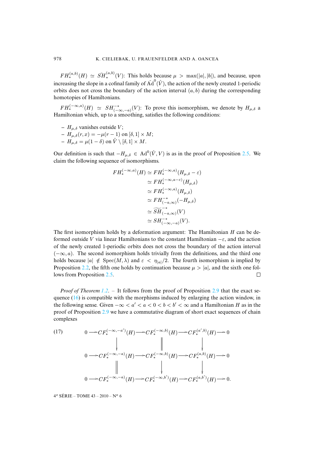$FH^{(a,b)}_*(H) \simeq \widetilde{SH}^{(a,b)}_*(V)$ : This holds because  $\mu > \max(|a|, |b|)$ , and because, upon increasing the slope in a cofinal family of  $\text{Ad}^0(\hat{V})$ , the action of the newly created 1-periodic orbits does not cross the boundary of the action interval  $(a, b)$  during the corresponding homotopies of Hamiltonians.

 $FH^{(-\infty,a)}_*(H) \simeq SH^{-*}_{(-\infty,-a)}(V)$ : To prove this isomorphism, we denote by  $H_{\mu,\delta}$  a Hamiltonian which, up to a smoothing, satisfies the following conditions:

- $H_{\mu,\delta}$  vanishes outside V;
- $H<sub>μ,δ</sub>(r, x) = -μ(r − 1)$  on [δ, 1] × *M*;  $- H_{\mu,\delta} = \mu(1-\delta)$  on  $\hat{V} \setminus [\delta,1] \times M$ .

Our definition is such that  $-H_{\mu,\delta} \in \text{Ad}^0(\hat{V}, V)$  is as in the proof of Proposition [2.5.](#page-17-2) We claim the following sequence of isomorphisms.

$$
FH_*^{(-\infty,a)}(H) \simeq FH_*^{(-\infty,a)}(H_{\mu,\delta} - \varepsilon)
$$
  
\n
$$
\simeq FH_*^{(-\infty,a-\varepsilon)}(H_{\mu,\delta})
$$
  
\n
$$
\simeq FH_*^{(-\infty,a)}(H_{\mu,\delta})
$$
  
\n
$$
\simeq FH_{(-a,\infty)}^{(-*}(-H_{\mu,\delta})
$$
  
\n
$$
\simeq \widetilde{SH}_{(-a,\infty)}^{-*}(V)
$$
  
\n
$$
\simeq SH_{(-\infty,-a)}^{-*}(V).
$$

The first isomorphism holds by a deformation argument: The Hamiltonian H can be deformed outside V via linear Hamiltonians to the constant Hamiltonian  $-\varepsilon$ , and the action of the newly created 1-periodic orbits does not cross the boundary of the action interval  $(-\infty, a)$ . The second isomorphism holds trivially from the definitions, and the third one holds because  $|a| \notin \text{Spec}(M, \lambda)$  and  $\varepsilon < \eta_{|a|}/2$ . The fourth isomorphism is implied by Proposition [2.2,](#page-15-0) the fifth one holds by continuation because  $\mu > |a|$ , and the sixth one follows from Proposition 2.5. lows from Proposition [2.5.](#page-17-2)

*Proof of Theorem [1.2](#page-2-2)*. – It follows from the proof of Proposition [2.9](#page-20-1) that the exact sequence  $(16)$  is compatible with the morphisms induced by enlarging the action window, in the following sense. Given  $-\infty < a' < a < 0 < b < b' < \infty$  and a Hamiltonian H as in the proof of Proposition [2.9](#page-20-1) we have a commutative diagram of short exact sequences of chain complexes

(17) 
$$
0 \longrightarrow CF_*^{(-\infty, -a')}(H) \longrightarrow CF_*^{(-\infty, b)}(H) \longrightarrow CF_*^{(a', b)}(H) \longrightarrow 0
$$
\n
$$
\downarrow \qquad \qquad \downarrow \qquad \qquad \downarrow
$$
\n
$$
0 \longrightarrow CF_*^{(-\infty, -a)}(H) \longrightarrow CF_*^{(-\infty, b)}(H) \longrightarrow CF_*^{(a, b)}(H) \longrightarrow 0
$$
\n
$$
\downarrow \qquad \qquad \downarrow
$$
\n
$$
0 \longrightarrow CF_*^{(-\infty, -a)}(H) \longrightarrow CF_*^{(-\infty, b')}(H) \longrightarrow CF_*^{(a, b')}(H) \longrightarrow 0.
$$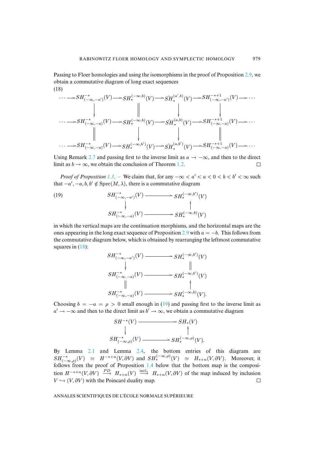Passing to Floer homologies and using the isomorphisms in the proof of Proposition [2.9,](#page-20-1) we obtain a commutative diagram of long exact sequences (18)

<span id="page-23-0"></span>
$$
\cdots \longrightarrow SH_{(-\infty, -a')}^{-*}(V) \longrightarrow SH_*^{(-\infty, b)}(V) \longrightarrow SH_{*}^{(a', b)}(V) \longrightarrow SH_{(-\infty, -a')}^{-*+1}(V) \longrightarrow \cdots
$$
  
\n
$$
\downarrow \qquad \qquad \downarrow \qquad \qquad \downarrow \qquad \qquad \downarrow
$$
  
\n
$$
\cdots \longrightarrow SH_{(-\infty, -a)}^{-*}(V) \longrightarrow SH_{*}^{(-\infty, b)}(V) \longrightarrow SH_{*}^{(a, b)}(V) \longrightarrow SH_{(-\infty, -a)}^{-*+1}(V) \longrightarrow \cdots
$$
  
\n
$$
\downarrow \qquad \qquad \downarrow \qquad \qquad \downarrow
$$
  
\n
$$
\cdots \longrightarrow SH_{(-\infty, -a)}^{-*}(V) \longrightarrow SH_{*}^{(-\infty, b')}(V) \longrightarrow SH_{*}^{(a, b')}(V) \longrightarrow SH_{(-\infty, -a)}^{-*+1}(V) \longrightarrow \cdots
$$

Using Remark [2.7](#page-20-3) and passing first to the inverse limit as  $a \to -\infty$ , and then to the direct limit as  $b \to \infty$ , we obtain the conclusion of Theorem 1.2. limit as  $b \to \infty$ , we obtain the conclusion of Theorem [1.2.](#page-2-2)

*Proof of Proposition* [1.3](#page-2-1). – We claim that, for any  $-\infty < a' < a < 0 < b < b' < \infty$  such that  $-a', -a, b, b' \notin Spec(M, \lambda)$ , there is a commutative diagram

<span id="page-23-1"></span>(19) 
$$
SH^{-*}_{(-\infty, -a')}(V) \longrightarrow SH^{(-\infty, b')}_{*}(V)
$$
\n
$$
\downarrow \qquad \qquad \downarrow
$$
\n
$$
SH^{-*}_{(-\infty, -a)}(V) \longrightarrow SH^{(-\infty, b)}_{*}(V)
$$

in which the vertical maps are the continuation morphisms, and the horizontal maps are the ones appearing in the long exact sequence of Proposition [2.9](#page-20-1) with  $a = -b$ . This follows from the commutative diagram below, which is obtained by rearranging the leftmost commutative squares in  $(18)$ :

$$
SH^{-*}_{(-\infty, -a')}(V) \longrightarrow SH^{(-\infty, b')}_{*}(V)
$$
\n
$$
\downarrow \qquad \qquad \parallel
$$
\n
$$
SH^{-*}_{(-\infty, -a)}(V) \longrightarrow SH^{(-\infty, b')}_{*}(V)
$$
\n
$$
\parallel \qquad \qquad \downarrow
$$
\n
$$
SH^{(-\infty, b')}_{(-\infty, -a)}(V) \longrightarrow SH^{(-\infty, b)}_{*}(V).
$$

Choosing  $b = -a = \rho > 0$  small enough in [\(19\)](#page-23-1) and passing first to the inverse limit as  $a' \rightarrow -\infty$  and then to the direct limit as  $b' \rightarrow \infty$ , we obtain a commutative diagram

$$
SH^{-*}(V) \longrightarrow SH_*(V)
$$
  
\n
$$
\downarrow \qquad \qquad \uparrow
$$
  
\n
$$
SH_{(-\infty,\rho)}^{-*}(V) \longrightarrow SH_*^{(-\infty,\rho)}(V).
$$

By Lemma [2.1](#page-13-0) and Lemma [2.4,](#page-17-0) the bottom entries of this diagram are  $SH^{-*}_{(-\infty,\rho)}(V) \simeq H^{-*+n}(V,\partial V)$  and  $SH^{(-\infty,\rho)}_{*}(V) \simeq H_{*+n}(V,\partial V)$ . Moreover, it follows from the proof of Proposition  $1.4$  below that the bottom map is the composition  $H^{-*+n}(V, \partial V) \stackrel{PD}{\longrightarrow} H_{*+n}(V) \stackrel{\text{incl}_*}{\longrightarrow} H_{*+n}(V, \partial V)$  of the map induced by inclusion  $V \hookrightarrow (V, \partial V)$  with the Poincaré duality map.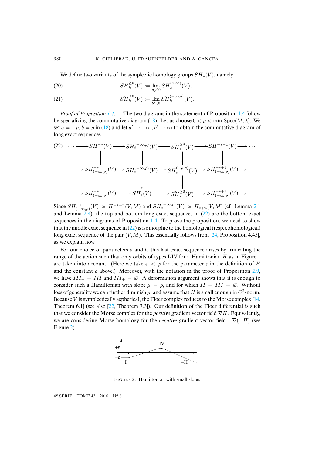<span id="page-24-2"></span>We define two variants of the symplectic homology groups  $\widetilde{SH}_*(V)$ , namely

(20) 
$$
\widetilde{SH}_{k}^{\geq 0}(V) := \lim_{a \nearrow 0} \widetilde{SH}_{k}^{(a,\infty)}(V),
$$

(21) 
$$
\tilde{SH}_k^{\leq 0}(V) := \lim_{b \searrow 0} \tilde{SH}_k^{(-\infty, b)}(V).
$$

*Proof of Proposition [1.4](#page-3-5)*. – The two diagrams in the statement of Proposition [1.4](#page-3-5) follow by specializing the commutative diagram [\(18\)](#page-23-0). Let us choose  $0 < \rho < \min$  Spec $(M, \lambda)$ . We set  $a = -\rho$ ,  $b = \rho$  in [\(18\)](#page-23-0) and let  $a' \to -\infty$ ,  $b' \to \infty$  to obtain the commutative diagram of long exact sequences

<span id="page-24-0"></span>
$$
(22) \cdots \longrightarrow SH^{-*}(V) \longrightarrow SH^{(-\infty,\rho)}_{*}(V) \longrightarrow SH^{(\leq 0)}_{*}(V) \longrightarrow SH^{-*+1}(V) \longrightarrow \cdots
$$
  
\n
$$
\downarrow \qquad \qquad \downarrow \qquad \qquad \downarrow
$$
  
\n
$$
\cdots \longrightarrow SH^{(-\infty,\rho)}_{(-\infty,\rho)}(V) \longrightarrow SH^{(-\infty,\rho)}_{*}(V) \longrightarrow SH^{(-\rho,\rho)}_{*}(V) \longrightarrow SH^{-*+1}_{(-\infty,\rho)}(V) \longrightarrow \cdots
$$
  
\n
$$
\downarrow \qquad \qquad \downarrow \qquad \qquad \downarrow
$$
  
\n
$$
\cdots \longrightarrow SH^{-*}_{(-\infty,\rho)}(V) \longrightarrow SH^{*}(V) \longrightarrow SH^{*(V)}_{*}(V) \longrightarrow SH^{**+1}_{(-\infty,\rho)}(V) \longrightarrow \cdots
$$

Since  $SH^{-*}_{(-\infty,\rho)}(V) \simeq H^{-*+n}(V,M)$  and  $SH^{(-\infty,\rho)}_{*}(V) \simeq H_{*+n}(V,M)$  (cf. Lemma [2.1](#page-13-0)) and Lemma  $2.4$ ), the top and bottom long exact sequences in  $(22)$  are the bottom exact sequences in the diagrams of Proposition [1.4.](#page-3-5) To prove the proposition, we need to show that the middle exact sequence in  $(22)$  is isomorphic to the homological (resp. cohomological) long exact sequence of the pair  $(V, M)$ . This essentially follows from [\[24,](#page-58-18) Proposition 4.45], as we explain now.

For our choice of parameters  $a$  and  $b$ , this last exact sequence arises by truncating the range of the action such that only orbits of types I-IV for a Hamiltonian  $H$  as in Figure [1](#page-20-0) are taken into account. (Here we take  $\varepsilon < \rho$  for the parameter  $\varepsilon$  in the definition of H and the constant  $\rho$  above.) Moreover, with the notation in the proof of Proposition [2.9,](#page-20-1) we have  $III_ = III$  and  $III_ + = \emptyset$ . A deformation argument shows that it is enough to consider such a Hamiltonian with slope  $\mu = \rho$ , and for which  $II = III = \emptyset$ . Without loss of generality we can further diminish  $\rho$ , and assume that H is small enough in  $C^2$ -norm. Because V is symplectically aspherical, the Floer complex reduces to the Morse complex  $[14,$ Theorem 6.1] (see also  $[22,$  Theorem 7.3]). Our definition of the Floer differential is such that we consider the Morse complex for the *positive* gradient vector field ∇H. Equivalently, we are considering Morse homology for the *negative* gradient vector field  $-\nabla(-H)$  (see Figure [2\)](#page-24-1).



<span id="page-24-1"></span>FIGURE 2. Hamiltonian with small slope.

 $4^e$  SÉRIE – TOME  $43 - 2010 - N^o$  6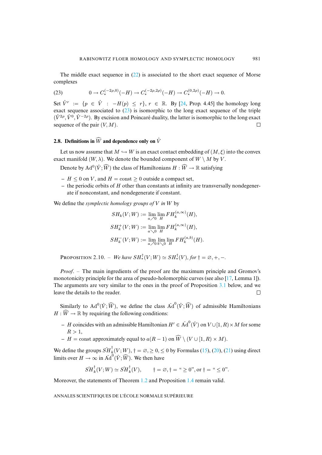The middle exact sequence in  $(22)$  is associated to the short exact sequence of Morse complexes

<span id="page-25-1"></span>(23) 
$$
0 \to C_*^{(-2\rho,0)}(-H) \to C_*^{(-2\rho,2\rho)}(-H) \to C_*^{(0,2\rho)}(-H) \to 0.
$$

Set  $\hat{V}^r := \{p \in \hat{V} : -H(p) \leq r\}, r \in \mathbb{R}$ . By [\[24,](#page-58-18) Prop. 4.45] the homology long exact sequence associated to  $(23)$  is isomorphic to the long exact sequence of the triple  $(\hat{V}^{2\rho}, \hat{V}^{0}, \hat{V}^{-2\rho})$ . By excision and Poincaré duality, the latter is isomorphic to the long exact sequence of the pair  $(V, M)$ .  $\Box$ 

## <span id="page-25-0"></span>**2.8.** Definitions in  $\widehat{W}$  and dependence only on  $\hat{V}$

Let us now assume that  $M \hookrightarrow W$  is an exact contact embedding of  $(M, \xi)$  into the convex exact manifold  $(W, \lambda)$ . We denote the bounded component of  $W \setminus M$  by V.

Denote by  $\operatorname{Ad}^0(\hat{V}; \widehat{W})$  the class of Hamiltonians  $H : \widehat{W} \to \mathbb{R}$  satisfying

- $H \leq 0$  on V, and  $H = \text{const} \geq 0$  outside a compact set,
- **–** the periodic orbits of H other than constants at infinity are transversally nondegenerate if nonconstant, and nondegenerate if constant.

We define the *symplectic homology groups of* V *in* W by

$$
SH_k(V; W) := \lim_{a \nearrow 0} \lim_{H} FH_k^{(a, \infty)}(H),
$$
  
\n
$$
SH_k^+(V; W) := \lim_{a \searrow 0} \lim_{H} FH_k^{(a, \infty)}(H),
$$
  
\n
$$
SH_k^-(V; W) := \lim_{a \nearrow 0} \lim_{b \searrow 0} \lim_{H} FH_k^{(a, b)}(H).
$$

**PROPOSITION** 2.10. – We have  $SH^{\mathsf{T}}_{*}(V; W) \simeq SH^{\mathsf{T}}_{*}(V)$ , for  $\dagger = \emptyset, +, -$ .

*Proof*. – The main ingredients of the proof are the maximum principle and Gromov's monotonicity principle for the area of pseudo-holomorphic curves (see also [\[17,](#page-58-20) Lemma 1]). The arguments are very similar to the ones in the proof of Proposition [3.1](#page-27-0) below, and we leave the details to the reader.  $\Box$ 

Similarly to  $\text{Ad}^0(\hat{V}; \widehat{W})$ , we define the class  $\text{Ad}^0(\hat{V}; \widehat{W})$  of admissible Hamiltonians  $H: W \to \mathbb{R}$  by requiring the following conditions:

- **–** *H* coincides with an admissible Hamiltonian  $H' \in \text{Ad}^0(\hat{V})$  on  $V \cup [1, R) \times M$  for some  $R > 1$ ,
- $H = \text{const}$  approximately equal to  $a(R-1)$  on  $W \setminus (V \cup [1, R) \times M)$ .

We define the groups  $\check{SH}_{k}^{\dagger}(V;W)$ ,  $\dagger = \emptyset, \geq 0, \leq 0$  by Formulas [\(15\)](#page-19-1), [\(20\)](#page-24-2), [\(21\)](#page-24-2) using direct limits over  $H \to \infty$  in  $\text{Ad}^0(\hat{V}; \widehat{W})$ . We then have

$$
\check{SH}_k^{\dagger}(V;W) \simeq \check{SH}_k^{\dagger}(V), \qquad \dagger = \varnothing, \dagger = \text{``} \geq 0 \text{''}, \text{or } \dagger = \text{``} \leq 0 \text{''}.
$$

Moreover, the statements of Theorem [1.2](#page-2-2) and Proposition [1.4](#page-3-5) remain valid.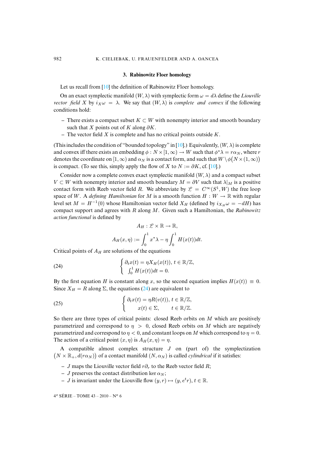#### **3. Rabinowitz Floer homology**

<span id="page-26-0"></span>Let us recall from [\[10\]](#page-58-1) the definition of Rabinowitz Floer homology.

On an exact symplectic manifold  $(W, \lambda)$  with symplectic form  $\omega = d\lambda$  define the *Liouville vector field* X by  $i_X \omega = \lambda$ . We say that  $(W, \lambda)$  is *complete and convex* if the following conditions hold:

- **–** There exists a compact subset K ⊂ W with nonempty interior and smooth boundary such that X points out of K along  $\partial K$ .
- **–** The vector field X is complete and has no critical points outside K.

(This includes the condition of "bounded topology" in [\[10\]](#page-58-1).) Equivalently,  $(W, \lambda)$  is complete and convex iff there exists an embedding  $\phi : N \times [1,\infty) \to W$  such that  $\phi^* \lambda = r \alpha_N$ , where r denotes the coordinate on  $[1,\infty)$  and  $\alpha_N$  is a contact form, and such that  $W\setminus \phi\big(N\times (1,\infty)\big)$ is compact. (To see this, simply apply the flow of X to  $N := \partial K$ , cf. [\[10\]](#page-58-1).)

Consider now a complete convex exact symplectic manifold  $(W, \lambda)$  and a compact subset  $V \subset W$  with nonempty interior and smooth boundary  $M = \partial V$  such that  $\lambda|_M$  is a positive contact form with Reeb vector field R. We abbreviate by  $\mathcal{L} = C^{\infty}(S^1, W)$  the free loop space of W. A *defining Hamiltonian* for M is a smooth function  $H : W \to \mathbb{R}$  with regular level set  $M = H^{-1}(0)$  whose Hamiltonian vector field  $X_H$  (defined by  $i_{X_H} \omega = -dH$ ) has compact support and agrees with R along M. Given such a Hamiltonian, the *Rabinowitz action functional* is defined by

<span id="page-26-1"></span>
$$
A_H: \mathcal{L} \times \mathbb{R} \to \mathbb{R},
$$
  

$$
A_H(x, \eta) := \int_0^1 x^* \lambda - \eta \int_0^1 H(x(t)) dt.
$$

Critical points of  $A_H$  are solutions of the equations

(24) 
$$
\begin{cases} \partial_t x(t) = \eta X_H(x(t)), \, t \in \mathbb{R}/\mathbb{Z}, \\ \int_0^1 H(x(t)) dt = 0. \end{cases}
$$

By the first equation H is constant along x, so the second equation implies  $H(x(t)) \equiv 0$ . Since  $X_H = R$  along  $\Sigma$ , the equations [\(24\)](#page-26-1) are equivalent to

(25) 
$$
\begin{cases} \partial_t x(t) = \eta R(v(t)), \ t \in \mathbb{R}/\mathbb{Z}, \\ x(t) \in \Sigma, \qquad t \in \mathbb{R}/\mathbb{Z}. \end{cases}
$$

So there are three types of critical points: closed Reeb orbits on M which are positively parametrized and correspond to  $\eta > 0$ , closed Reeb orbits on M which are negatively parametrized and correspond to  $\eta < 0$ , and constant loops on M which correspond to  $\eta = 0$ . The action of a critical point  $(x, \eta)$  is  $A_H(x, \eta) = \eta$ .

A compatible almost complex structure  $J$  on (part of) the symplectization  $(N \times \mathbb{R}_+, d(r\alpha_N))$  of a contact manifold  $(N, \alpha_N)$  is called *cylindrical* if it satisfies:

- $-$  J maps the Liouville vector field  $r\partial_r$  to the Reeb vector field R;
- $\overline{\phantom{a}}$  J preserves the contact distribution ker  $\alpha_N$ ;
- $-I$  is invariant under the Liouville flow  $(y, r) \mapsto (y, e^t r), t \in \mathbb{R}$ .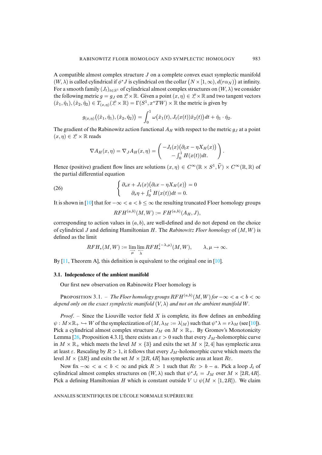A compatible almost complex structure J on a complete convex exact symplectic manifold  $(W, \lambda)$  is called cylindrical if  $\phi^* J$  is cylindrical on the collar  $(N \times [1, \infty), d(r \alpha_N))$  at infinity. For a smooth family  $(J_t)_{t\in S^1}$  of cylindrical almost complex structures on  $(W, \lambda)$  we consider the following metric  $g = g_J$  on  $\mathcal{L} \times \mathbb{R}$ . Given a point  $(x, \eta) \in \mathcal{L} \times \mathbb{R}$  and two tangent vectors  $(\hat{x}_1, \hat{\eta}_1), (\hat{x}_2, \hat{\eta}_2) \in T_{(x,\eta)}(\mathcal{L} \times \mathbb{R}) = \Gamma(S^1, x^*TW) \times \mathbb{R}$  the metric is given by

$$
g_{(x,\eta)}((\hat{x}_1,\hat{\eta}_1),(\hat{x}_2,\hat{\eta}_2)) = \int_0^1 \omega(\hat{x}_1(t),J_t(x(t))\hat{x}_2(t))dt + \hat{\eta}_1 \cdot \hat{\eta}_2.
$$

The gradient of the Rabinowitz action functional  $A_H$  with respect to the metric  $g_J$  at a point  $(x, \eta) \in \mathcal{L} \times \mathbb{R}$  reads

$$
\nabla A_H(x,\eta) = \nabla_J A_H(x,\eta) = \begin{pmatrix} -J_t(x)\big(\partial_t x - \eta X_H(x)\big) \\ -\int_0^1 H(x(t))dt. \end{pmatrix}.
$$

Hence (positive) gradient flow lines are solutions  $(x, \eta) \in C^{\infty}(\mathbb{R} \times S^1, \hat{V}) \times C^{\infty}(\mathbb{R}, \mathbb{R})$  of the partial differential equation

(26) 
$$
\begin{cases} \partial_s x + J_t(x) (\partial_t x - \eta X_H(x)) = 0 \\ \partial_s \eta + \int_0^1 H(x(t)) dt = 0. \end{cases}
$$

It is shown in [\[10\]](#page-58-1) that for  $-\infty < a < b \leq \infty$  the resulting truncated Floer homology groups

<span id="page-27-1"></span>
$$
RFH^{(a,b)}(M,W):=FH^{(a,b)}(A_H,J),
$$

corresponding to action values in  $(a, b)$ , are well-defined and do not depend on the choice of cylindrical J and defining Hamiltonian H. The *Rabinowitz Floer homology* of (M,W) is defined as the limit

$$
RFH_*(M,W):=\lim_{\overrightarrow{\mu}}\lim_{\overleftarrow{\lambda}}RFH_*^{(-\lambda,\mu)}(M,W),\qquad\lambda,\mu\to\infty.
$$

By  $[11]$ , Theorem A, this definition is equivalent to the original one in  $[10]$ .

#### **3.1. Independence of the ambient manifold**

Our first new observation on Rabinowitz Floer homology is

<span id="page-27-0"></span>PROPOSITION 3.1. – *The Floer homology groups*  $RFH^{(a,b)}(M,W)$  for  $-\infty < a < b < \infty$ *depend only on the exact symplectic manifold* (V, λ) *and not on the ambient manifold* W*.*

*Proof*. – Since the Liouville vector field X is complete, its flow defines an embedding  $\psi : M \times \mathbb{R}_+ \hookrightarrow W$  of the symplectization of  $(M, \lambda_M := \lambda_M)$  such that  $\psi^* \lambda = r \lambda_M$  (see [\[10\]](#page-58-1)). Pick a cylindrical almost complex structure  $J_M$  on  $M \times \mathbb{R}_+$ . By Gromov's Monotonicity Lemma [\[26,](#page-59-4) Proposition 4.3.1], there exists an  $\varepsilon > 0$  such that every  $J_M$ -holomorphic curve in  $M \times \mathbb{R}_+$  which meets the level  $M \times \{3\}$  and exits the set  $M \times [2, 4]$  has symplectic area at least  $\varepsilon$ . Rescaling by  $R > 1$ , it follows that every  $J_M$ -holomorphic curve which meets the level  $M \times \{3R\}$  and exits the set  $M \times [2R, 4R]$  has symplectic area at least  $R_{\epsilon}$ .

Now fix  $-\infty < a < b < \infty$  and pick  $R > 1$  such that  $R\varepsilon > b - a$ . Pick a loop  $J_t$  of cylindrical almost complex structures on  $(W, \lambda)$  such that  $\psi^* J_t = J_M$  over  $M \times [2R, 4R]$ . Pick a defining Hamiltonian H which is constant outside  $V \cup \psi(M \times [1, 2R])$ . We claim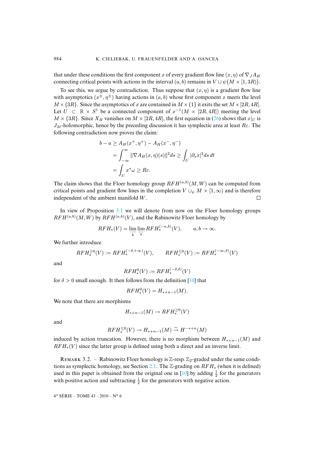that under these conditions the first component x of every gradient flow line  $(x, \eta)$  of  $\nabla_J A_H$ connecting critical points with actions in the interval  $(a, b)$  remains in  $V \cup \psi(M \times [1, 3R)).$ 

To see this, we argue by contradiction. Thus suppose that  $(x, \eta)$  is a gradient flow line with asymptotics  $(x^{\pm}, \eta^{\pm})$  having actions in  $(a, b)$  whose first component x meets the level  $M \times \{3R\}$ . Since the asymptotics of x are contained in  $M \times \{1\}$  it exits the set  $M \times [2R, 4R]$ . Let  $U$  ⊂  $\mathbb{R} \times S^1$  be a connected component of  $x^{-1}(M \times [2R, 4R])$  meeting the level  $M \times \{3R\}$ . Since  $X_H$  vanishes on  $M \times [2R, 4R]$ , the first equation in [\(26\)](#page-27-1) shows that  $x|_U$  is  $J_M$ -holomorphic, hence by the preceding discussion it has symplectic area at least  $R\epsilon$ . The following contradiction now proves the claim:

$$
b - a \ge A_H(x^+, \eta^+) - A_H(x^-, \eta^-)
$$
  
= 
$$
\int_{-\infty}^{\infty} ||\nabla A_H(x, \eta)(s)||^2 ds \ge \int_U |\partial_s x|^2 ds dt
$$
  
= 
$$
\int_U x^* \omega \ge R\varepsilon.
$$

The claim shows that the Floer homology group  $RFH^{(a,b)}(M, W)$  can be computed from critical points and gradient flow lines in the completion  $V \cup_{\psi} M \times [1, \infty)$  and is therefore independent of the ambient manifold W. independent of the ambient manifold W.

In view of Proposition [3.1](#page-27-0) we will denote from now on the Floer homology groups  $RFH^{(a,b)}(M, W)$  by  $RFH^{(a,b)}(V)$ , and the Rabinowitz Floer homology by

$$
RFH_*(V) = \lim_{\overrightarrow{b}} \lim_{a \to \overrightarrow{a}} RFH_*^{(-a,b)}(V), \qquad a, b \to \infty.
$$

We further introduce

$$
RFH_*^{\geq 0}(V) := RFH_*^{(-\delta, +\infty)}(V), \qquad RFH_*^{\leq 0}(V) := RFH_*^{(-\infty, \delta)}(V)
$$

and

$$
RFH_*^0(V) := RFH_*^{(-\delta,\delta)}(V)
$$

for  $\delta > 0$  small enough. It then follows from the definition [\[10\]](#page-58-1) that

$$
RFH_*^0(V) = H_{*+n-1}(M).
$$

We note that there are morphisms

$$
H_{*+n-1}(M) \to RFH_*^{\geq 0}(V)
$$

and

$$
RFH_*^{\leq 0}(V) \to H_{*+n-1}(M) \stackrel{\sim}{\to} H^{-*+n}(M)
$$

induced by action truncation. However, there is no morphism between  $H_{*+n-1}(M)$  and  $RFH_*(V)$  since the latter group is defined using both a direct and an inverse limit.

<span id="page-28-0"></span>REMARK 3.2. – Rabinowitz Floer homology is  $\mathbb{Z}$ -resp.  $\mathbb{Z}_2$ -graded under the same condi-tions as symplectic homology, see Section [2.1.](#page-11-2) The  $\mathbb{Z}$ -grading on  $RFH_*$  (when it is defined) used in this paper is obtained from the original one in [\[10\]](#page-58-1) by adding  $\frac{1}{2}$  for the generators with positive action and subtracting  $\frac{1}{2}$  for the generators with negative action.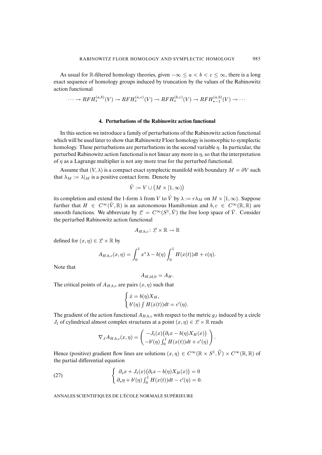As usual for R-filtered homology theories, given  $-\infty \le a < b < c \le \infty$ , there is a long exact sequence of homology groups induced by truncation by the values of the Rabinowitz action functional

$$
\cdots \to RFH_*^{(a,b)}(V) \to RFH_*^{(a,c)}(V) \to RFH_*^{(b,c)}(V) \to RFH_{*-1}^{(a,b)}(V) \to \cdots
$$

#### **4. Perturbations of the Rabinowitz action functional**

<span id="page-29-0"></span>In this section we introduce a family of perturbations of the Rabinowitz action functional which will be used later to show that Rabinowitz Floer homology is isomorphic to symplectic homology. These perturbations are perturbations in the second variable  $\eta$ . In particular, the perturbed Rabinowitz action functional is not linear any more in  $\eta$ , so that the interpretation of  $\eta$  as a Lagrange multiplier is not any more true for the perturbed functional.

Assume that  $(V, \lambda)$  is a compact exact symplectic manifold with boundary  $M = \partial V$  such that  $\lambda_M := \lambda|_M$  is a positive contact form. Denote by

$$
\hat{V}:=V\cup\big(M\times[1,\infty)\big)
$$

its completion and extend the 1-form  $\lambda$  from V to  $\hat{V}$  by  $\lambda := r\lambda_M$  on  $M \times [1,\infty)$ . Suppose further that  $H \in C^{\infty}(\hat{V}, \mathbb{R})$  is an autonomous Hamiltonian and  $b, c \in C^{\infty}(\mathbb{R}, \mathbb{R})$  are smooth functions. We abbreviate by  $\mathcal{L} = C^{\infty}(S^1, \hat{V})$  the free loop space of  $\hat{V}$ . Consider the perturbed Rabinowitz action functional

$$
A_{H,b,c}\colon \mathcal{L}\times \mathbb{R}\to \mathbb{R}
$$

defined for  $(x, \eta) \in \mathcal{L} \times \mathbb{R}$  by

$$
A_{H,b,c}(x,\eta) = \int_0^1 x^*\lambda - b(\eta) \int_0^1 H(x(t))dt + c(\eta).
$$

Note that

$$
A_{H,\mathrm{id},0}=A_H.
$$

The critical points of  $A_{H,b,c}$  are pairs  $(x, \eta)$  such that

$$
\begin{cases} \dot{x} = b(\eta)X_H, \\ b'(\eta) \int H(x(t))dt = c'(\eta). \end{cases}
$$

The gradient of the action functional  $A_{H,b,c}$  with respect to the metric  $g_J$  induced by a circle  $J_t$  of cylindrical almost complex structures at a point  $(x, \eta) \in \mathcal{L} \times \mathbb{R}$  reads

<span id="page-29-1"></span>
$$
\nabla_J A_{H,b,c}(x,\eta) = \begin{pmatrix} -J_t(x)\big(\partial_t x - b(\eta)X_H(x)\big) \\ -b'(\eta)\int_0^1 H(x(t))dt + c'(\eta) \end{pmatrix}.
$$

Hence (positive) gradient flow lines are solutions  $(x, \eta) \in C^{\infty}(\mathbb{R} \times S^1, \hat{V}) \times C^{\infty}(\mathbb{R}, \mathbb{R})$  of the partial differential equation

(27) 
$$
\begin{cases} \partial_s x + J_t(x) (\partial_t x - b(\eta) X_H(x)) = 0 \\ \partial_s \eta + b'(\eta) \int_0^1 H(x(t)) dt - c'(\eta) = 0. \end{cases}
$$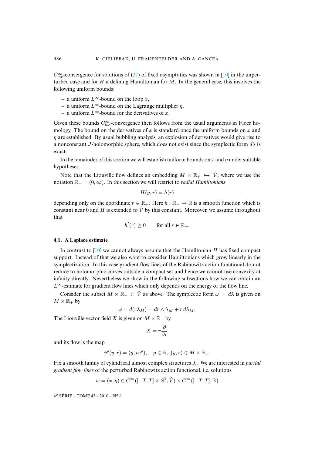$C_{\text{loc}}^{\infty}$ -convergence for solutions of [\(27\)](#page-29-1) of fixed asymptotics was shown in [\[10\]](#page-58-1) in the unperturbed case and for  $H$  a defining Hamiltonian for  $M$ . In the general case, this involves the following uniform bounds:

- a uniform  $L^\infty$ -bound on the loop *x*,
- **–** a uniform L∞-bound on the Lagrange multiplier η,
- **–** a uniform L∞-bound for the derivatives of x.

Given these bounds  $C^{\infty}_{loc}$ -convergence then follows from the usual arguments in Floer homology. The bound on the derivatives of  $x$  is standard once the uniform bounds on  $x$  and  $\eta$  are established: By usual bubbling analysis, an explosion of derivatives would give rise to a nonconstant J-holomorphic sphere, which does not exist since the symplectic form  $d\lambda$  is exact.

In the remainder of this section we will establish uniform bounds on x and  $\eta$  under suitable hypotheses.

Note that the Liouville flow defines an embedding  $M \times \mathbb{R}_+ \hookrightarrow \hat{V}$ , where we use the notation  $\mathbb{R}_+ = (0, \infty)$ . In this section we will restrict to *radial Hamiltonians* 

$$
H(y,r) = h(r)
$$

depending only on the coordinate  $r \in \mathbb{R}_+$ . Here  $h : \mathbb{R}_+ \to \mathbb{R}$  is a smooth function which is constant near 0 and H is extended to  $\hat{V}$  by this constant. Moreover, we assume throughout that

$$
h'(r) \ge 0 \qquad \text{for all } r \in \mathbb{R}_+.
$$

#### **4.1. A Laplace estimate**

In contrast to  $[10]$  we cannot always assume that the Hamiltonian H has fixed compact support. Instead of that we also want to consider Hamiltonians which grow linearly in the symplectization. In this case gradient flow lines of the Rabinowitz action functional do not reduce to holomorphic curves outside a compact set and hence we cannot use convexity at infinity directly. Nevertheless we show in the following subsections how we can obtain an L∞-estimate for gradient flow lines which only depends on the energy of the flow line.

Consider the subset  $M \times \mathbb{R}_+ \subset \hat{V}$  as above. The symplectic form  $\omega = d\lambda$  is given on  $M \times \mathbb{R}_+$  by

$$
\omega = d(r\lambda_M) = dr \wedge \lambda_M + r d\lambda_M.
$$

The Liouville vector field X is given on  $M \times \mathbb{R}_+$  by

$$
X = r\frac{\partial}{\partial r}
$$

and its flow is the map

$$
\phi^{\rho}(y,r) = (y,re^{\rho}), \quad \rho \in \mathbb{R}, \ (y,r) \in M \times \mathbb{R}_{+}.
$$

Fix a smooth family of cylindrical almost complex structures  $J_t$ . We are interested in *partial gradient flow lines* of the perturbed Rabinowitz action functional, i.e. solutions

$$
w = (x, \eta) \in C^{\infty}([-T, T] \times S^1, \hat{V}) \times C^{\infty}([-T, T], \mathbb{R})
$$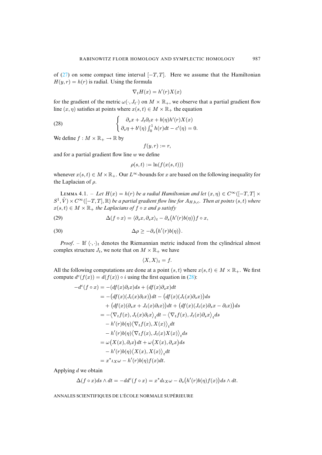of [\(27\)](#page-29-1) on some compact time interval  $[-T, T]$ . Here we assume that the Hamiltonian  $H(y, r) = h(r)$  is radial. Using the formula

<span id="page-31-1"></span>
$$
\nabla_t H(x) = h'(r)X(x)
$$

for the gradient of the metric  $\omega(\cdot, J_t \cdot)$  on  $M \times \mathbb{R}_+$ , we observe that a partial gradient flow line  $(x, \eta)$  satisfies at points where  $x(s, t) \in M \times \mathbb{R}_+$  the equation

(28) 
$$
\begin{cases} \partial_s x + J_t \partial_t x + b(\eta) h'(r) X(x) \\ \partial_s \eta + b'(\eta) \int_0^1 h(r) dt - c'(\eta) = 0. \end{cases}
$$

We define  $f : M \times \mathbb{R}_+ \to \mathbb{R}$  by

$$
f(y,r):=r,
$$

and for a partial gradient flow line  $w$  we define

$$
\rho(s,t) := \ln(f(x(s,t)))
$$

whenever  $x(s, t) \in M \times \mathbb{R}_+$ . Our  $L^{\infty}$ -bounds for x are based on the following inequality for the Laplacian of  $\rho$ .

<span id="page-31-0"></span>LEMMA 4.1. – *Let*  $H(x) = h(r)$  *be a radial Hamiltonian and let*  $(x, \eta) \in C^{\infty}([-T, T] \times$  $S^1$ ,  $\hat{V}$   $\times$   $C^{\infty}$  ( $[-T, T]$ ,  $\mathbb{R}$ ) *be a partial gradient flow line for*  $A_{H,b,c}$ *. Then at points*  $(s, t)$  *where*  $x(s, t) \in M \times \mathbb{R}_+$  *the Laplacians of*  $f \circ x$  *and*  $\rho$  *satisfy* 

(29) 
$$
\Delta(f \circ x) = \langle \partial_s x, \partial_s x \rangle_t - \partial_s (h'(r)b(\eta)) f \circ x,
$$

(30) 
$$
\Delta \rho \geq -\partial_s (h'(r)b(\eta)).
$$

*Proof.* – If  $\langle \cdot, \cdot \rangle_t$  denotes the Riemannian metric induced from the cylindrical almost complex structure  $J_t$ , we note that on  $M \times \mathbb{R}_+$  we have

<span id="page-31-2"></span>
$$
\langle X, X \rangle_t = f.
$$

All the following computations are done at a point  $(s, t)$  where  $x(s, t) \in M \times \mathbb{R}_+$ . We first compute  $d^c(f(x)) = d(f(x)) \circ i$  using the first equation in [\(28\)](#page-31-1):

$$
-d^{c}(f \circ x) = -(df(x)\partial_{t}x)ds + (df(x)\partial_{s}x)dt
$$
  
\n
$$
= -(df(x)(J_{t}(x)\partial_{t}x))dt - (df(x)(J_{t}(x)\partial_{s}x))ds
$$
  
\n
$$
+ (df(x)(\partial_{s}x + J_{t}(x)\partial_{t}x))dt + (df(x)(J_{t}(x)\partial_{s}x - \partial_{t}x))ds
$$
  
\n
$$
= -\langle \nabla_{t}f(x), J_{t}(x)\partial_{t}x \rangle_{t}dt - \langle \nabla_{t}f(x), J_{t}(x)\partial_{s}x \rangle_{t}ds
$$
  
\n
$$
- h'(r)b(\eta)\langle \nabla_{t}f(x), X(x) \rangle_{t}dt
$$
  
\n
$$
- h'(r)b(\eta)\langle \nabla_{t}f(x), J_{t}(x)X(x) \rangle_{t}ds
$$
  
\n
$$
= \omega(X(x), \partial_{t}x)dt + \omega(X(x), \partial_{s}x)ds
$$
  
\n
$$
- h'(r)b(\eta)\langle X(x), X(x) \rangle_{t}dt
$$
  
\n
$$
= x^{*} \iota_{X}\omega - h'(r)b(\eta)f(x)dt.
$$

Applying  $d$  we obtain

$$
\Delta(f\circ x)ds\wedge dt = -dd^c(f\circ x) = x^*d\iota_X\omega - \partial_s\big(h'(r)b(\eta)f(x)\big)ds\wedge dt.
$$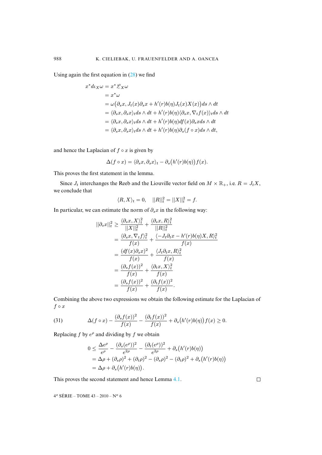Using again the first equation in [\(28\)](#page-31-1) we find

$$
x^* d\iota_X \omega = x^* \mathcal{L}_X \omega
$$
  
=  $x^* \omega$   
=  $\omega (\partial_s x, J_t(x) \partial_s x + h'(r) b(\eta) J_t(x) X(x)) ds \wedge dt$   
=  $\langle \partial_s x, \partial_s x \rangle_t ds \wedge dt + h'(r) b(\eta) \langle \partial_s x, \nabla_t f(x) \rangle_t ds \wedge dt$   
=  $\langle \partial_s x, \partial_s x \rangle_t ds \wedge dt + h'(r) b(\eta) df(x) \partial_s x ds \wedge dt$   
=  $\langle \partial_s x, \partial_s x \rangle_t ds \wedge dt + h'(r) b(\eta) \partial_s (f \circ x) ds \wedge dt,$ 

and hence the Laplacian of  $f \circ x$  is given by

$$
\Delta(f \circ x) = \langle \partial_s x, \partial_s x \rangle_t - \partial_s (h'(r)b(\eta)) f(x).
$$

This proves the first statement in the lemma.

Since  $J_t$  interchanges the Reeb and the Liouville vector field on  $M \times \mathbb{R}_+$ , i.e.  $R = J_t X$ , we conclude that

$$
\langle R, X \rangle_t = 0, \quad ||R||_t^2 = ||X||_t^2 = f.
$$

In particular, we can estimate the norm of  $\partial_s x$  in the following way:

$$
\begin{split} ||\partial_s x||_t^2 &\geq \frac{\langle \partial_s x, X \rangle_t^2}{||X||_t^2} + \frac{\langle \partial_s x, R \rangle_t^2}{||R||_t^2} \\ &= \frac{\langle \partial_s x, \nabla_t f \rangle_t^2}{f(x)} + \frac{\langle -J_t \partial_t x - h'(r)b(\eta)X, R \rangle_t^2}{f(x)} \\ &= \frac{(df(x)\partial_s x)^2}{f(x)} + \frac{\langle J_t \partial_t x, R \rangle_t^2}{f(x)} \\ &= \frac{(\partial_s f(x))^2}{f(x)} + \frac{\langle \partial_t x, X \rangle_t^2}{f(x)} \\ &= \frac{(\partial_s f(x))^2}{f(x)} + \frac{(\partial_t f(x))^2}{f(x)}. \end{split}
$$

Combining the above two expressions we obtain the following estimate for the Laplacian of  $f \circ x$ 

(31) 
$$
\Delta(f \circ x) - \frac{(\partial_s f(x))^2}{f(x)} - \frac{(\partial_t f(x))^2}{f(x)} + \partial_s (h'(r)b(\eta)) f(x) \ge 0.
$$

Replacing f by  $e^{\rho}$  and dividing by f we obtain

$$
0 \le \frac{\Delta e^{\rho}}{e^{\rho}} - \frac{(\partial_s(e^{\rho}))^2}{e^{2\rho}} - \frac{(\partial_t(e^{\rho}))^2}{e^{2\rho}} + \partial_s(h'(r)b(\eta))
$$
  
=  $\Delta \rho + (\partial_s \rho)^2 + (\partial_t \rho)^2 - (\partial_s \rho)^2 - (\partial_t \rho)^2 + \partial_s(h'(r)b(\eta))$   
=  $\Delta \rho + \partial_s(h'(r)b(\eta)).$ 

This proves the second statement and hence Lemma [4.1.](#page-31-0)

4<sup>e</sup> SÉRIE – TOME 43 – 2010 – N<sup>o</sup> 6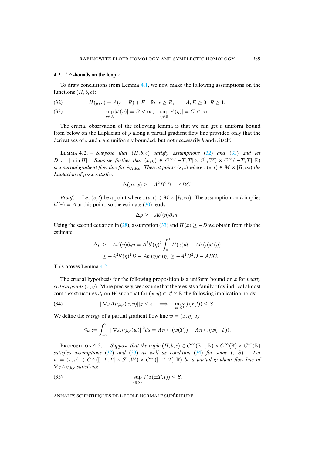### <span id="page-33-6"></span>**4.2.**  $L^\infty$ **-bounds on the loop** x

To draw conclusions from Lemma [4.1,](#page-31-0) we now make the following assumptions on the functions  $(H, b, c)$ :

<span id="page-33-1"></span><span id="page-33-0"></span>(32) 
$$
H(y,r) = A(r - R) + E \text{ for } r \ge R, \qquad A, E \ge 0, R \ge 1.
$$

(33) 
$$
\sup_{\eta \in \mathbb{R}} |b'(\eta)| = B < \infty, \quad \sup_{\eta \in \mathbb{R}} |c'(\eta)| = C < \infty.
$$

The crucial observation of the following lemma is that we can get a uniform bound from below on the Laplacian of  $\rho$  along a partial gradient flow line provided only that the derivatives of  $b$  and  $c$  are uniformly bounded, but not necessarily  $b$  and  $c$  itself.

<span id="page-33-2"></span>L 4.2. – *Suppose that* (H, b, c) *satisfy assumptions* [\(32\)](#page-33-0) *and* [\(33\)](#page-33-1) *and let*  $D := |\min H|$ *. Suppose further that*  $(x, \eta) \in C^{\infty}([-T,T] \times S^1, W) \times C^{\infty}([-T,T], \mathbb{R})$ *is a partial gradient flow line for*  $A_{H,b,c}$ *. Then at points*  $(s,t)$  *where*  $x(s,t) \in M \times [R,\infty)$  *the Laplacian of* ρ ◦ x *satisfies*

$$
\Delta(\rho \circ x) \ge -A^2 B^2 D - ABC.
$$

*Proof.* – Let  $(s, t)$  be a point where  $x(s, t) \in M \times [R, \infty)$ . The assumption on h implies  $h'(r) = A$  at this point, so the estimate [\(30\)](#page-31-2) reads

$$
\Delta \rho \geq -Ab'(\eta)\partial_s \eta.
$$

Using the second equation in [\(28\)](#page-31-1), assumption [\(33\)](#page-33-1) and  $H(x) \ge -D$  we obtain from this the estimate

$$
\Delta \rho \ge -Ab'(\eta)\partial_s \eta = A^2 b'(\eta)^2 \int_0^1 H(x)dt - Ab'(\eta)c'(\eta)
$$
  
 
$$
\ge -A^2 b'(\eta)^2 D - Ab'(\eta)c'(\eta) \ge -A^2 B^2 D - ABC.
$$

This proves Lemma [4.2.](#page-33-2)

The crucial hypothesis for the following proposition is a uniform bound on x for *nearly critical points*  $(x, \eta)$ . More precisely, we assume that there exists a family of cylindrical almost complex structures  $J_t$  on W such that for  $(x, \eta) \in \mathcal{L} \times \mathbb{R}$  the following implication holds:

(34) 
$$
||\nabla_J A_{H,b,c}(x,\eta)||_J \leq \epsilon \implies \max_{t \in S^1} f(x(t)) \leq S.
$$

We define the *energy* of a partial gradient flow line  $w = (x, \eta)$  by

<span id="page-33-4"></span><span id="page-33-3"></span>
$$
\mathcal{E}_w := \int_{-T}^T ||\nabla A_{H,b,c}(w)||^2 ds = A_{H,b,c}(w(T)) - A_{H,b,c}(w(-T)).
$$

<span id="page-33-5"></span>**PROPOSITION 4.3.** – *Suppose that the triple*  $(H, b, c) \in C^{\infty}(\mathbb{R}_{+}, \mathbb{R}) \times C^{\infty}(\mathbb{R}) \times C^{\infty}(\mathbb{R})$ <br>tisfies assumptions (32) and (33) as well as condition (34) for some ( $\varepsilon$ ,  $S$ ). Let *satisfies assumptions* [\(32\)](#page-33-0) *and* [\(33\)](#page-33-1) *as well as condition* [\(34\)](#page-33-3) *for some* ( $\varepsilon$ , S).  $w = (x, \eta) \in C^{\infty}([-T, T] \times S^1, W) \times C^{\infty}([-T, T], \mathbb{R})$  *be a partial gradient flow line of* ∇JAH,b,c *satisfying*

(35) 
$$
\sup_{t \in S^1} f(x(\pm T, t)) \leq S.
$$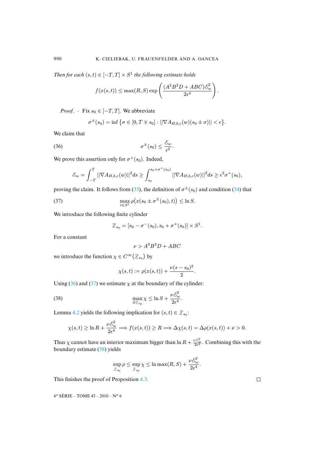*Then for each*  $(s, t) \in [-T, T] \times S^1$  *the following estimate holds* 

$$
f(x(s,t)) \le \max(R, S) \exp\left(\frac{(A^2B^2D + ABC)\mathcal{E}_w^2}{2\epsilon^4}\right).
$$

*Proof.* – Fix  $s_0 \in [-T, T]$ . We abbreviate

<span id="page-34-0"></span>
$$
\sigma^{\pm}(s_0) = \inf \big\{ \sigma \in [0, T \mp s_0] : ||\nabla A_{H,b,c}(w)(s_0 \pm \sigma)|| < \epsilon \big\}.
$$

We claim that

(36) 
$$
\sigma^{\pm}(s_0) \leq \frac{\mathcal{E}_w}{\epsilon^2}.
$$

We prove this assertion only for  $\sigma^+(s_0)$ . Indeed,

$$
\mathcal{E}_w = \int_{-T}^T ||\nabla A_{H,b,c}(w)||^2 ds \ge \int_{s_0}^{s_0 + \sigma^+(s_0)} ||\nabla A_{H,b,c}(w)||^2 ds \ge \epsilon^2 \sigma^+(s_0),
$$

proving the claim. It follows from [\(35\)](#page-33-4), the definition of  $\sigma^{\pm}(s_0)$  and condition [\(34\)](#page-33-3) that

(37) 
$$
\max_{t \in S^1} \rho\big(x(s_0 \pm \sigma^{\pm}(s_0), t)\big) \leq \ln S.
$$

We introduce the following finite cylinder

<span id="page-34-1"></span>
$$
Z_{s_0} = [s_0 - \sigma^-(s_0), s_0 + \sigma^+(s_0)] \times S^1.
$$

For a constant

$$
\nu > A^2 B^2 D + ABC
$$

we introduce the function  $\chi \in C^{\infty}(\mathcal{Z}_{s_0})$  by

<span id="page-34-2"></span>
$$
\chi(s,t) := \rho(x(s,t)) + \frac{\nu(s-s_0)^2}{2}.
$$

Using [\(36\)](#page-34-0) and [\(37\)](#page-34-1) we estimate  $\chi$  at the boundary of the cylinder:

(38) 
$$
\max_{\partial \mathcal{Z}_{s_0}} \chi \leq \ln S + \frac{\nu \mathcal{E}_w^2}{2\epsilon^4}.
$$

Lemma [4.2](#page-33-2) yields the following implication for  $(s, t) \in Z_{s_0}$ :

$$
\chi(s,t) \ge \ln R + \frac{\nu \mathcal{E}_w^2}{2\epsilon^4} \Longrightarrow f(x(s,t)) \ge R \Longrightarrow \Delta \chi(s,t) = \Delta \rho(x(s,t)) + \nu > 0.
$$

Thus  $\chi$  cannot have an interior maximum bigger than  $\ln R + \frac{\nu \mathcal{E}_{w}^2}{2\epsilon^4}$ . Combining this with the boundary estimate [\(38\)](#page-34-2) yields

$$
\sup_{Z_{s_0}} \rho \le \sup_{Z_{s_0}} \chi \le \ln \max(R,S) + \frac{\nu \mathcal{E}_w^2}{2\epsilon^4}.
$$

This finishes the proof of Proposition [4.3.](#page-33-5)

4<sup>e</sup> SÉRIE – TOME 43 – 2010 – N<sup>o</sup> 6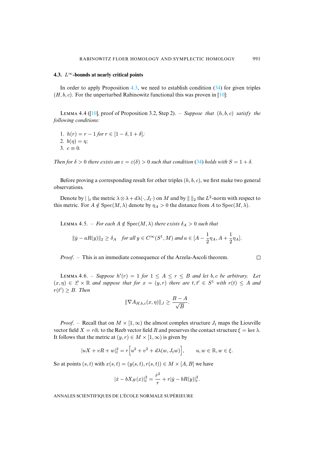#### <span id="page-35-3"></span>**4.3.** L∞**-bounds at nearly critical points**

In order to apply Proposition [4.3,](#page-33-5) we need to establish condition [\(34\)](#page-33-3) for given triples  $(H, b, c)$ . For the unperturbed Rabinowitz functional this was proven in [\[10\]](#page-58-1):

<span id="page-35-2"></span>LEMMA 4.4 ( $[10]$ , proof of Proposition 3.2, Step 2). – *Suppose that*  $(h, b, c)$  *satisfy the following conditions:*

1.  $h(r) = r - 1$  *for*  $r \in [1 - \delta, 1 + \delta]$ ; 2.  $b(\eta) = \eta$ ; 3.  $c \equiv 0$ .

*Then for*  $\delta > 0$  *there exists an*  $\varepsilon = \varepsilon(\delta) > 0$  *such that condition* [\(34\)](#page-33-3) *holds with*  $S = 1 + \delta$ *.* 

Before proving a corresponding result for other triples  $(h, b, c)$ , we first make two general observations.

<span id="page-35-0"></span>Denote by  $||_t$  the metric  $\lambda \otimes \lambda + d\lambda(\cdot, J_t \cdot)$  on M and by  $|| \cdot ||_2$  the  $L^2$ -norm with respect to this metric. For  $A \notin \text{Spec}(M, \lambda)$  denote by  $\eta_A > 0$  the distance from A to  $\text{Spec}(M, \lambda)$ .

LEMMA 4.5. – *For each*  $A \notin \text{Spec}(M, \lambda)$  *there exists*  $\delta_A > 0$  *such that* 

$$
||\dot{y} - aR(y)||_2 \ge \delta_A
$$
 for all  $y \in C^{\infty}(S^1, M)$  and  $a \in [A - \frac{1}{2}\eta_A, A + \frac{1}{2}\eta_A].$ 

*Proof*. – This is an immediate consequence of the Arzela-Ascoli theorem.

 $\Box$ 

<span id="page-35-1"></span>LEMMA 4.6. – *Suppose*  $h'(r) = 1$  *for*  $1 \leq A \leq r \leq B$  *and let* b, *c be arbitrary.* Let  $(x, \eta) \in \mathcal{L} \times \mathbb{R}$  and suppose that for  $x = (y, r)$  there are  $t, t' \in S^1$  with  $r(t) \leq A$  and  $r(t') \geq B$ . Then

$$
\|\nabla A_{H,b,c}(x,\eta)\|_J \ge \frac{B-A}{\sqrt{B}}.
$$

*Proof.* – Recall that on  $M \times [1,\infty)$  the almost complex structure  $J_t$  maps the Liouville vector field  $X = r\partial_r$  to the Reeb vector field R and preserves the contact structure  $\xi = \ker \lambda$ . It follows that the metric at  $(y, r) \in M \times [1, \infty)$  is given by

$$
|uX + vR + w|_t^2 = r[u^2 + v^2 + d\lambda(w, J_t w)], \qquad u, w \in \mathbb{R}, w \in \xi.
$$

So at points  $(s, t)$  with  $x(s, t)=(y(s, t), r(s, t)) \in M \times [A, B]$  we have

$$
|\dot{x} - bX_H(x)|_t^2 = \frac{\dot{r}^2}{r} + r|\dot{y} - bR(y)|_t^2.
$$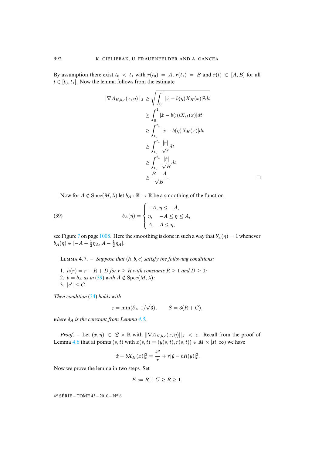By assumption there exist  $t_0 < t_1$  with  $r(t_0) = A$ ,  $r(t_1) = B$  and  $r(t) \in [A, B]$  for all  $t \in [t_0, t_1]$ . Now the lemma follows from the estimate

$$
\begin{aligned} \|\nabla A_{H,b,c}(x,\eta)\|_{J} &\geq \sqrt{\int_0^1 |\dot{x} - b(\eta)X_H(x)|^2 dt} \\ &\geq \int_0^1 |\dot{x} - b(\eta)X_H(x)| dt \\ &\geq \int_{t_0}^{t_1} |\dot{x} - b(\eta)X_H(x)| dt \\ &\geq \int_{t_0}^{t_1} \frac{|\dot{r}|}{\sqrt{r}} dt \\ &\geq \int_{t_0}^{t_1} \frac{|\dot{r}|}{\sqrt{B}} dt \\ &\geq \frac{B - A}{\sqrt{B}}. \end{aligned}
$$

 $\Box$ 

<span id="page-36-0"></span>Now for  $A \notin \text{Spec}(M, \lambda)$  let  $b_A : \mathbb{R} \to \mathbb{R}$  be a smoothing of the function

(39) 
$$
b_A(\eta) = \begin{cases} -A, & \eta \leq -A, \\ \eta, & -A \leq \eta \leq A, \\ A, & A \leq \eta, \end{cases}
$$

see Figure [7](#page-52-0) on page [1008.](#page-52-0) Here the smoothing is done in such a way that  $b'_A(\eta)=1$  whenever  $b_A(\eta) \in [-A + \frac{1}{2}\eta_A, A - \frac{1}{2}\eta_A].$ 

<span id="page-36-1"></span>LEMMA 4.7. – *Suppose that*  $(h, b, c)$  *satisfy the following conditions:* 

- 1.  $h(r) = r R + D$  *for*  $r \ge R$  *with constants*  $R \ge 1$  *and*  $D \ge 0$ *;*
- 2.  $b = b_A$  *as in* [\(39\)](#page-36-0) *with*  $A \notin \text{Spec}(M, \lambda)$ ;
- 3.  $|c'| \leq C$ .

*Then condition* [\(34\)](#page-33-3) *holds with*

$$
\varepsilon = \min(\delta_A, 1/\sqrt{3}), \qquad S = 3(R+C),
$$

*where*  $\delta_A$  *is the constant from Lemma [4.5.](#page-35-0)* 

*Proof.* – Let  $(x, \eta) \in \mathcal{L} \times \mathbb{R}$  with  $\|\nabla A_{H,b,c}(x, \eta)\|_{J} < \varepsilon$ . Recall from the proof of Lemma [4.6](#page-35-1) that at points  $(s, t)$  with  $x(s, t)=(y(s, t), r(s, t)) \in M \times [R, \infty)$  we have

$$
|\dot{x} - bX_H(x)|_t^2 = \frac{\dot{r}^2}{r} + r|\dot{y} - bR(y)|_t^2.
$$

Now we prove the lemma in two steps. Set

$$
E := R + C \ge R \ge 1.
$$

4<sup>e</sup> SÉRIE – TOME 43 – 2010 – N° 6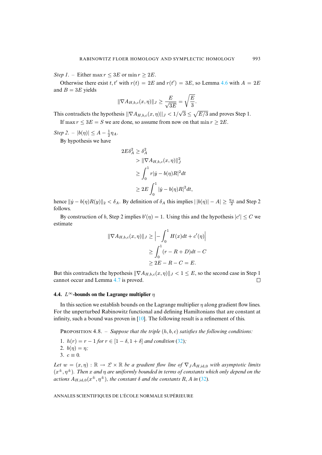*Step 1.* – Either max  $r \leq 3E$  or min  $r \geq 2E$ .

Otherwise there exist t, t' with  $r(t) = 2E$  and  $r(t') = 3E$ , so Lemma [4.6](#page-35-1) with  $A = 2E$ and  $B = 3E$  yields

$$
\|\nabla A_{H,b,c}(x,\eta)\|_{J} \ge \frac{E}{\sqrt{3E}} = \sqrt{\frac{E}{3}}.
$$

This contradicts the hypothesis  $||\nabla A_{H,b,c}(x,\eta)||_J < 1/\sqrt{3} \leq \sqrt{E/3}$  and proves Step 1.

If max  $r \leq 3E = S$  we are done, so assume from now on that min  $r \geq 2E$ .

*Step 2.* –  $|b(\eta)| \le A - \frac{1}{2}\eta_A$ .

By hypothesis we have

$$
2E\delta_A^2 \ge \delta_A^2
$$
  
> 
$$
\|\nabla A_{H,b,c}(x,\eta)\|_J^2
$$
  

$$
\ge \int_0^1 r|\dot{y} - b(\eta)R|^2 dt
$$
  

$$
\ge 2E \int_0^1 |\dot{y} - b(\eta)R|^2 dt,
$$

hence  $||\dot{y} - b(\eta)R(y)||_2 < \delta_A$ . By definition of  $\delta_A$  this implies  $||b(\eta)| - A|| \ge \frac{\eta_A}{2}$  and Step 2 follows.

By construction of b, Step 2 implies  $b'(\eta) = 1$ . Using this and the hypothesis  $|c'| \le C$  we estimate

$$
\|\nabla A_{H,b,c}(x,\eta)\|_{J} \ge \left| - \int_0^1 H(x)dt + c'(\eta) \right|
$$
  

$$
\ge \int_0^1 (r - R + D)dt - C
$$
  

$$
\ge 2E - R - C = E.
$$

But this contradicts the hypothesis  $\|\nabla A_{H,b,c}(x, \eta)\|_J < 1 \le E$ , so the second case in Step 1 cannot occur and Lemma 4.7 is proved. cannot occur and Lemma [4.7](#page-36-1) is proved.

## **4.4.**  $L^{\infty}$ -bounds on the Lagrange multiplier  $\eta$

In this section we establish bounds on the Lagrange multiplier  $\eta$  along gradient flow lines. For the unperturbed Rabinowitz functional and defining Hamiltonians that are constant at infinity, such a bound was proven in  $[10]$ . The following result is a refinement of this.

<span id="page-37-0"></span>**PROPOSITION 4.8.** – *Suppose that the triple*  $(h, b, c)$  *satisfies the following conditions:* 1.  $h(r) = r - 1$  *for*  $r \in [1 - \delta, 1 + \delta]$  *and condition* [\(32\)](#page-33-0)*;* 2.  $b(\eta) = \eta$ ; 3.  $c \equiv 0$ .

*Let*  $w = (x, \eta) : \mathbb{R} \to \mathcal{L} \times \mathbb{R}$  *be a gradient flow line of*  $\nabla_J A_{H, id,0}$  *with asymptotic limits*  $(x^{\pm}, \eta^{\pm})$ *. Then* x and  $\eta$  are uniformly bounded in terms of constants which only depend on the *actions*  $A_{H, id,0}(x^{\pm}, \eta^{\pm})$ *, the constant*  $\delta$  *and the constants* R, A *in* [\(32\)](#page-33-0)*.*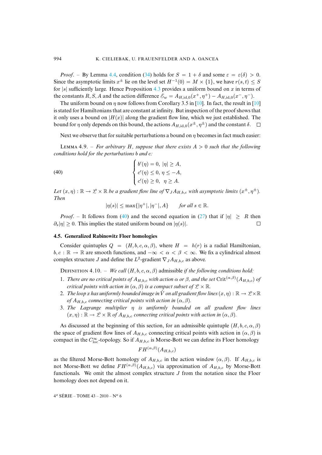*Proof.* – By Lemma [4.4,](#page-35-2) condition [\(34\)](#page-33-3) holds for  $S = 1 + \delta$  and some  $\varepsilon = \varepsilon(\delta) > 0$ . Since the asymptotic limits  $x^{\pm}$  lie on the level set  $H^{-1}(0) = M \times \{1\}$ , we have  $r(s, t) \leq S$ for  $|s|$  sufficiently large. Hence Proposition [4.3](#page-33-5) provides a uniform bound on x in terms of the constants R, S, A and the action difference  $\mathcal{E}_w = A_{H,\text{id},0}(x^+, \eta^+) - A_{H,\text{id},0}(x^-, \eta^-)$ .

The uniform bound on  $\eta$  now follows from Corollary 3.5 in [\[10\]](#page-58-1). In fact, the result in [10] is stated for Hamiltonians that are constant at infinity. But inspection of the proof shows that it only uses a bound on  $|H(x)|$  along the gradient flow line, which we just established. The bound for *n* only depends on this bound, the actions  $A_{H/d,0}(x^{\pm}, n^{\pm})$  and the constant  $\delta$ . bound for  $\eta$  only depends on this bound, the actions  $A_{H,\text{id},0}(x^{\pm}, \eta^{\pm})$  and the constant  $\delta$ .

Next we observe that for suitable perturbations a bound on  $\eta$  becomes in fact much easier:

<span id="page-38-1"></span>LEMMA 4.9. – For arbitrary H, suppose that there exists  $A > 0$  such that the following *conditions hold for the perturbations* b *and* c*:*

(40) 
$$
\begin{cases} b'(\eta) = 0, |\eta| \ge A, \\ c'(\eta) \le 0, \eta \le -A, \\ c'(\eta) \ge 0, \eta \ge A. \end{cases}
$$

*Let*  $(x, \eta) : \mathbb{R} \to \mathcal{L} \times \mathbb{R}$  *be a gradient flow line of*  $\nabla_J A_{H,b,c}$  *with asymptotic limits*  $(x^{\pm}, \eta^{\pm})$ *. Then*

<span id="page-38-0"></span>
$$
|\eta(s)| \le \max\{|\eta^+|, |\eta^-|, A\} \quad \text{for all } s \in \mathbb{R}.
$$

*Proof.* – It follows from [\(40\)](#page-38-0) and the second equation in [\(27\)](#page-29-1) that if  $|\eta| \ge R$  then  $|\eta| > 0$ . This implies the stated uniform bound on  $|\eta(s)|$ .  $\partial_s|\eta| \geq 0$ . This implies the stated uniform bound on  $|\eta(s)|$ .

#### **4.5. Generalized Rabinowitz Floer homologies**

Consider quintuples  $Q = (H, b, c, \alpha, \beta)$ , where  $H = h(r)$  is a radial Hamiltonian,  $b, c : \mathbb{R} \to \mathbb{R}$  are smooth functions, and  $-\infty < \alpha < \beta < \infty$ . We fix a cylindrical almost complex structure J and define the  $L^2$ -gradient  $\nabla_J A_{H,b,c}$  as above.

<span id="page-38-2"></span>DEFINITION 4.10. – *We call*  $(H, b, c, \alpha, \beta)$  admissible *if the following conditions hold*:

- 1. *There are no critical points of*  $A_{H,b,c}$  *with action*  $\alpha$  *or*  $\beta$ *, and the set* Crit $(^\alpha,^\beta)(A_{H,b,c})$  *of critical points with action in*  $(\alpha, \beta)$  *is a compact subset of*  $\mathcal{L} \times \mathbb{R}$ *.*
- 2. *The loop* x has uniformly bounded image in  $\hat{V}$  on all gradient flow lines  $(x, \eta) : \mathbb{R} \to \mathcal{L} \times \mathbb{R}$ *of*  $A_{H,b,c}$  *connecting critical points with action in*  $(\alpha, \beta)$ *.*
- 3. *The Lagrange multiplier* η *is uniformly bounded on all gradient flow lines*  $(x, \eta) : \mathbb{R} \to \mathcal{L} \times \mathbb{R}$  of  $A_{H, b, c}$  connecting critical points with action in  $(\alpha, \beta)$ .

As discussed at the beginning of this section, for an admissible quintuple  $(H, b, c, \alpha, \beta)$ the space of gradient flow lines of  $A_{H,b,c}$  connecting critical points with action in  $(\alpha, \beta)$  is compact in the  $C_{\text{loc}}^{\infty}$ -topology. So if  $A_{H,b,c}$  is Morse-Bott we can define its Floer homology

$$
FH^{(\alpha,\beta)}(A_{H,b,c})
$$

as the filtered Morse-Bott homology of  $A_{H,b,c}$  in the action window  $(\alpha, \beta)$ . If  $A_{H,b,c}$  is not Morse-Bott we define  $FH^{(\alpha,\beta)}(A_{H,b,c})$  via approximation of  $A_{H,b,c}$  by Morse-Bott functionals. We omit the almost complex structure  $J$  from the notation since the Floer homology does not depend on it.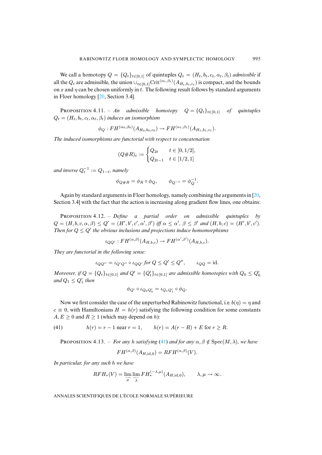We call a homotopy  $Q = \{Q_t\}_{t\in[0,1]}$  of quintuples  $Q_t = (H_t, b_t, c_t, \alpha_t, \beta_t)$  *admissible* if all the  $Q_t$  are admissible, the union  $\cup_{t\in[0,1]} \text{Crit}^{(\alpha_t,\beta_t)}(A_{H_t,b_t,c_t})$  is compact, and the bounds on x and  $\eta$  can be chosen uniformly in t. The following result follows by standard arguments in Floer homology [\[20,](#page-58-15) Section 3.4].

<span id="page-39-1"></span>**PROPOSITION 4.11.** – *An* admissible homotopy  $Q = \{Q_t\}_{t \in [0,1]}$  of quintuples  $Q_t = (H_t, b_t, c_t, \alpha_t, \beta_t)$  *induces an isomorphism* 

$$
\phi_Q: FH^{(\alpha_0, \beta_0)}(A_{H_0, b_0, c_0}) \to FH^{(\alpha_1, \beta_1)}(A_{H_1, b_1, c_1}).
$$

*The induced isomorphisms are functorial with respect to concatenation*

$$
(Q\#R)_t:=\begin{cases} Q_{2t} & t\in [0,1/2],\\ Q_{2t-1} & t\in [1/2,1] \end{cases}
$$

and inverse  $Q_t^{-1} := Q_{1-t}$ , namely

$$
\phi_{Q\#R} = \phi_R \circ \phi_Q, \qquad \phi_{Q^{-1}} = \phi_Q^{-1}.
$$

Again by standard arguments in Floer homology, namely combining the arguments in [\[20,](#page-58-15) Section 3.4] with the fact that the action is increasing along gradient flow lines, one obtains:

PROPOSITION 4.12. – *Define a partial order on admissible quintuples by*  $Q = (H, b, c, \alpha, \beta) \le Q' = (H', b', c', \alpha', \beta')$  iff  $\alpha \le \alpha', \beta \le \beta'$  and  $(H, b, c) = (H', b', c')$ . *Then for*  $Q \leq Q'$  *the obvious inclusions and projections induce homomorphisms* 

$$
\iota_{QQ'}: FH^{(\alpha,\beta)}(A_{H,b,c}) \to FH^{(\alpha',\beta')}(A_{H,b,c}).
$$

*They are functorial in the following sense:*

$$
\iota_{QQ''} = \iota_{Q'Q''} \circ \iota_{QQ'} \text{ for } Q \le Q' \le Q'', \qquad \iota_{QQ} = \text{id}.
$$

*Moreover, if*  $Q = \{Q_t\}_{t \in [0,1]}$  and  $Q' = \{Q'_t\}_{t \in [0,1]}$  are admissible homotopies with  $Q_0 \leq Q'_0$ and  $Q_1 \leq Q'_1$  then

$$
\phi_{Q'} \circ \iota_{Q_0 Q'_0} = \iota_{Q_1 Q'_1} \circ \phi_Q.
$$

Now we first consider the case of the unperturbed Rabinowitz functional, i.e.  $b(\eta) = \eta$  and  $c \equiv 0$ , with Hamiltonians  $H = h(r)$  satisfying the following condition for some constants  $A, E \ge 0$  and  $R \ge 1$  (which may depend on h):

(41) 
$$
h(r) = r - 1 \text{ near } r = 1, \qquad h(r) = A(r - R) + E \text{ for } r \ge R.
$$

<span id="page-39-2"></span><span id="page-39-0"></span>**PROPOSITION 4.13.** – *For any h satisfying* [\(41\)](#page-39-0) *and for any*  $\alpha$ ,  $\beta \notin Spec(M, \lambda)$ *, we have* 

$$
FH^{(\alpha,\beta)}(A_{H,\mathrm{id},0}) = RFH^{(\alpha,\beta)}(V).
$$

*In particular, for any such* h *we have*

$$
RFH_*(V) = \lim_{\overrightarrow{\mu}} \lim_{\overrightarrow{\lambda}} FH^{(-\lambda,\mu)}_*(A_{H,\mathrm{id},0}), \qquad \lambda,\mu \to \infty.
$$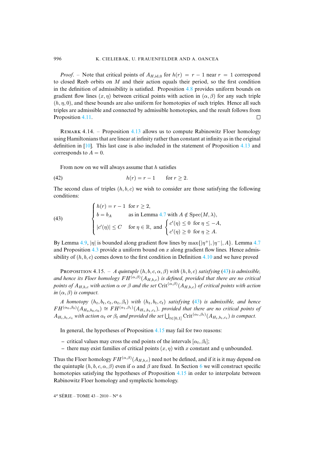*Proof.* – Note that critical points of  $A_{H,\text{id},0}$  for  $h(r) = r - 1$  near  $r = 1$  correspond to closed Reeb orbits on  $M$  and their action equals their period, so the first condition in the definition of admissibility is satisfied. Proposition [4.8](#page-37-0) provides uniform bounds on gradient flow lines  $(x, \eta)$  between critical points with action in  $(\alpha, \beta)$  for any such triple  $(h, \eta, 0)$ , and these bounds are also uniform for homotopies of such triples. Hence all such triples are admissible and connected by admissible homotopies, and the result follows from Proposition [4.11.](#page-39-1)  $\Box$ 

REMARK 4.14. – Proposition [4.13](#page-39-2) allows us to compute Rabinowitz Floer homology using Hamiltonians that are linear at infinity rather than constant at infinity as in the original definition in [\[10\]](#page-58-1). This last case is also included in the statement of Proposition [4.13](#page-39-2) and corresponds to  $A = 0$ .

From now on we will always assume that  $h$  satisfies

$$
(42) \t\t\t h(r) = r - 1 \t\t for \t\t r \ge 2.
$$

The second class of triples  $(h, b, c)$  we wish to consider are those satisfying the following conditions:

<span id="page-40-0"></span>(43) 
$$
\begin{cases} h(r) = r - 1 \text{ for } r \ge 2, \\ b = b_A \text{ as in Lemma 4.7 with } A \notin \text{Spec}(M, \lambda), \\ |c'(\eta)| \le C \text{ for } \eta \in \mathbb{R}, \text{ and } \begin{cases} c'(\eta) \le 0 \text{ for } \eta \le -A, \\ c'(\eta) \ge 0 \text{ for } \eta \ge A. \end{cases}
$$

By Lemma [4.9,](#page-38-1)  $|\eta|$  is bounded along gradient flow lines by max $\{|\eta^+|, |\eta^-|, A\}$ . Lemma [4.7](#page-36-1) and Proposition [4.3](#page-33-5) provide a uniform bound on  $x$  along gradient flow lines. Hence admissibility of  $(h, b, c)$  comes down to the first condition in Definition [4.10](#page-38-2) and we have proved

<span id="page-40-1"></span>**PROPOSITION 4.15.** – *A quintuple*  $(h, b, c, \alpha, \beta)$  *with*  $(h, b, c)$  *satisfying* [\(43\)](#page-40-0) *is admissible,* and hence its Floer homology  $FH^{(\alpha,\beta)}(A_{H,b,c})$  is defined, provided that there are no critical *points of*  $A_{H,b,c}$  *with action*  $\alpha$  *or*  $\beta$  *and the set* Crit $(\alpha,\beta)(A_{H,b,c})$  *of critical points with action in*  $(\alpha, \beta)$  *is compact.* 

*A homotopy*  $(h_t, b_t, c_t, \alpha_t, \beta_t)$  *with*  $(h_t, b_t, c_t)$  *satisfying* [\(43\)](#page-40-0) *is admissible, and hence*  $FH^{(\alpha_0,\beta_0)}(A_{H_0,b_0,c_0}) \cong FH^{(\alpha_1,\beta_1)}(A_{H_1,b_1,c_1})$ , provided that there are no critical points of  $A_{H_t,b_t,c_t}$  *with action*  $\alpha_t$  *or*  $\beta_t$  *and provided the set*  $\bigcup_{t \in [0,1]} \text{Crit}^{(\alpha_t,\beta_t)}(A_{H_t,b_t,c_t})$  *is compact.* 

In general, the hypotheses of Proposition [4.15](#page-40-1) may fail for two reasons:

- **–** critical values may cross the end points of the intervals  $[\alpha_t, \beta_t]$ ;
- there may exist families of critical points  $(x, \eta)$  with x constant and  $\eta$  unbounded.

Thus the Floer homology  $FH^{(\alpha,\beta)}(A_{H,b,c})$  need not be defined, and if it is it may depend on the quintuple  $(h, b, c, \alpha, \beta)$  even if  $\alpha$  and  $\beta$  are fixed. In Section [6](#page-50-0) we will construct specific homotopies satisfying the hypotheses of Proposition [4.15](#page-40-1) in order to interpolate between Rabinowitz Floer homology and symplectic homology.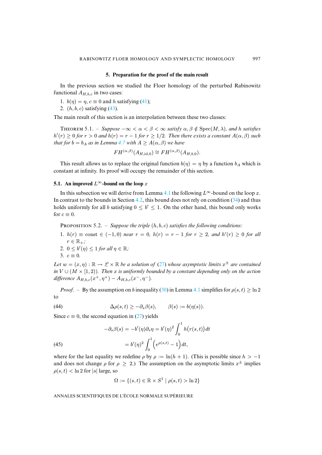## **5. Preparation for the proof of the main result**

<span id="page-41-0"></span>In the previous section we studied the Floer homology of the perturbed Rabinowitz functional  $A_{H,b,c}$  in two cases:

- 1.  $b(\eta) = \eta$ ,  $c \equiv 0$  and h satisfying [\(41\)](#page-39-0);
- 2.  $(h, b, c)$  satisfying  $(43)$ .

<span id="page-41-4"></span>The main result of this section is an interpolation between these two classes:

THEOREM 5.1. – *Suppose*  $-\infty < \alpha < \beta < \infty$  *satisfy*  $\alpha, \beta \notin \text{Spec}(M, \lambda)$ *, and h satisfies*  $h'(r) \geq 0$  *for*  $r > 0$  *and*  $h(r) = r - 1$  *for*  $r \geq 1/2$ *. Then there exists a constant*  $A(\alpha, \beta)$  *such that for*  $b = b_A$  *as in Lemma [4.7](#page-36-1) with*  $A \geq A(\alpha, \beta)$  *we have* 

$$
FH^{(\alpha,\beta)}(A_{H,\mathrm{id},0}) \cong FH^{(\alpha,\beta)}(A_{H,b,0}).
$$

This result allows us to replace the original function  $b(\eta) = \eta$  by a function  $b_A$  which is constant at infinity. Its proof will occupy the remainder of this section.

## **5.1.** An improved  $L^\infty$ -bound on the loop x

In this subsection we will derive from Lemma [4.1](#page-31-0) the following  $L^{\infty}$ -bound on the loop x. In contrast to the bounds in Section [4.2,](#page-33-6) this bound does not rely on condition [\(34\)](#page-33-3) and thus holds uniformly for all b satisfying  $0 \leq b' \leq 1$ . On the other hand, this bound only works for  $c \equiv 0$ .

<span id="page-41-3"></span>**PROPOSITION** 5.2. – *Suppose the triple*  $(h, b, c)$  *satisfies the following conditions:* 

- 1.  $h(r) \equiv \text{const} \in (-1,0)$  *near*  $r = 0$ *,*  $h(r) = r 1$  *for*  $r \ge 2$ *, and*  $h'(r) \ge 0$  *for all*  $r \in \mathbb{R}_+$ ;
- 2.  $0 \le b'(\eta) \le 1$  *for all*  $\eta \in \mathbb{R}$ *;*

$$
3. \, c \equiv 0.
$$

*Let*  $w = (x, \eta) : \mathbb{R} \to \mathcal{L} \times \mathbb{R}$  *be a solution of* [\(27\)](#page-29-1) *whose asymptotic limits*  $x^{\pm}$  *are contained in*  $V \cup (M \times [1, 2))$ *. Then* x *is uniformly bounded by a constant depending only on the action difference*  $A_{H,b,c}(x^+,\eta^+)-A_{H,b,c}(x^-,\eta^-)$ *.* 

*Proof.* – By the assumption on b inequality [\(30\)](#page-31-2) in Lemma [4.1](#page-31-0) simplifies for  $\rho(s,t) > \ln 2$ to

<span id="page-41-1"></span>(44) 
$$
\Delta \rho(s,t) \geq -\partial_s \beta(s), \qquad \beta(s) := b(\eta(s)).
$$

Since  $c \equiv 0$ , the second equation in [\(27\)](#page-29-1) yields

<span id="page-41-2"></span>(45)  
\n
$$
-\partial_s \beta(s) = -b'(\eta)\partial_s \eta = b'(\eta)^2 \int_0^1 h(r(s,t))dt
$$
\n
$$
= b'(\eta)^2 \int_0^1 \left(e^{\rho(s,t)} - 1\right)dt,
$$

where for the last equality we redefine  $\rho$  by  $\rho := \ln(h + 1)$ . (This is possible since  $h > -1$ and does not change  $\rho$  for  $\rho \geq 2$ .) The assumption on the asymptotic limits  $x^{\pm}$  implies  $\rho(s,t)$  < ln 2 for |s| large, so

$$
\Omega := \{(s, t) \in \mathbb{R} \times S^1 \mid \rho(s, t) > \ln 2\}
$$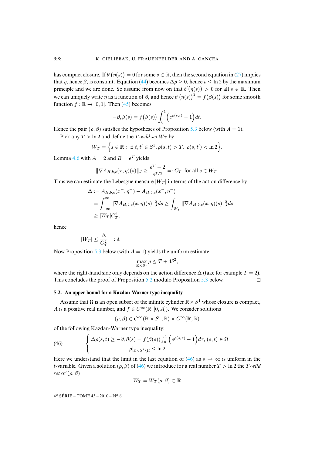has compact closure. If  $b'(\eta(s)) = 0$  for some  $s \in \mathbb{R}$ , then the second equation in [\(27\)](#page-29-1) implies that  $\eta$ , hence  $\beta$ , is constant. Equation [\(44\)](#page-41-1) becomes  $\Delta \rho \geq 0$ , hence  $\rho \leq \ln 2$  by the maximum principle and we are done. So assume from now on that  $b'(\eta(s)) > 0$  for all  $s \in \mathbb{R}$ . Then we can uniquely write  $\eta$  as a function of  $\beta$ , and hence  $b'(\eta(s))^2 = f(\beta(s))$  for some smooth function  $f : \mathbb{R} \to [0, 1]$ . Then [\(45\)](#page-41-2) becomes

$$
-\partial_s \beta(s) = f(\beta(s)) \int_0^1 \Big(e^{\rho(s,t)} - 1\Big) dt.
$$

Hence the pair ( $\rho$ ,  $\beta$ ) satisfies the hypotheses of Proposition [5.3](#page-43-0) below (with  $A = 1$ ).

Pick any  $T > \ln 2$  and define the T-wild set  $W_T$  by

$$
W_T = \Big\{ s \in \mathbb{R} : \ \exists \ t, t' \in S^1, \rho(s, t) > T, \ \rho(s, t') < \ln 2 \Big\}.
$$

Lemma [4.6](#page-35-1) with  $A = 2$  and  $B = e^T$  yields

$$
\|\nabla A_{H,b,c}(x,\eta)(s)\|_J \ge \frac{e^T - 2}{e^{T/2}} =: C_T \text{ for all } s \in W_T.
$$

Thus we can estimate the Lebesgue measure  $|W_T|$  in terms of the action difference by

$$
\Delta := A_{H,b,c}(x^+, \eta^+) - A_{H,b,c}(x^-, \eta^-)
$$
  
= 
$$
\int_{-\infty}^{\infty} || \nabla A_{H,b,c}(x, \eta)(s) ||_J^2 ds \ge \int_{W_T} || \nabla A_{H,b,c}(x, \eta)(s) ||_J^2 ds
$$
  

$$
\ge |W_T| C_T^2,
$$

hence

$$
|W_T| \le \frac{\Delta}{C_T^2} =: \delta.
$$

Now Proposition [5.3](#page-43-0) below (with  $A = 1$ ) yields the uniform estimate

$$
\max_{\mathbb{R} \times S^1} \rho \le T + 4\delta^2,
$$

where the right-hand side only depends on the action difference  $\Delta$  (take for example  $T = 2$ ). This concludes the proof of Proposition [5.2](#page-41-3) modulo Proposition [5.3](#page-43-0) below.  $\Box$ 

#### <span id="page-42-0"></span>**5.2. An upper bound for a Kazdan-Warner type inequality**

Assume that  $\Omega$  is an open subset of the infinite cylinder  $\mathbb{R} \times S^1$  whose closure is compact, A is a positive real number, and  $f \in C^{\infty}(\mathbb{R}, [0, A])$ . We consider solutions

$$
(\rho, \beta) \in C^{\infty}(\mathbb{R} \times S^1, \mathbb{R}) \times C^{\infty}(\mathbb{R}, \mathbb{R})
$$

of the following Kazdan-Warner type inequality:

<span id="page-42-1"></span>(46) 
$$
\begin{cases} \Delta \rho(s,t) \geq -\partial_s \beta(s) = f(\beta(s)) \int_0^1 \left( e^{\rho(s,\tau)} - 1 \right) d\tau, (s,t) \in \Omega \\ \rho|_{\mathbb{R} \times S^1 \setminus \Omega} \leq \ln 2. \end{cases}
$$

Here we understand that the limit in the last equation of [\(46\)](#page-42-1) as  $s \to \infty$  is uniform in the t-variable. Given a solution ( $\rho$ ,  $\beta$ ) of [\(46\)](#page-42-1) we introduce for a real number  $T > \ln 2$  the T-wild *set* of  $(\rho, \beta)$ 

$$
W_T = W_T(\rho, \beta) \subset \mathbb{R}
$$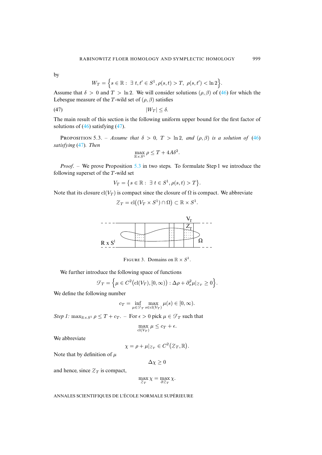by

$$
W_T = \left\{ s \in \mathbb{R} : \exists t, t' \in S^1, \rho(s, t) > T, \ \rho(s, t') < \ln 2 \right\}
$$

Assume that  $\delta > 0$  and  $T > \ln 2$ . We will consider solutions  $(\rho, \beta)$  of [\(46\)](#page-42-1) for which the Lebesgue measure of the T-wild set of  $(\rho, \beta)$  satisfies

$$
|W_T| \leq \delta.
$$

The main result of this section is the following uniform upper bound for the first factor of solutions of  $(46)$  satisfying  $(47)$ .

<span id="page-43-0"></span>**PROPOSITION** 5.3. – *Assume that*  $\delta > 0$ ,  $T > \ln 2$ , and  $(\rho, \beta)$  *is a solution of* [\(46\)](#page-42-1) *satisfying* [\(47\)](#page-43-1)*. Then*

<span id="page-43-1"></span>
$$
\max_{\mathbb{R} \times S^1} \rho \le T + 4A\delta^2.
$$

*Proof.* – We prove Proposition [5.3](#page-43-0) in two steps. To formulate Step 1 we introduce the following superset of the T-wild set

$$
V_T = \big\{ s \in \mathbb{R} : \exists t \in S^1, \rho(s, t) > T \big\}.
$$

Note that its closure  $\text{cl}(V_T)$  is compact since the closure of  $\Omega$  is compact. We abbreviate

$$
\mathcal{Z}_T = \text{cl}((V_T \times S^1) \cap \Omega) \subset \mathbb{R} \times S^1.
$$



FIGURE 3. Domains on  $\mathbb{R} \times S^1$ .

We further introduce the following space of functions

$$
\mathcal{F}_T = \left\{ \mu \in C^2 \big( \mathrm{cl}(V_T), [0, \infty) \big) : \Delta \rho + \partial_s^2 \mu |_{\mathcal{Z}_T} \ge 0 \right\}.
$$

We define the following number

$$
c_T = \inf_{\mu \in \mathcal{F}_T} \max_{s \in \text{cl}(V_T)} \mu(s) \in [0, \infty).
$$

*Step 1:* max $_{\mathbb{R}\times S^1}$   $\rho \leq T + c_T$ . – For  $\epsilon > 0$  pick  $\mu \in \mathcal{F}_T$  such that

$$
\max_{\mathrm{cl}(V_T)} \mu \leq c_T + \epsilon.
$$

We abbreviate

$$
\chi = \rho + \mu|_{\mathcal{Z}_T} \in C^2(\mathcal{Z}_T, \mathbb{R}).
$$

Note that by definition of  $\mu$ 

$$
\Delta \chi \geq 0
$$

and hence, since  $Z_T$  is compact,

$$
\max_{\mathcal{Z}_T} \chi = \max_{\partial \mathcal{Z}_T} \chi.
$$

ANNALES SCIENTIFIQUES DE L'ÉCOLE NORMALE SUPÉRIEURE

.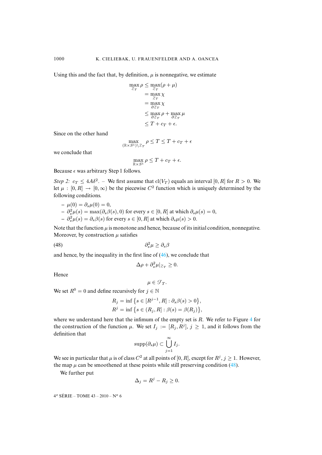Using this and the fact that, by definition,  $\mu$  is nonnegative, we estimate

$$
\max_{\mathcal{I}_T} \rho \leq \max_{\mathcal{I}_T} (\rho + \mu)
$$
\n
$$
= \max_{\mathcal{I}_T} \chi
$$
\n
$$
= \max_{\partial \mathcal{I}_T} \chi
$$
\n
$$
\leq \max_{\partial \mathcal{I}_T} \rho + \max_{\partial \mathcal{I}_T} \mu
$$
\n
$$
\leq T + c_T + \epsilon.
$$

Since on the other hand

$$
\max_{(\mathbb{R}\times S^1)\backslash \mathcal{Z}_T} \rho \leq T \leq T + c_T + \epsilon
$$

we conclude that

$$
\max_{\mathbb{R} \times S^1} \rho \leq T + c_T + \epsilon.
$$

Because  $\epsilon$  was arbitrary Step 1 follows.

*Step 2:*  $c_T \leq 4A\delta^2$ . – We first assume that  $cl(V_T)$  equals an interval [0, R] for  $R > 0$ . We let  $\mu : [0, R] \to [0, \infty)$  be the piecewise  $C^2$  function which is uniquely determined by the following conditions.

$$
-\mu(0) = \partial_s \mu(0) = 0,
$$
  
\n
$$
-\partial_s^2 \mu(s) = \max(\partial_s \beta(s), 0)
$$
 for every  $s \in [0, R]$  at which  $\partial_s \mu(s) = 0$ ,  
\n
$$
-\partial_s^2 \mu(s) = \partial_s \beta(s)
$$
 for every  $s \in [0, R]$  at which  $\partial_s \mu(s) > 0$ .

Note that the function  $\mu$  is monotone and hence, because of its initial condition, nonnegative. Moreover, by construction  $\mu$  satisfies

$$
(48)\qquad \qquad \partial_s^2 \mu \ge \partial_s \beta
$$

and hence, by the inequality in the first line of  $(46)$ , we conclude that

<span id="page-44-0"></span>
$$
\Delta \rho + \partial_s^2 \mu |_{Z_T} \ge 0.
$$

Hence

$$
\mu\in\mathcal{F}_T.
$$

We set  $R^0 = 0$  and define recursively for  $j \in \mathbb{N}$ 

$$
R_j = \inf \left\{ s \in [R^{j-1}, R] : \partial_s \beta(s) > 0 \right\},\
$$
  

$$
R^j = \inf \left\{ s \in (R_j, R] : \beta(s) = \beta(R_j) \right\},\
$$

where we understand here that the infimum of the empty set is  $R$ . We refer to Figure [4](#page-45-0) for the construction of the function  $\mu$ . We set  $I_j := [R_j, R^j], j \ge 1$ , and it follows from the definition that

$$
\mathrm{supp}(\partial_s \mu) \subset \bigcup_{j=1}^{\infty} I_j.
$$

We see in particular that  $\mu$  is of class  $C^2$  at all points of [0, R], except for  $R^j$ ,  $j \ge 1$ . However, the map  $\mu$  can be smoothened at these points while still preserving condition [\(48\)](#page-44-0).

We further put

$$
\Delta_j = R^j - R_j \ge 0.
$$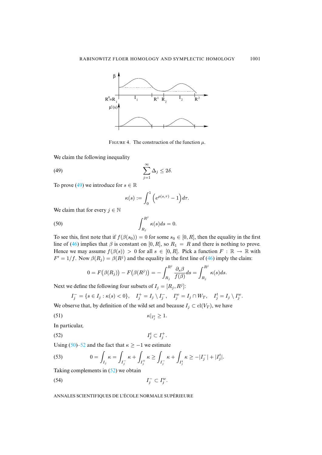

<span id="page-45-0"></span>FIGURE 4. The construction of the function  $\mu$ .

We claim the following inequality

$$
\sum_{j=1}^{\infty} \Delta_j \le 2\delta.
$$

To prove [\(49\)](#page-45-1) we introduce for  $s \in \mathbb{R}$ 

<span id="page-45-2"></span><span id="page-45-1"></span>
$$
\kappa(s) := \int_0^1 \Big(e^{\rho(s,\tau)} - 1\Big) d\tau.
$$

We claim that for every  $j \in \mathbb{N}$ 

(50) 
$$
\int_{R_j}^{R^j} \kappa(s)ds = 0.
$$

To see this, first note that if  $f(\beta(s_0)) = 0$  for some  $s_0 \in [0, R]$ , then the equality in the first line of [\(46\)](#page-42-1) implies that  $\beta$  is constant on [0, R], so  $R_1 = R$  and there is nothing to prove. Hence we may assume  $f(\beta(s)) > 0$  for all  $s \in [0, R]$ . Pick a function  $F : \mathbb{R} \to \mathbb{R}$  with  $F' = 1/f$ . Now  $\beta(R_i) = \beta(R^i)$  and the equality in the first line of [\(46\)](#page-42-1) imply the claim:

$$
0 = F(\beta(R_j)) - F(\beta(R^j)) = -\int_{R_j}^{R^j} \frac{\partial_s \beta}{f(\beta)} ds = \int_{R_j}^{R^j} \kappa(s) ds.
$$

Next we define the following four subsets of  $I_j = [R_j, R^j]$ :

<span id="page-45-3"></span>
$$
I_j^- = \{ s \in I_j : \kappa(s) < 0 \}, \quad I_j^+ = I_j \setminus I_j^-, \quad I_j^w = I_j \cap W_T, \quad I_j^t = I_j \setminus I_j^w.
$$

We observe that, by definition of the wild set and because  $I_j \subset cl(V_T)$ , we have

$$
\kappa|_{I_j^t} \ge 1.
$$

In particular,

$$
(52) \t\t I_j^t \subset I_j^+.
$$

Using [\(50\)](#page-45-2)[–52](#page-45-3) and the fact that  $\kappa \ge -1$  we estimate

<span id="page-45-4"></span>(53) 
$$
0 = \int_{I_j} \kappa = \int_{I_j^-} \kappa + \int_{I_j^+} \kappa \ge \int_{I_j^-} \kappa + \int_{I_j^+} \kappa \ge -|I_j^-| + |I_j^t|.
$$

Taking complements in  $(52)$  we obtain

<span id="page-45-5"></span> $I_{i}^{-}$   $I_{i}^{-}$  $j^ \subset I_j^w$ .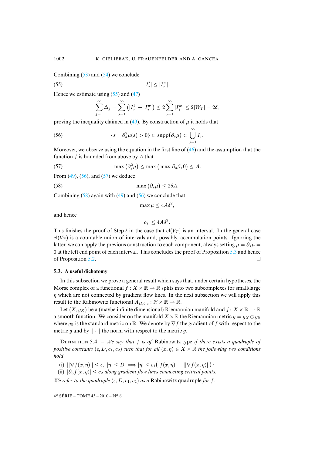Combining  $(53)$  and  $(54)$  we conclude

$$
|I_j^t| \le |I_j^w|.
$$

Hence we estimate using  $(55)$  and  $(47)$ 

<span id="page-46-1"></span><span id="page-46-0"></span>
$$
\sum_{j=1}^{\infty} \Delta_j = \sum_{j=1}^{\infty} (|I_j^t| + |I_j^w|) \le 2 \sum_{j=1}^{\infty} |I_j^w| \le 2|W_T| = 2\delta,
$$

proving the inequality claimed in [\(49\)](#page-45-1). By construction of  $\mu$  it holds that

(56) 
$$
\{s : \partial_s^2 \mu(s) > 0\} \subset \mathrm{supp}(\partial_s \mu) \subset \bigcup_{j=1}^{\infty} I_j.
$$

Moreover, we observe using the equation in the first line of  $(46)$  and the assumption that the function  $f$  is bounded from above by  $A$  that

(57) 
$$
\max(\partial_s^2 \mu) \leq \max(\max \partial_s \beta, 0) \leq A.
$$

From  $(49)$ ,  $(56)$ , and  $(57)$  we deduce

(58) 
$$
\max(\partial_s \mu) \leq 2\delta A.
$$

Combining  $(58)$  again with  $(49)$  and  $(56)$  we conclude that

<span id="page-46-3"></span><span id="page-46-2"></span>
$$
\max \mu \le 4A\delta^2,
$$

and hence

$$
c_T \le 4A\delta^2.
$$

This finishes the proof of Step 2 in the case that  $cl(V_T)$  is an interval. In the general case  $cl(V_T)$  is a countable union of intervals and, possibly, accumulation points. Ignoring the latter, we can apply the previous construction to each component, always setting  $\mu = \partial_s \mu =$ 0 at the left end point of each interval. This concludes the proof of Proposition [5.3](#page-43-0) and hence of Proposition [5.2.](#page-41-3)  $\Box$ 

#### **5.3. A useful dichotomy**

In this subsection we prove a general result which says that, under certain hypotheses, the Morse complex of a functional  $f : X \times \mathbb{R} \to \mathbb{R}$  splits into two subcomplexes for small/large  $\eta$  which are not connected by gradient flow lines. In the next subsection we will apply this result to the Rabinowitz functional  $A_{H,b,c} : \mathcal{L} \times \mathbb{R} \to \mathbb{R}$ .

Let  $(X, q_X)$  be a (maybe infinite dimensional) Riemannian manifold and  $f: X \times \mathbb{R} \to \mathbb{R}$ a smooth function. We consider on the manifold  $X \times \mathbb{R}$  the Riemannian metric  $g = g_X \oplus g_{\mathbb{R}}$ where  $g_{\mathbb{R}}$  is the standard metric on  $\mathbb{R}$ . We denote by  $\nabla f$  the gradient of f with respect to the metric g and by  $|| \cdot ||$  the norm with respect to the metric g.

<span id="page-46-4"></span>DEFINITION 5.4. – *We say that* f *is of* Rabinowitz type *if there exists a quadruple of positive constants*  $(\epsilon, D, c_1, c_2)$  *such that for all*  $(x, \eta) \in X \times \mathbb{R}$  *the following two conditions hold*

(i)  $||\nabla f(x, \eta)|| \le \epsilon$ ,  $|\eta| \le D \implies |\eta| \le c_1(|f(x, \eta)| + ||\nabla f(x, \eta)||)$ ;

(ii)  $|\partial_n f(x, \eta)| \leq c_2$  *along gradient flow lines connecting critical points.* 

*We refer to the quadruple*  $(\epsilon, D, c_1, c_2)$  *as a* Rabinowitz quadruple *for f*.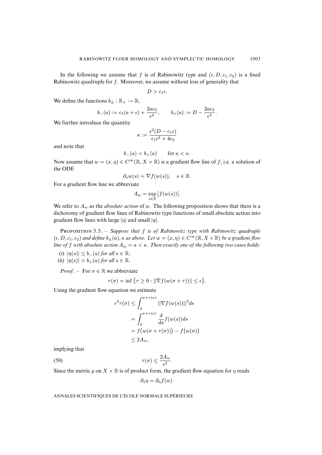In the following we assume that f is of Rabinowitz type and  $(\epsilon, D, c_1, c_2)$  is a fixed Rabinowitz quadruple for f. Moreover, we assume without loss of generality that

$$
D>c_1\epsilon.
$$

We define the functions  $b_{\pm} : \mathbb{R}_{+} \to \mathbb{R}$ ,

$$
b_{-}(a) := c_1(a + \epsilon) + \frac{2ac_2}{\epsilon^2}, \qquad b_{+}(a) := D - \frac{2ac_2}{\epsilon^2}.
$$

We further introduce the quantity

$$
\kappa := \frac{\epsilon^2 (D - c_1 \epsilon)}{c_1 \epsilon^2 + 4c_2}
$$

and note that

$$
b_-(a) < b_+(a) \qquad \text{for } a < \kappa.
$$

Now assume that  $w = (x, \eta) \in C^{\infty}(\mathbb{R}, X \times \mathbb{R})$  is a gradient flow line of f, i.e. a solution of the ODE

$$
\partial_s w(s) = \nabla f(w(s)), \quad s \in \mathbb{R}.
$$

For a gradient flow line we abbreviate

$$
A_w = \sup_{s \in \mathbb{R}} |f(w(s))|.
$$

We refer to  $A_w$  as the *absolute action* of w. The following proposition shows that there is a dichotomy of gradient flow lines of Rabinowitz type functions of small absolute action into gradient flow lines with large  $|\eta|$  and small  $|\eta|$ .

<span id="page-47-1"></span>PROPOSITION 5.5. – *Suppose that* f *is of Rabinowitz type with Rabinowitz quadruple*  $(\epsilon, D, c_1, c_2)$  *and define*  $b_{\pm}(a), \kappa$  *as above. Let*  $w = (x, \eta) \in C^{\infty}(\mathbb{R}, X \times \mathbb{R})$  *be a gradient flow line of* f with absolute action  $A_w = a < \kappa$ . Then exactly one of the following two cases holds:

- (i)  $|\eta(s)| \leq b_-(a)$  *for all*  $s \in \mathbb{R}$ *;*
- (ii)  $|\eta(s)| > b_+(a)$  *for all*  $s \in \mathbb{R}$ *.*

*Proof.* – For  $\sigma \in \mathbb{R}$  we abbreviate

$$
\tau(\sigma) = \inf \{ \tau \geq 0 : ||\nabla f(w(\sigma + \tau))|| \leq \epsilon \}.
$$

Using the gradient flow equation we estimate

$$
\epsilon^2 \tau(\sigma) \leq \int_{\sigma}^{\sigma + \tau(\sigma)} ||\nabla f(w(s))||^2 ds
$$
  
= 
$$
\int_{\sigma}^{\sigma + \tau(\sigma)} \frac{d}{ds} f(w(s)) ds
$$
  
= 
$$
f(w(\sigma + \tau(\sigma))) - f(w(\sigma))
$$
  
\$\leq 2A\_w\$,

implying that

(59) 
$$
\tau(\sigma) \leq \frac{2A_w}{\epsilon^2}.
$$

Since the metric g on  $X \times \mathbb{R}$  is of product form, the gradient flow equation for  $\eta$  reads

<span id="page-47-0"></span>
$$
\partial_s \eta = \partial_\eta f(w).
$$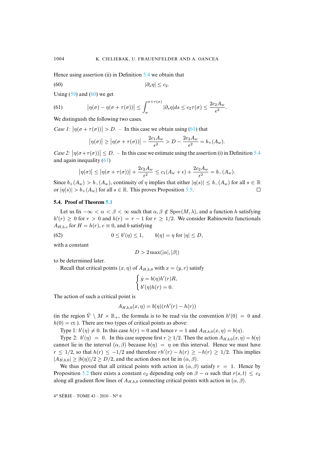Hence using assertion (ii) in Definition [5.4](#page-46-4) we obtain that

$$
(60) \t\t |\partial_s \eta| \leq c_2.
$$

Using  $(59)$  and  $(60)$  we get

<span id="page-48-1"></span>(61) 
$$
\left|\eta(\sigma)-\eta(\sigma+\tau(\sigma))\right|\leq \int_{\sigma}^{\sigma+\tau(\sigma)}|\partial_{s}\eta|ds\leq c_{2}\tau(\sigma)\leq \frac{2c_{2}A_{w}}{\epsilon^{2}}.
$$

We distinguish the following two cases.

*Case 1:*  $|\eta(\sigma + \tau(\sigma))| > D$ . – In this case we obtain using [\(61\)](#page-48-1) that

<span id="page-48-0"></span>
$$
\left|\eta(\sigma)\right| \geq \left|\eta(\sigma+\tau(\sigma))\right| - \frac{2c_1A_w}{\epsilon^2} > D - \frac{2c_2A_w}{\epsilon^2} = b_+(A_w).
$$

*Case 2:*  $|\eta(\sigma + \tau(\sigma))| \leq D$ . – In this case we estimate using the assertion (i) in Definition [5.4](#page-46-4) and again inequality [\(61\)](#page-48-1)

$$
\left|\eta(\sigma)\right| \leq \left|\eta(\sigma+\tau(\sigma))\right|+\frac{2c_2A_w}{\epsilon^2} \leq c_1(A_w+\epsilon)+\frac{2c_2A_w}{\epsilon^2}=b_-(A_w).
$$

Since  $b_+(A_w) > b_-(A_w)$ , continuity of  $\eta$  implies that either  $|\eta(s)| \le b_-(A_w)$  for all  $s \in \mathbb{R}$  or  $|\eta(s)| > b_+(A_w)$  for all  $s \in \mathbb{R}$ . This proves Proposition 5.5. or  $|\eta(s)| > b_+(A_w)$  for all  $s \in \mathbb{R}$ . This proves Proposition [5.5.](#page-47-1)

#### **5.4. Proof of Theorem [5.1](#page-41-4)**

Let us fix  $-\infty < \alpha < \beta < \infty$  such that  $\alpha, \beta \notin \text{Spec}(M, \lambda)$ , and a function h satisfying  $h'(r) \ge 0$  for  $r > 0$  and  $h(r) = r - 1$  for  $r \ge 1/2$ . We consider Rabinowitz functionals  $A_{H,b,c}$  for  $H = h(r)$ ,  $c \equiv 0$ , and b satisfying

(62) 
$$
0 \le b'(\eta) \le 1, \qquad b(\eta) = \eta \text{ for } |\eta| \le D,
$$

with a constant

<span id="page-48-2"></span>
$$
D > 2 \max(|\alpha|,|\beta|)
$$

to be determined later.

Recall that critical points  $(x, \eta)$  of  $A_{H,b,0}$  with  $x = (y, r)$  satisfy

$$
\begin{cases} \dot{y} = b(\eta)h'(r)R, \\ b'(\eta)h(r) = 0. \end{cases}
$$

The action of such a critical point is

$$
A_{H,b,0}(x,\eta) = b(\eta)(r h'(r) - h(r))
$$

(in the region  $\hat{V} \setminus M \times \mathbb{R}_+$ , the formula is to be read via the convention  $h'(0) = 0$  and  $h(0) = ct$ .). There are two types of critical points as above:

Type 1:  $b'(\eta) \neq 0$ . In this case  $h(r) = 0$  and hence  $r = 1$  and  $A_{H,b,0}(x, \eta) = b(\eta)$ .

Type 2:  $b'(\eta) = 0$ . In this case suppose first  $r \ge 1/2$ . Then the action  $A_{H,b,0}(x, \eta) = b(\eta)$ cannot lie in the interval  $(\alpha, \beta)$  because  $b(\eta) = \eta$  on this interval. Hence we must have  $r \leq 1/2$ , so that  $h(r) \leq -1/2$  and therefore  $rh'(r) - h(r) \geq -h(r) \geq 1/2$ . This implies  $|A_{H,b,0}| \ge |b(\eta)|/2 \ge D/2$ , and the action does not lie in  $(\alpha, \beta)$ .

We thus proved that all critical points with action in  $(\alpha, \beta)$  satisfy  $r = 1$ . Hence by Proposition [5.2](#page-41-3) there exists a constant  $c_2$  depending only on  $\beta - \alpha$  such that  $r(s, t) \leq c_2$ along all gradient flow lines of  $A_{H,b,0}$  connecting critical points with action in  $(\alpha, \beta)$ .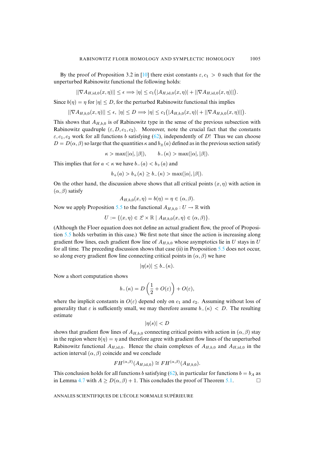By the proof of Proposition 3.2 in [\[10\]](#page-58-1) there exist constants  $\varepsilon$ ,  $c_1 > 0$  such that for the unperturbed Rabinowitz functional the following holds:

$$
||\nabla A_{H,\mathrm{id},0}(x,\eta)|| \leq \epsilon \Longrightarrow |\eta| \leq c_1 \big( |A_{H,\mathrm{id},0}(x,\eta)| + ||\nabla A_{H,\mathrm{id},0}(x,\eta)|| \big).
$$

Since  $b(\eta) = \eta$  for  $|\eta| \leq D$ , for the perturbed Rabinowitz functional this implies

 $||\nabla A_{H,b,0}(x,\eta)|| \leq \epsilon, \ |\eta| \leq D \Longrightarrow |\eta| \leq c_1 (|A_{H,b,0}(x,\eta)| + ||\nabla A_{H,b,0}(x,\eta)||).$ 

This shows that  $A_{H,b,0}$  is of Rabinowitz type in the sense of the previous subsection with Rabinowitz quadruple  $(\varepsilon, D, c_1, c_2)$ . Moreover, note the crucial fact that the constants  $\varepsilon$ ,  $c_1$ ,  $c_2$  work for all functions b satisfying [\(62\)](#page-48-2), independently of D! Thus we can choose  $D = D(\alpha, \beta)$  so large that the quantities  $\kappa$  and  $b_{\pm}(\alpha)$  defined as in the previous section satisfy

 $\kappa > \max(|\alpha|, |\beta|), \qquad b_-(\kappa) > \max(|\alpha|, |\beta|).$ 

This implies that for  $a < \kappa$  we have  $b_-(a) < b_+(a)$  and

$$
b_{+}(a) > b_{+}(\kappa) \ge b_{-}(\kappa) > \max(|\alpha|, |\beta|).
$$

On the other hand, the discussion above shows that all critical points  $(x, \eta)$  with action in  $(\alpha, \beta)$  satisfy

$$
A_{H,b,0}(x,\eta)=b(\eta)=\eta\in(\alpha,\beta).
$$

Now we apply Proposition [5.5](#page-47-1) to the functional  $A_{H,b,0}: U \to \mathbb{R}$  with

 $U := \{ (x, \eta) \in \mathcal{L} \times \mathbb{R} \mid A_{H, b, 0}(x, \eta) \in (\alpha, \beta) \}.$ 

(Although the Floer equation does not define an actual gradient flow, the proof of Proposition [5.5](#page-47-1) holds verbatim in this case.) We first note that since the action is increasing along gradient flow lines, each gradient flow line of  $A_{H,b,0}$  whose asymptotics lie in U stays in U for all time. The preceding discussion shows that case (ii) in Proposition [5.5](#page-47-1) does not occur, so along every gradient flow line connecting critical points in  $(\alpha, \beta)$  we have

$$
|\eta(s)| \leq b_-(\kappa).
$$

Now a short computation shows

$$
b_{-}(\kappa) = D\left(\frac{1}{2} + O(\varepsilon)\right) + O(\varepsilon),
$$

where the implicit constants in  $O(\varepsilon)$  depend only on  $c_1$  and  $c_2$ . Assuming without loss of generality that  $\varepsilon$  is sufficiently small, we may therefore assume  $b_-(\kappa) < D$ . The resulting estimate

$$
|\eta(s)| < D
$$

shows that gradient flow lines of  $A_{H,b,0}$  connecting critical points with action in  $(\alpha, \beta)$  stay in the region where  $b(\eta) = \eta$  and therefore agree with gradient flow lines of the unperturbed Rabinowitz functional  $A_{H,\text{id},0}$ . Hence the chain complexes of  $A_{H,b,0}$  and  $A_{H,\text{id},0}$  in the action interval  $(\alpha, \beta)$  coincide and we conclude

$$
FH^{(\alpha,\beta)}(A_{H,\mathrm{id},0}) \cong FH^{(\alpha,\beta)}(A_{H,b,0}).
$$

This conclusion holds for all functions b satisfying [\(62\)](#page-48-2), in particular for functions  $b = b<sub>A</sub>$  as in Lemma [4.7](#page-36-1) with  $A \ge D(\alpha, \beta) + 1$ . This concludes the proof of Theorem [5.1.](#page-41-4)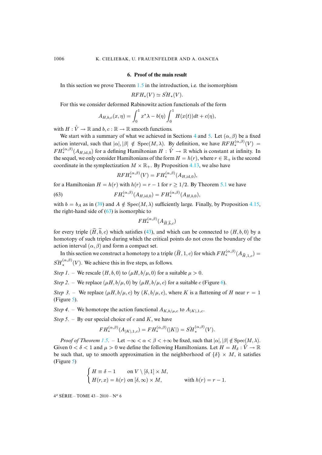#### **6. Proof of the main result**

<span id="page-50-0"></span>In this section we prove Theorem [1.5](#page-3-0) in the introduction, i.e. the isomorphism

$$
RFH_*(V) \simeq \check{SH}_*(V).
$$

For this we consider deformed Rabinowitz action functionals of the form

$$
A_{H,b,c}(x,\eta) = \int_0^1 x^*\lambda - b(\eta) \int_0^1 H(x(t))dt + c(\eta),
$$

with  $H: \hat{V} \to \mathbb{R}$  and  $b, c: \mathbb{R} \to \mathbb{R}$  smooth functions.

We start with a summary of what we achieved in Sections [4](#page-29-0) and [5.](#page-41-0) Let  $(\alpha, \beta)$  be a fixed action interval, such that  $|\alpha|, |\beta| \notin \text{Spec}(M, \lambda)$ . By definition, we have  $RFH_*^{(\alpha,\beta)}(V) =$  $FH^{(\alpha,\beta)}_*(A_{H,\mathrm{id},0})$  for a defining Hamiltonian  $H: \hat{V} \to \mathbb{R}$  which is constant at infinity. In the sequel, we only consider Hamiltonians of the form  $H = h(r)$ , where  $r \in \mathbb{R}_+$  is the second coordinate in the symplectization  $M \times \mathbb{R}_+$ . By Proposition [4.13,](#page-39-2) we also have

<span id="page-50-1"></span>
$$
RFH_*^{(\alpha,\beta)}(V)=FH_*^{(\alpha,\beta)}(A_{H,\mathrm{id},0}),
$$

for a Hamiltonian  $H = h(r)$  with  $h(r) = r - 1$  for  $r > 1/2$ . By Theorem [5.1](#page-41-4) we have

(63) 
$$
FH_{*}^{(\alpha,\beta)}(A_{H,\mathrm{id},0}) = FH_{*}^{(\alpha,\beta)}(A_{H,b,0}),
$$

with  $b = b_A$  as in [\(39\)](#page-36-0) and  $A \notin Spec(M, \lambda)$  sufficiently large. Finally, by Proposition [4.15,](#page-40-1) the right-hand side of  $(63)$  is isomorphic to

$$
FH^{(\alpha,\beta)}_*(A_{\widetilde{H},\widetilde{b},c})
$$

for every triple  $(\widetilde{H}, \widetilde{b}, c)$  which satisfies [\(43\)](#page-40-0), and which can be connected to  $(H, b, 0)$  by a homotopy of such triples during which the critical points do not cross the boundary of the action interval  $(\alpha, \beta)$  and form a compact set.

In this section we construct a homotopy to a triple  $(\widetilde{H}, 1, c)$  for which  $FH^{(\alpha, \beta)}_*(A_{\widetilde{H}^1, c}) =$  $\check{SH}_{*}^{(\alpha,\beta)}(V)$ . We achieve this in five steps, as follows.

*Step 1.* – We rescale  $(H, b, 0)$  to  $(\mu H, b/\mu, 0)$  for a suitable  $\mu > 0$ .

*Step 2.* – We replace  $(\mu H, b/\mu, 0)$  by  $(\mu H, b/\mu, c)$  for a suitable c (Figure [6\)](#page-51-1).

*Step 3.* – We replace  $(\mu H, b/\mu, c)$  by  $(K, b/\mu, c)$ , where K is a flattening of H near  $r = 1$ (Figure [5\)](#page-51-0).

*Step 4.* – We homotope the action functional  $A_{K,b/\mu,c}$  to  $A_{|K|,1,c}$ .

*Step 5.* – By our special choice of c and  $K$ , we have

$$
FH^{(\alpha,\beta)}_*(A_{|K|,1,c}) = FH^{(\alpha,\beta)}_*(|K|) = \check{SH}^{(\alpha,\beta)}_*(V).
$$

*Proof of Theorem [1.5](#page-3-0).* – Let  $-\infty < \alpha < \beta < +\infty$  be fixed, such that  $|\alpha|, |\beta| \notin \text{Spec}(M, \lambda)$ . Given  $0 < \delta < 1$  and  $\mu > 0$  we define the following Hamiltonians. Let  $H = H_\delta : \hat{V} \to \mathbb{R}$ be such that, up to smooth approximation in the neighborhood of  $\{\delta\} \times M$ , it satisfies (Figure [5\)](#page-51-0)

$$
\begin{cases}\nH \equiv \delta - 1 & \text{on } V \setminus [\delta, 1] \times M, \\
H(r, x) = h(r) & \text{on } [\delta, \infty) \times M,\n\end{cases}
$$
\nwith  $h(r) = r - 1$ .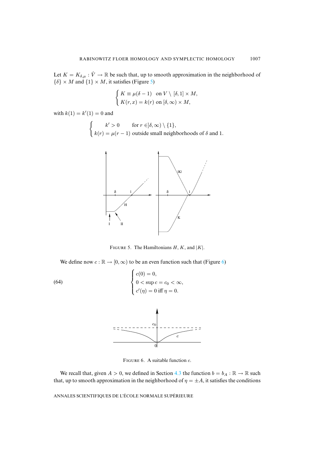Let  $K = K_{\delta,\mu} : \hat{V} \to \mathbb{R}$  be such that, up to smooth approximation in the neighborhood of  $\{\delta\} \times M$  and  $\{1\} \times M$ , it satisfies (Figure [5\)](#page-51-0)

$$
\begin{cases} K \equiv \mu(\delta - 1) & \text{on } V \setminus [\delta, 1] \times M, \\ K(r, x) = k(r) & \text{on } [\delta, \infty) \times M, \end{cases}
$$

with  $k(1) = k'(1) = 0$  and

$$
\begin{cases}\nk' > 0 \quad \text{for } r \in ]\delta, \infty) \setminus \{1\}, \\
k(r) = \mu(r - 1) \text{ outside small neighborhoods of } \delta \text{ and } 1.\n\end{cases}
$$



<span id="page-51-0"></span>FIGURE 5. The Hamiltonians  $H, K$ , and  $|K|$ .

We define now  $c : \mathbb{R} \to [0, \infty)$  to be an even function such that (Figure [6\)](#page-51-1)

(64) 
$$
\begin{cases} c(0) = 0, \\ 0 < \sup c = c_0 < \infty, \\ c'(\eta) = 0 \text{ iff } \eta = 0. \end{cases}
$$



<span id="page-51-1"></span>FIGURE 6. A suitable function  $c$ .

We recall that, given  $A > 0$ , we defined in Section [4.3](#page-35-3) the function  $b = b_A : \mathbb{R} \to \mathbb{R}$  such that, up to smooth approximation in the neighborhood of  $\eta = \pm A$ , it satisfies the conditions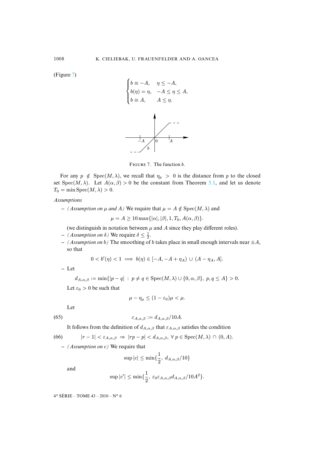(Figure [7\)](#page-52-0)



<span id="page-52-0"></span>FIGURE 7. The function b.

For any  $p \notin \text{Spec}(M, \lambda)$ , we recall that  $\eta_p > 0$  is the distance from p to the closed set Spec(M,  $\lambda$ ). Let  $A(\alpha, \beta) > 0$  be the constant from Theorem [5.1,](#page-41-4) and let us denote  $T_0 = \min \operatorname{Spec}(M, \lambda) > 0.$ 

#### *Assumptions*

 $– (Assumption on  $\mu$  and  $A)$  We require that  $\mu = A \notin Spec(M, \lambda)$  and$ 

 $\mu = A \geq 10 \max{\vert \alpha \vert, \vert \beta \vert, 1, T_0, A(\alpha, \beta)}.$ 

(we distinguish in notation between  $\mu$  and  $A$  since they play different roles).

- $-$  *(Assumption on*  $\delta$ *)* We require  $\delta \leq \frac{1}{2}$ .
- *(Assumption on b)* The smoothing of *b* takes place in small enough intervals near  $\pm A$ , so that

$$
0 < b'(\eta) < 1 \implies b(\eta) \in [-A, -A + \eta_A) \cup (A - \eta_A, A].
$$

**–** Let

$$
d_{A,\alpha,\beta} := \min\{|p - q| : p \neq q \in \text{Spec}(M,\lambda) \cup \{0,\alpha,\beta\}, p,q \leq A\} > 0.
$$

Let  $\varepsilon_0 > 0$  be such that

<span id="page-52-1"></span>
$$
\mu - \eta_{\mu} \le (1 - \varepsilon_0) \mu < \mu.
$$

Let

(65) 
$$
\varepsilon_{A,\alpha,\beta} := d_{A,\alpha,\beta}/10A.
$$

<span id="page-52-2"></span>It follows from the definition of  $d_{A,\alpha,\beta}$  that  $\varepsilon_{A,\alpha,\beta}$  satisfies the condition

(66) 
$$
|r-1| < \varepsilon_{A,\alpha,\beta} \Rightarrow |rp-p| < d_{A,\alpha,\beta}, \ \forall \ p \in \text{Spec}(M,\lambda) \cap (0,A).
$$

**–** *(Assumption on* c*)* We require that

$$
\sup|c| \le \min\{\frac{1}{2}, \ d_{A,\alpha,\beta}/10\}
$$

and

$$
\sup |c'| \le \min\{\frac{1}{2}, \ \varepsilon_0 \varepsilon_{A,\alpha,\beta} d_{A,\alpha,\beta}/10A^2\}.
$$

4<sup>e</sup> SÉRIE – TOME 43 – 2010 – N° 6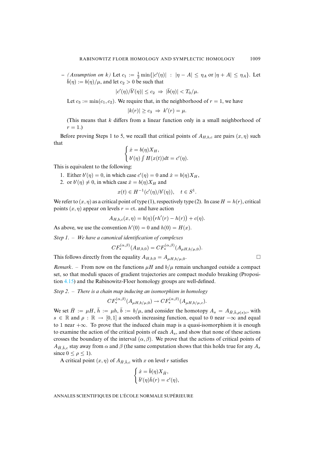$-$  *(Assumption on k)* Let  $c_1 := \frac{1}{2} \min\{|c'(\eta)| : |\eta - A| \leq \eta_A \}$  or  $|\eta + A| \leq \eta_A$ }. Let  $\bar{b}(\eta) := b(\eta)/\mu$ , and let  $c_2 > 0$  be such that

$$
|c'(\eta)/\bar{b}'(\eta)| \leq c_2 \ \Rightarrow \ |\bar{b}(\eta)| < T_0/\mu.
$$

Let  $c_3 := \min(c_1, c_2)$ . We require that, in the neighborhood of  $r = 1$ , we have

$$
|k(r)| \ge c_3 \Rightarrow k'(r) = \mu.
$$

(This means that  $k$  differs from a linear function only in a small neighborhood of  $r = 1.$ 

Before proving Steps 1 to 5, we recall that critical points of  $A_{H,b,c}$  are pairs  $(x, \eta)$  such that

$$
\begin{cases} \dot{x} = b(\eta)X_H, \\ b'(\eta) \int H(x(t))dt = c'(\eta). \end{cases}
$$

This is equivalent to the following:

- 1. Either  $b'(\eta) = 0$ , in which case  $c'(\eta) = 0$  and  $\dot{x} = b(\eta)X_H$ ,
- 2. or  $b'(\eta) \neq 0$ , in which case  $\dot{x} = b(\eta)X_H$  and

$$
x(t) \in H^{-1}(c'(\eta)/b'(\eta)), \quad t \in S^1.
$$

We refer to  $(x, \eta)$  as a critical point of type (1), respectively type (2). In case  $H = h(r)$ , critical points  $(x, \eta)$  appear on levels  $r = ct$ . and have action

$$
A_{H,b,c}(x,\eta) = b(\eta)\big(rh'(r) - h(r)\big) + c(\eta).
$$

As above, we use the convention  $h'(0) = 0$  and  $h(0) = H(x)$ .

*Step 1*. – *We have a canonical identification of complexes*

$$
CF^{(\alpha,\beta)}_*(A_{H,b,0}) = CF^{(\alpha,\beta)}_*(A_{\mu H,b/\mu,0}).
$$

This follows directly from the equality  $A_{H,b,0} = A_{\mu H,b/\mu,0}$ .

*Remark.* – From now on the functions  $\mu$ H and  $b/\mu$  remain unchanged outside a compact set, so that moduli spaces of gradient trajectories are compact modulo breaking (Proposition [4.15\)](#page-40-1) and the Rabinowitz-Floer homology groups are well-defined.

*Step 2*. – *There is a chain map inducing an isomorphism in homology*

$$
CF_*^{(\alpha,\beta)}(A_{\mu H,b/\mu,0}) \to CF_*^{(\alpha,\beta)}(A_{\mu H,b/\mu,c}).
$$

We set  $\bar{H} := \mu H$ ,  $\bar{h} := \mu h$ ,  $\bar{b} := b/\mu$ , and consider the homotopy  $A_s = A_{\bar{H}, \bar{b}, \rho(s)c}$ , with  $s \in \mathbb{R}$  and  $\rho : \mathbb{R} \to [0, 1]$  a smooth increasing function, equal to 0 near  $-\infty$  and equal to 1 near  $+\infty$ . To prove that the induced chain map is a quasi-isomorphism it is enough to examine the action of the critical points of each  $A_s$ , and show that none of these actions crosses the boundary of the interval  $(\alpha, \beta)$ . We prove that the actions of critical points of  $A_{\bar{H}, \bar{b}, c}$  stay away from  $\alpha$  and  $\beta$  (the same computation shows that this holds true for any  $A_s$ since  $0 \leq \rho \leq 1$ ).

A critical point  $(x, \eta)$  of  $A_{\bar{H}, \bar{b}, c}$  with x on level r satisfies

$$
\begin{cases} \dot{x} = \bar{b}(\eta) X_{\bar{H}}, \\ \bar{b}'(\eta) \bar{h}(r) = c'(\eta), \end{cases}
$$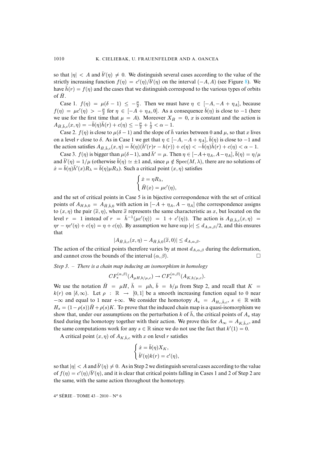so that  $|\eta| < A$  and  $\bar{b}'(\eta) \neq 0$ . We distinguish several cases according to the value of the strictly increasing function  $f(\eta) = c'(\eta)/\bar{b}'(\eta)$  on the interval  $(-A, A)$  (see Figure [8\)](#page-55-0). We have  $\bar{h}(r) = f(\eta)$  and the cases that we distinguish correspond to the various types of orbits of  $\bar{H}$ .

Case 1.  $f(\eta) = \mu(\delta - 1) \leq -\frac{\mu}{2}$ . Then we must have  $\eta \in [-A, -A + \eta_A]$ , because  $f(\eta) = \mu c'(\eta) > -\frac{\mu}{2}$  for  $\eta \in [-A + \eta_A, 0]$ . As a consequence  $\bar{b}(\eta)$  is close to  $-1$  (here we use for the first time that  $\mu = A$ ). Moreover  $X_{\bar{H}} = 0$ , x is constant and the action is  $A_{\bar{H}, \bar{b}, c}(x, \eta) = -\bar{b}(\eta)\bar{h}(r) + c(\eta) \le -\frac{\mu}{2} + \frac{1}{2} < \alpha - 1.$ 

Case 2.  $f(\eta)$  is close to  $\mu(\delta - 1)$  and the slope of  $\bar{h}$  varies between 0 and  $\mu$ , so that x lives on a level r close to  $\delta$ . As in Case 1 we get that  $\eta \in [-A, -A + \eta_A], \overline{b}(\eta)$  is close to  $-1$  and the action satisfies  $A_{\bar{H},\bar{b},c}(x,\eta) = \bar{b}(\eta)(\bar{h}'(r)r - h(r)) + c(\eta) < -\bar{b}(\eta)\bar{h}(r) + c(\eta) < \alpha - 1$ .

Case 3.  $f(\eta)$  is bigger than  $\mu(\delta-1)$ , and  $\bar{h}' = \mu$ . Then  $\eta \in [-A+\eta_A, A-\eta_A], \bar{b}(\eta) = \eta/\mu$ and  $\bar{b}'(\eta) = 1/\mu$  (otherwise  $\bar{b}(\eta) \simeq \pm 1$  and, since  $\mu \notin \text{Spec}(M, \lambda)$ , there are no solutions of  $\dot{x} = \bar{b}(\eta)\bar{h}'(x)R_{\lambda} = \bar{b}(\eta)\mu R_{\lambda}$ . Such a critical point  $(x, \eta)$  satisfies

$$
\begin{cases} \dot{x} = \eta R_{\lambda}, \\ \bar{H}(x) = \mu c'(\eta), \end{cases}
$$

and the set of critical points in Case 5 is in bijective correspondence with the set of critical points of  $A_{H,b,0} = A_{\bar{H},\bar{b},0}$  with action in  $[-A + \eta_A, A - \eta_A]$  (the correspondence assigns to  $(x, \eta)$  the pair  $(\tilde{x}, \eta)$ , where  $\tilde{x}$  represents the same characteristic as x, but located on the level  $r = 1$  instead of  $r = \bar{h}^{-1}(\mu c'(\eta)) = 1 + c'(\eta)$ . The action is  $A_{\bar{H}, \bar{b}, c}(x, \eta) =$  $\eta r - \eta c'(\eta) + c(\eta) = \eta + c(\eta)$ . By assumption we have sup  $|c| \le d_{A,\alpha,\beta}/2$ , and this ensures that

$$
|A_{\bar{H},\bar{b},c}(x,\eta)-A_{\bar{H},\bar{b},0}(\tilde{x},0)|\leq d_{A,\alpha,\beta}.
$$

The action of the critical points therefore varies by at most  $d_{A,\alpha,\beta}$  during the deformation, and cannot cross the bounds of the interval  $(\alpha, \beta)$ .

### *Step 3*. – *There is a chain map inducing an isomorphism in homology*

$$
CF^{(\alpha,\beta)}_*(A_{\mu H,b/\mu,c}) \to CF^{(\alpha,\beta)}_*(A_{K,b/\mu,c}).
$$

We use the notation  $\bar{H} = \mu H$ ,  $\bar{h} = \mu h$ ,  $\bar{b} = b/\mu$  from Step 2, and recall that  $K =$ k(r) on  $[\delta, \infty)$ . Let  $\rho : \mathbb{R} \to [0, 1]$  be a smooth increasing function equal to 0 near  $-\infty$  and equal to 1 near  $+\infty$ . We consider the homotopy  $A_s = A_{H_s,\bar{b},c}$ ,  $s \in \mathbb{R}$  with  $H_s = (1 - \rho(s))\overline{H} + \rho(s)K$ . To prove that the induced chain map is a quasi-isomorphism we show that, under our assumptions on the perturbation k of  $\bar{h}$ , the critical points of  $A_s$  stay fixed during the homotopy together with their action. We prove this for  $A_{\infty} = A_{K,\bar{b},c}$ , and the same computations work for any  $s \in \mathbb{R}$  since we do not use the fact that  $k'(1) = 0$ .

A critical point  $(x, \eta)$  of  $A_{K,\bar{b},c}$  with x on level r satisfies

$$
\begin{cases} \dot{x} = \bar{b}(\eta) X_K, \\ \bar{b}'(\eta) k(r) = c'(\eta), \end{cases}
$$

so that  $|\eta| < A$  and  $\bar{b}'(\eta) \neq 0$ . As in Step 2 we distinguish several cases according to the value of  $f(\eta) = c'(\eta)/\bar{b}'(\eta)$ , and it is clear that critical points falling in Cases 1 and 2 of Step 2 are the same, with the same action throughout the homotopy.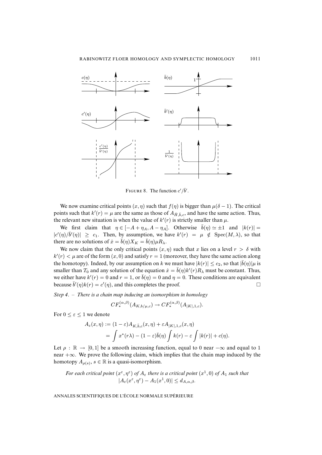

<span id="page-55-0"></span>FIGURE 8. The function  $c'/\overline{b}'$ .

We now examine critical points  $(x, \eta)$  such that  $f(\eta)$  is bigger than  $\mu(\delta - 1)$ . The critical points such that  $k'(r) = \mu$  are the same as those of  $A_{\bar{H}, \bar{b}, c}$ , and have the same action. Thus, the relevant new situation is when the value of  $k'(r)$  is strictly smaller than  $\mu$ .

We first claim that  $\eta \in [-A + \eta_A, A - \eta_A]$ . Otherwise  $\overline{b}(\eta) \simeq \pm 1$  and  $|k(r)| =$  $|c'(\eta)/\bar{b}'(\eta)| \geq c_1$ . Then, by assumption, we have  $k'(r) = \mu \notin \text{Spec}(M, \lambda)$ , so that there are no solutions of  $\dot{x} = \bar{b}(\eta)X_K = \bar{b}(\eta)\mu R_\lambda$ .

We now claim that the only critical points  $(x, \eta)$  such that x lies on a level  $r > \delta$  with  $k'(r) < \mu$  are of the form  $(x, 0)$  and satisfy  $r = 1$  (moreover, they have the same action along the homotopy). Indeed, by our assumption on k we must have  $|k(r)| \leq c_2$ , so that  $|\bar{b}(\eta)| \mu$  is smaller than  $T_0$  and any solution of the equation  $\dot{x} = \bar{b}(\eta)k'(r)R_\lambda$  must be constant. Thus, we either have  $k'(r) = 0$  and  $r = 1$ , or  $\bar{b}(\eta) = 0$  and  $\eta = 0$ . These conditions are equivalent because  $\bar{b}'(\eta)k(r) = c'(\eta)$ , and this completes the proof.  $\Box$ 

*Step 4*. – *There is a chain map inducing an isomorphism in homology*

$$
CF^{(\alpha,\beta)}_*(A_{K,b/\mu,c}) \to CF^{(\alpha,\beta)}_*(A_{|K|,1,c}).
$$

For  $0 \leq \varepsilon \leq 1$  we denote

$$
A_{\varepsilon}(x,\eta) := (1-\varepsilon)A_{K,\bar{b},c}(x,\eta) + \varepsilon A_{|K|,1,c}(x,\eta)
$$
  
= 
$$
\int x^*(r\lambda) - (1-\varepsilon)\bar{b}(\eta) \int k(r) - \varepsilon \int |k(r)| + c(\eta).
$$

Let  $\rho : \mathbb{R} \to [0, 1]$  be a smooth increasing function, equal to 0 near  $-\infty$  and equal to 1 near +∞. We prove the following claim, which implies that the chain map induced by the homotopy  $A_{\rho(s)}, s \in \mathbb{R}$  is a quasi-isomorphism.

*For each critical point*  $(x^{\varepsilon}, \eta^{\varepsilon})$  *of*  $A_{\varepsilon}$  *there is a critical point*  $(x^1, 0)$  *of*  $A_1$  *such that*  $|A_\varepsilon(x^\varepsilon, \eta^\varepsilon) - A_1(x^1, 0)| \leq d_{A,\alpha,\beta}.$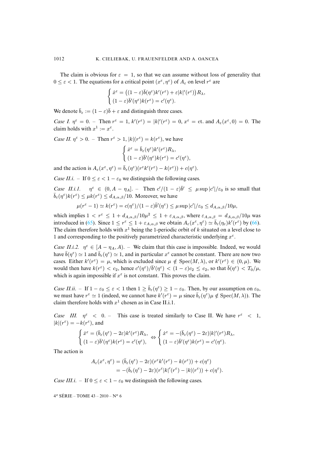The claim is obvious for  $\varepsilon = 1$ , so that we can assume without loss of generality that  $0 \leq \varepsilon < 1$ . The equations for a critical point  $(x^{\varepsilon}, \eta^{\varepsilon})$  of  $A_{\varepsilon}$  on level  $r^{\varepsilon}$  are

$$
\label{eq:2.1} \left\{ \begin{aligned} \dot{x}^\varepsilon &= \left( (1-\varepsilon)\bar{b}(\eta^\varepsilon)k'(r^\varepsilon) + \varepsilon |k|'(r^\varepsilon) \right) &R_\lambda, \\ (1-\varepsilon)\bar{b}'(\eta^\varepsilon)k(r^\varepsilon) &= c'(\eta^\varepsilon). \end{aligned} \right.
$$

We denote  $\bar{b}_{\varepsilon} := (1 - \varepsilon)\bar{b} + \varepsilon$  and distinguish three cases.

*Case I.*  $\eta^{\varepsilon} = 0$ . – Then  $r^{\varepsilon} = 1$ ,  $k'(r^{\varepsilon}) = |k|(r^{\varepsilon}) = 0$ ,  $x^{\varepsilon} = ct$ . and  $A_{\varepsilon}(x^{\varepsilon}, 0) = 0$ . The claim holds with  $x^1 := x^{\varepsilon}$ .

*Case II.*  $\eta^{\varepsilon} > 0$ . – Then  $r^{\varepsilon} > 1$ ,  $|k|(r^{\varepsilon}) = k(r^{\varepsilon})$ , we have

$$
\label{eq:2.1} \left\{ \begin{aligned} \dot{x}^\varepsilon &= \bar{b}_\varepsilon(\eta^\varepsilon) k'(r^\varepsilon) R_\lambda, \\ (1-\varepsilon) \bar{b}'(\eta^\varepsilon) k(r^\varepsilon) &= c'(\eta^\varepsilon), \end{aligned} \right.
$$

and the action is  $A_{\varepsilon}(x^{\varepsilon}, \eta^{\varepsilon}) = \bar{b}_{\varepsilon}(\eta^{\varepsilon})(r^{\varepsilon}k'(r^{\varepsilon}) - k(r^{\varepsilon})) + c(\eta^{\varepsilon}).$ 

*Case II.i.* – If  $0 \leq \varepsilon \leq 1 - \varepsilon_0$  we distinguish the following cases.

*Case II.i.1.*  $\eta^{\varepsilon} \in (0, A - \eta_{A}]$ . – Then  $c'/(1 - \varepsilon)\overline{b'} \leq \mu \sup |c'|/\varepsilon_0$  is so small that  $\bar{b}_{\varepsilon}(\eta^{\varepsilon})k(r^{\varepsilon}) \leq \mu k(r^{\varepsilon}) \leq d_{A,\alpha,\beta}/10$ . Moreover, we have

$$
\mu(r^{\varepsilon}-1) \simeq k(r^{\varepsilon}) = c(\eta^{\varepsilon})/(1-\varepsilon)\bar{b}'(\eta^{\varepsilon}) \leq \mu \sup |c'|/\varepsilon_0 \leq d_{A,\alpha,\beta}/10\mu,
$$

which implies  $1 < r^{\varepsilon} \leq 1 + d_{A,\alpha,\beta}/10\mu^2 \leq 1 + \varepsilon_{A,\alpha,\beta}$ , where  $\varepsilon_{A,\alpha,\beta} = d_{A,\alpha,\beta}/10\mu$  was introduced in [\(65\)](#page-52-1). Since  $1 \le r^{\varepsilon} \le 1 + \varepsilon_{A,\alpha,\beta}$  we obtain  $A_{\varepsilon}(x^{\varepsilon},\eta^{\varepsilon}) \simeq \bar{b}_{\varepsilon}(\eta_{\varepsilon})k'(r^{\varepsilon})$  by [\(66\)](#page-52-2). The claim therefore holds with  $x<sup>1</sup>$  being the 1-periodic orbit of k situated on a level close to 1 and corresponding to the positively parametrized characteristic underlying  $x^{\varepsilon}$ .

*Case II.i.2.*  $\eta^{\epsilon} \in [A - \eta_A, A]$ . – We claim that this case is impossible. Indeed, we would have  $\bar{b}(\eta^{\epsilon}) \simeq 1$  and  $\bar{b}_{\epsilon}(\eta^{\epsilon}) \simeq 1$ , and in particular  $x^{\epsilon}$  cannot be constant. There are now two cases. Either  $k'(r^{\epsilon}) = \mu$ , which is excluded since  $\mu \notin \text{Spec}(M, \lambda)$ , or  $k'(r^{\epsilon}) \in (0, \mu)$ . We would then have  $k(r^{\varepsilon}) < c_2$ , hence  $c'(\eta^{\varepsilon})/\bar{b}'(\eta^{\varepsilon}) < (1 - \varepsilon)c_2 \le c_2$ , so that  $\bar{b}(\eta^{\varepsilon}) < T_0/\mu$ , which is again impossible if  $x^{\epsilon}$  is not constant. This proves the claim.

*Case II.ii.* – If  $1 - \varepsilon_0 \le \varepsilon < 1$  then  $1 \ge \overline{b}_\varepsilon(\eta^\varepsilon) \ge 1 - \varepsilon_0$ . Then, by our assumption on  $\varepsilon_0$ , we must have  $r^{\varepsilon} \simeq 1$  (indeed, we cannot have  $k'(r^{\varepsilon}) = \mu$  since  $\bar{b}_{\varepsilon}(\eta^{\varepsilon})\mu \notin \text{Spec}(M, \lambda)$ ). The claim therefore holds with  $x^1$  chosen as in Case II.i.1.

*Case III.*  $\eta^{\epsilon}$  < 0. – This case is treated similarly to Case II. We have  $r^{\epsilon}$  < 1,  $|k|(r^{\varepsilon}) = -k(r^{\varepsilon})$ , and

$$
\begin{cases} \dot{x}^{\varepsilon} = (\bar{b}_{\varepsilon}(\eta^{\varepsilon}) - 2\varepsilon)k'(r^{\varepsilon})R_{\lambda}, \\ (1 - \varepsilon)\bar{b}'(\eta^{\varepsilon})k(r^{\varepsilon}) = c'(\eta^{\varepsilon}), \end{cases} \Leftrightarrow \begin{cases} \dot{x}^{\varepsilon} = -(\bar{b}_{\varepsilon}(\eta^{\varepsilon}) - 2\varepsilon)|k|'(r^{\varepsilon})R_{\lambda}, \\ (1 - \varepsilon)\bar{b}'(\eta^{\varepsilon})k(r^{\varepsilon}) = c'(\eta^{\varepsilon}). \end{cases}
$$

The action is

$$
A_{\varepsilon}(x^{\varepsilon}, \eta^{\varepsilon}) = (\bar{b}_{\varepsilon}(\eta^{\varepsilon}) - 2\varepsilon)(r^{\varepsilon}k'(r^{\varepsilon}) - k(r^{\varepsilon})) + c(\eta^{\varepsilon})
$$
  
= 
$$
-(\bar{b}_{\varepsilon}(\eta^{\varepsilon}) - 2\varepsilon)(r^{\varepsilon}|k|'(r^{\varepsilon}) - |k|(r^{\varepsilon})) + c(\eta^{\varepsilon}).
$$

*Case III.i.* – If  $0 \le \varepsilon < 1 - \varepsilon_0$  we distinguish the following cases.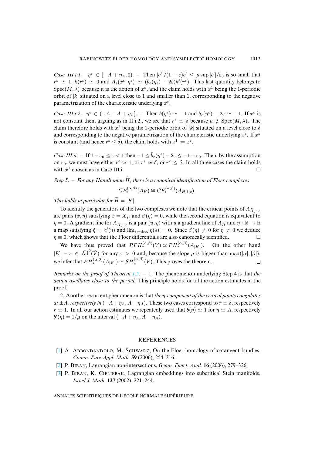*Case III.i.1.*  $\eta^{\varepsilon} \in [-A + \eta_A, 0)$ . – Then  $|c'|/(1 - \varepsilon)\overline{b'} \leq \mu \sup |c'|/\varepsilon_0$  is so small that  $r^{\varepsilon} \simeq 1$ ,  $k(r^{\varepsilon}) \simeq 0$  and  $A_{\varepsilon}(x^{\varepsilon}, \eta^{\varepsilon}) \simeq (\bar{b}_{\varepsilon}(\eta_{\varepsilon}) - 2\varepsilon)k'(r^{\varepsilon})$ . This last quantity belongs to Spec(M,  $\lambda$ ) because it is the action of  $x^{\epsilon}$ , and the claim holds with  $x^{1}$  being the 1-periodic orbit of  $|k|$  situated on a level close to 1 and smaller than 1, corresponding to the negative parametrization of the characteristic underlying  $x^{\epsilon}$ .

*Case III.i.2.*  $\eta^{\varepsilon} \in (-A, -A + \eta_A]$ . – Then  $\bar{b}(\eta^{\varepsilon}) \simeq -1$  and  $\bar{b}_{\varepsilon}(\eta^{\varepsilon}) - 2\varepsilon \simeq -1$ . If  $x^{\varepsilon}$  is not constant then, arguing as in II.i.2., we see that  $r^{\varepsilon} \simeq \delta$  because  $\mu \notin \text{Spec}(M, \lambda)$ . The claim therefore holds with  $x^1$  being the 1-periodic orbit of |k| situated on a level close to  $\delta$ and corresponding to the negative parametrization of the characteristic underlying  $x^{\varepsilon}$ . If  $x^{\varepsilon}$ is constant (and hence  $r^{\epsilon} < \delta$ ), the claim holds with  $x^1 := x^{\epsilon}$ .

*Case III.ii.* – If  $1 - \varepsilon_0 \le \varepsilon < 1$  then  $-1 \le \bar{b}_\varepsilon(\eta^\varepsilon) - 2\varepsilon \le -1 + \varepsilon_0$ . Then, by the assumption on  $\varepsilon_0$ , we must have either  $r^{\varepsilon} \simeq 1$ , or  $r^{\varepsilon} \simeq \delta$ , or  $r^{\varepsilon} \leq \delta$ . In all three cases the claim holds with  $r^1$  chosen as in Case III i with  $x^1$  chosen as in Case III.i.

*Step 5*. – *For any Hamiltonian* H.*, there is a canonical identification of Floer complexes*

$$
CF^{(\alpha,\beta)}_*(A_H) \cong CF^{(\alpha,\beta)}_*(A_{H,1,c}).
$$

*This holds in particular for*  $\widetilde{H} = |K|$ *.* 

To identify the generators of the two complexes we note that the critical points of  $A_{\tilde{H}^1,c}$ are pairs  $(x, \eta)$  satisfying  $\dot{x} = X_{\tilde{H}}$  and  $c'(\eta) = 0$ , while the second equation is equivalent to  $\eta = 0$ . A gradient line for  $A_{\tilde{H},1,c}$  is a pair  $(u, \eta)$  with u a gradient line of  $A_{\tilde{H}}$  and  $\eta : \mathbb{R} \to \mathbb{R}$ a map satisfying  $\dot{\eta} = c'(\eta)$  and  $\lim_{s \to \pm \infty} \eta(s) = 0$ . Since  $c'(\eta) \neq 0$  for  $\eta \neq 0$  we deduce  $\eta \equiv 0$ , which shows that the Floer differentials are also canonically identified.  $\Box$ <br>We have thus proved that  $RFH_*^{(\alpha,\beta)}(V) \simeq FH_*^{(\alpha,\beta)}(A_{|K|})$ . On the other hand

We have thus proved that  $RFH_*^{(\alpha,\beta)}(V) \simeq FH_*^{(\alpha,\beta)}(A_{|K|}).$  $|K| - \varepsilon \in \text{Ad}^0(\hat{V})$  for any  $\varepsilon > 0$  and, because the slope  $\mu$  is bigger than max $(|\alpha|, |\beta|)$ , we infer that  $FH_*^{(\alpha,\beta)}(A_{|K|}) \simeq \check{SH}_*^{(\alpha,\beta)}(V)$ . This proves the theorem.  $\Box$ 

*Remarks on the proof of Theorem [1.5](#page-3-0)*. – 1. The phenomenon underlying Step 4 is that *the action oscillates close to the period.* This principle holds for all the action estimates in the proof.

2. Another recurrent phenomenon is that *the* η*-component of the critical points coagulates at*  $\pm A$ *, respectively in* ( $-A + \eta_A$ ,  $A - \eta_A$ ). These two cases correspond to  $r \approx \delta$ , respectively  $r \approx 1$ . In all our action estimates we repeatedly used that  $\bar{b}(\eta) \approx 1$  for  $\eta \approx A$ , respectively  $\bar{b}'(\eta) = 1/\mu$  on the interval  $(-A + \eta_A, A - \eta_A)$ .

#### **REFERENCES**

- <span id="page-57-1"></span>[\[1\]](http://smf.emath.fr/Publications/AnnalesENS/4_43/html/ens_ann-sc_43_6.html#1) A. ABBONDANDOLO, M. SCHWARZ, On the Floer homology of cotangent bundles, *Comm. Pure Appl. Math.* **59** (2006), 254–316.
- <span id="page-57-2"></span>[\[2\]](http://smf.emath.fr/Publications/AnnalesENS/4_43/html/ens_ann-sc_43_6.html#2) P. Bɪʀɴ, Lagrangian non-intersections, *Geom. Funct. Anal.* **16** (2006), 279–326.
- <span id="page-57-0"></span>[\[3\]](http://smf.emath.fr/Publications/AnnalesENS/4_43/html/ens_ann-sc_43_6.html#3) P. Bɪʀɴ, K. Cɪʟɪʙ, Lagrangian embeddings into subcritical Stein manifolds, *Israel J. Math.* **127** (2002), 221–244.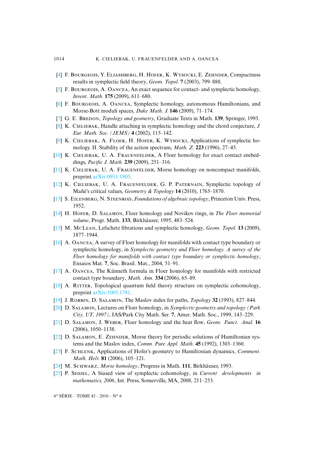- <span id="page-58-10"></span>[\[4\]](http://smf.emath.fr/Publications/AnnalesENS/4_43/html/ens_ann-sc_43_6.html#4) F. BOURGEOIS, Y. ELIASHBERG, H. HOFER, K. WYSOCKI, E. ZEHNDER, Compactness results in symplectic field theory, *Geom. Topol.* **7** (2003), 799–888.
- <span id="page-58-9"></span>[\[5\]](http://smf.emath.fr/Publications/AnnalesENS/4_43/html/ens_ann-sc_43_6.html#5) F. BOURGEOIS, A. OANCEA, An exact sequence for contact- and symplectic homology, *Invent. Math.* **175** (2009), 611–680.
- <span id="page-58-12"></span>[\[6\]](http://smf.emath.fr/Publications/AnnalesENS/4_43/html/ens_ann-sc_43_6.html#6) F. BOURGEOIS, A. OANCEA, Symplectic homology, autonomous Hamiltonians, and Morse-Bott moduli spaces, *Duke Math. J.* **146** (2009), 71–174.
- <span id="page-58-7"></span>[\[7\]](http://smf.emath.fr/Publications/AnnalesENS/4_43/html/ens_ann-sc_43_6.html#7) G. E. BREDON, *Topology and geometry*, Graduate Texts in Math. **139**, Springer, 1993.
- <span id="page-58-2"></span>[\[8\]](http://smf.emath.fr/Publications/AnnalesENS/4_43/html/ens_ann-sc_43_6.html#8) K. Cɪʟɪʙ, Handle attaching in symplectic homology and the chord conjecture, *J. Eur. Math. Soc. (JEMS)* **4** (2002), 115–142.
- <span id="page-58-13"></span>[\[9\]](http://smf.emath.fr/Publications/AnnalesENS/4_43/html/ens_ann-sc_43_6.html#9) K. CIELIEBAK, A. FLOER, H. HOFER, K. WYSOCKI, Applications of symplectic homology. II. Stability of the action spectrum, *Math. Z.* **223** (1996), 27–45.
- <span id="page-58-1"></span>[\[10\]](http://smf.emath.fr/Publications/AnnalesENS/4_43/html/ens_ann-sc_43_6.html#10) K. CIELIEBAK, U. A. FRAUENFELDER, A Floer homology for exact contact embeddings, *Pacific J. Math.* **239** (2009), 251–316.
- <span id="page-58-21"></span>[\[11\]](http://smf.emath.fr/Publications/AnnalesENS/4_43/html/ens_ann-sc_43_6.html#11) K. CIELIEBAK, U. A. FRAUENFELDER, Morse homology on noncompact manifolds, preprint [arXiv:0911.1805.](http://arxiv.org/abs/0911.1805)
- <span id="page-58-8"></span>[\[12\]](http://smf.emath.fr/Publications/AnnalesENS/4_43/html/ens_ann-sc_43_6.html#12) K. CIELIEBAK, U. A. FRAUENFELDER, G. P. PATERNAIN, Symplectic topology of Mañé's critical values, *Geometry & Topology* **14** (2010), 1765–1870.
- <span id="page-58-17"></span>[\[13\]](http://smf.emath.fr/Publications/AnnalesENS/4_43/html/ens_ann-sc_43_6.html#13) S. Eɪʟɴʙʀɢ, N. Sɴʀ, *Foundations of algebraic topology*, Princeton Univ. Press, 1952.
- <span id="page-58-19"></span>[\[14\]](http://smf.emath.fr/Publications/AnnalesENS/4_43/html/ens_ann-sc_43_6.html#14) H. HOFER, D. SALAMON, Floer homology and Novikov rings, in *The Floer memorial volume*, Progr. Math. **133**, Birkhäuser, 1995, 483–524.
- <span id="page-58-11"></span>[\[15\]](http://smf.emath.fr/Publications/AnnalesENS/4_43/html/ens_ann-sc_43_6.html#15) M. MLɴ, Lefschetz fibrations and symplectic homology, *Geom. Topol.* **13** (2009), 1877–1944.
- <span id="page-58-4"></span>[\[16\]](http://smf.emath.fr/Publications/AnnalesENS/4_43/html/ens_ann-sc_43_6.html#16) A. Oɴ, A survey of Floer homology for manifolds with contact type boundary or symplectic homology, in *Symplectic geometry and Floer homology. A survey of the Floer homology for manifolds with contact type boundary or symplectic homology*, Ensaios Mat. **7**, Soc. Brasil. Mat., 2004, 51–91.
- <span id="page-58-20"></span>[\[17\]](http://smf.emath.fr/Publications/AnnalesENS/4_43/html/ens_ann-sc_43_6.html#17) A. Oɴ, The Künneth formula in Floer homology for manifolds with restricted contact type boundary, *Math. Ann.* **334** (2006), 65–89.
- <span id="page-58-3"></span>[\[18\]](http://smf.emath.fr/Publications/AnnalesENS/4_43/html/ens_ann-sc_43_6.html#18) A. RITTER, Topological quantum field theory structure on symplectic cohomology, preprint [arXiv:1003.1781.](http://arxiv.org/abs/1003.1781)
- <span id="page-58-14"></span>[\[19\]](http://smf.emath.fr/Publications/AnnalesENS/4_43/html/ens_ann-sc_43_6.html#19) J. Rʙʙɪɴ, D. Sʟɴ, The Maslov index for paths, *Topology* **32** (1993), 827–844.
- <span id="page-58-15"></span>[\[20\]](http://smf.emath.fr/Publications/AnnalesENS/4_43/html/ens_ann-sc_43_6.html#20) D. Sʟɴ, Lectures on Floer homology, in *Symplectic geometry and topology (Park City, UT, 1997)*, IAS/Park City Math. Ser. **7**, Amer. Math. Soc., 1999, 143–229.
- <span id="page-58-6"></span>[\[21\]](http://smf.emath.fr/Publications/AnnalesENS/4_43/html/ens_ann-sc_43_6.html#21) D. Sʟɴ, J. Wʙʀ, Floer homology and the heat flow, *Geom. Funct. Anal.* **16** (2006), 1050–1138.
- <span id="page-58-16"></span>[\[22\]](http://smf.emath.fr/Publications/AnnalesENS/4_43/html/ens_ann-sc_43_6.html#22) D. SALAMON, E. ZEHNDER, Morse theory for periodic solutions of Hamiltonian systems and the Maslov index, *Comm. Pure Appl. Math.* **45** (1992), 1303–1360.
- <span id="page-58-5"></span>[\[23\]](http://smf.emath.fr/Publications/AnnalesENS/4_43/html/ens_ann-sc_43_6.html#23) F. Sʜʟɴ, Applications of Hofer's geometry to Hamiltonian dynamics, *Comment. Math. Helv.* **81** (2006), 105–121.
- <span id="page-58-18"></span>[\[24\]](http://smf.emath.fr/Publications/AnnalesENS/4_43/html/ens_ann-sc_43_6.html#24) M. Sʜʀ, *Morse homology*, Progress in Math. **111**, Birkhäuser, 1993.
- <span id="page-58-0"></span>[\[25\]](http://smf.emath.fr/Publications/AnnalesENS/4_43/html/ens_ann-sc_43_6.html#25) P. Sɪʟ, A biased view of symplectic cohomology, in *Current developments in mathematics, 2006*, Int. Press, Somerville, MA, 2008, 211–253.